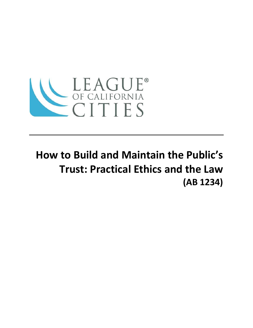

## **How to Build and Maintain the Public's Trust: Practical Ethics and the Law (AB 1234)**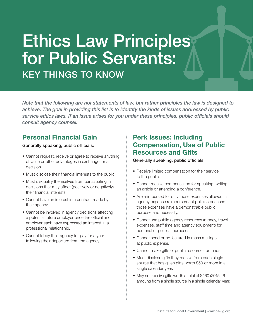# Ethics Law Principles for Public Servants: KEY THINGS TO KNOW

*Note that the following are not statements of law, but rather principles the law is designed to achieve. The goal in providing this list is to identify the kinds of issues addressed by public service ethics laws. If an issue arises for you under these principles, public officials should consult agency counsel.*

## Personal Financial Gain

#### Generally speaking, public officials:

- Cannot request, receive or agree to receive anything of value or other advantages in exchange for a decision.
- Must disclose their financial interests to the public.
- Must disqualify themselves from participating in decisions that may affect (positively or negatively) their financial interests.
- Cannot have an interest in a contract made by their agency.
- Cannot be involved in agency decisions affecting a potential future employer once the official and employer each have expressed an interest in a professional relationship.
- Cannot lobby their agency for pay for a year following their departure from the agency.

## Perk Issues: Including Compensation, Use of Public Resources and Gifts

Generally speaking, public officials:

- Receive limited compensation for their service to the public.
- Cannot receive compensation for speaking, writing an article or attending a conference.
- Are reimbursed for only those expenses allowed in agency expense reimbursement policies because those expenses have a demonstrable public purpose and necessity.
- Cannot use public agency resources (money, travel expenses, staff time and agency equipment) for personal or political purposes.
- Cannot send or be featured in mass mailings at public expense.
- Cannot make gifts of public resources or funds.
- Must disclose gifts they receive from each single source that has given gifts worth \$50 or more in a single calendar year.
- May not receive gifts worth a total of \$460 (2015-16 amount) from a single source in a single calendar year.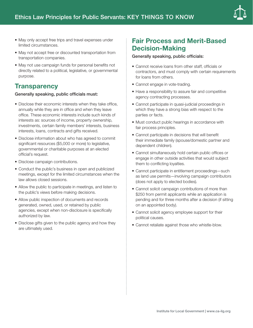

- May only accept free trips and travel expenses under limited circumstances.
- May not accept free or discounted transportation from transportation companies.
- May not use campaign funds for personal benefits not directly related to a political, legislative, or governmental purpose.

## **Transparency**

#### Generally speaking, public officials must:

- Disclose their economic interests when they take office, annually while they are in office and when they leave office. These economic interests include such kinds of interests as: sources of income, property ownership, investments, certain family members' interests, business interests, loans, contracts and gifts received.
- Disclose information about who has agreed to commit significant resources (\$5,000 or more) to legislative, governmental or charitable purposes at an elected official's request.
- Disclose campaign contributions.
- Conduct the public's business in open and publicized meetings, except for the limited circumstances when the law allows closed sessions.
- Allow the public to participate in meetings, and listen to the public's views before making decisions.
- Allow public inspection of documents and records generated, owned, used, or retained by public agencies, except when non-disclosure is specifically authorized by law.
- Disclose gifts given to the public agency and how they are ultimately used.

## Fair Process and Merit-Based Decision-Making

#### Generally speaking, public officials:

- Cannot receive loans from other staff, officials or contractors, and must comply with certain requirements for loans from others.
- Cannot engage in vote-trading.
- Have a responsibility to assure fair and competitive agency contracting processes.
- Cannot participate in quasi-judicial proceedings in which they have a strong bias with respect to the parties or facts.
- Must conduct public hearings in accordance with fair process principles.
- Cannot participate in decisions that will benefit their immediate family (spouse/domestic partner and dependent children).
- Cannot simultaneously hold certain public offices or engage in other outside activities that would subject them to conflicting loyalties.
- Cannot participate in entitlement proceedings—such as land use permits—involving campaign contributors (does not apply to elected bodies).
- Cannot solicit campaign contributions of more than \$250 from permit applicants while an application is pending and for three months after a decision (if sitting on an appointed body).
- Cannot solicit agency employee support for their political causes.
- Cannot retaliate against those who whistle-blow.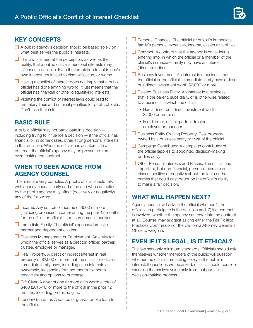

## KEY CONCEPTS

- A public agency's decision should be based solely on what best serves the public's interests.
- $\Box$  The law is aimed at the perception, as well as the reality, that a public official's personal interests may influence a decision. Even the temptation to act in one's own interest could lead to disqualification, or worse.
- $\Box$  Having a conflict of interest does not imply that a public official has done anything wrong; it just means that the official has financial or other disqualifying interests.
- $\Box$  Violating the conflict of interest laws could lead to monetary fines and criminal penalties for public officials. Don't take that risk.

## BASIC RULE

A public official may not participate in a decision including trying to influence a decision  $-$  if the official has financial or, in some cases, other strong personal interests in that decision. When an official has an interest in a contract, the official's agency may be prevented from even making the contract.

## WHEN TO SEEK ADVICE FROM AGENCY COUNSEL

The rules are very complex. A public official should talk with agency counsel early and often and when an action by the public agency may affect (positively or negatively) any of the following:

- $\Box$  Income. Any source of income of \$500 or more (including promised income) during the prior 12 months for the official or official's spouse/domestic partner.
- $\Box$  Immediate Family. The official's spouse/domestic partner and dependent children.
- $\Box$  Business Management or Employment. An entity for which the official serves as a director, officer, partner, trustee, employee or manager.
- $\Box$  Real Property. A direct or indirect interest in real property of \$2,000 or more that the official or official's immediate family have, including such interests as ownership, leaseholds (but not month-to-month tenancies) and options to purchase.
- $\Box$  Gift Giver. A giver of one or more gifts worth a total of \$460 (2015-16) or more to the official in the prior 12 months, including promised gifts.
- $\Box$  Lender/Guarantor. A source or guarantor of a loan to the official.
- $\Box$  Personal Finances. The official or official's immediate family's personal expenses, income, assets or liabilities.
- $\Box$  Contract. A contract that the agency is considering entering into, in which the official or a member of the official's immediate family may have an interest (direct or indirect).
- $\Box$  Business Investment. An interest in a business that the official or the official's immediate family have a direct or indirect investment worth \$2,000 or more.
- $\Box$  Related Business Entity. An interest in a business that is the parent, subsidiary, or is otherwise related to a business in which the official:
	- Has a direct or indirect investment worth \$2000 or more; or
	- Is a director, officer, partner, trustee, employee or manager.
- $\Box$  Business Entity Owning Property. Real property owned by a business entity or trust of the official.
- **□** Campaign Contributor. A campaign contributor of the official (applies to appointed decision-making bodies only).
- $\Box$  Other Personal Interests and Biases. The official has important, but non-financial, personal interests or biases (positive or negative) about the facts or the parties that could cast doubt on the official's ability to make a fair decision.

## WHAT WILL HAPPEN NEXT?

Agency counsel will advise the official whether 1) the official can participate in the decision and, 2) if a contract is involved, whether the agency can enter into the contract at all. Counsel may suggest asking either the Fair Political Practices Commission or the California Attorney General's Office to weigh in.

## EVEN IF IT'S LEGAL, IS IT ETHICAL?

The law sets only minimum standards. Officials should ask themselves whether members of the public will question whether the officials are acting solely in the public's interest. If questions will be asked, officials should consider excusing themselves voluntarily from that particular decision-making process.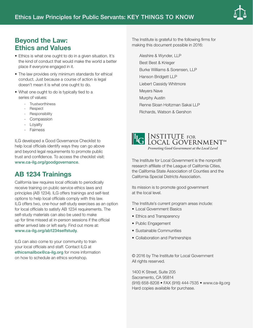## Beyond the Law: Ethics and Values

- Ethics is what one ought to do in a given situation. It's the kind of conduct that would make the world a better place if everyone engaged in it.
- The law provides only minimum standards for ethical conduct. Just because a course of action is legal doesn't mean it is what one ought to do.
- What one ought to do is typically tied to a series of values:
	- Trustworthiness
	- Respect
	- Responsibility
	- Compassion
	- Loyalty
	- Fairness

ILG developed a Good Governance Checklist to help local officials identify ways they can go above and beyond legal requirements to promote public trust and confidence. To access the checklist visit: www.ca-ilg.org/goodgovernance.

## AB 1234 Trainings

California law requires local officials to periodically receive training on public service ethics laws and principles (AB 1234). ILG offers trainings and self-test options to help local officials comply with this law. ILG offers two, one-hour self-study exercises as an option for local officials to satisfy AB 1234 requirements. The self-study materials can also be used to make up for time missed at in-person sessions if the official either arrived late or left early. Find out more at: www.ca-ilg.org/ab1234selfstudy.

ILG can also come to your community to train your local officials and staff. Contact ILG at ethicsmailbox@ca-ilg.org for more information on how to schedule an ethics workshop.

The Institute is grateful to the following firms for making this document possible in 2016:

Aleshire & Wynder, LLP Best Best & Krieger Burke Williams & Sorensen, LLP Hanson Bridgett LLP Liebert Cassidy Whitmore Meyers Nave Murphy Austin Renne Sloan Holtzman Sakai LLP Richards, Watson & Gershon



The Institute for Local Government is the nonprofit research affiliate of the League of California Cities, the California State Association of Counties and the California Special Districts Association.

Its mission is to promote good government at the local level.

The Institute's current program areas include:

- Local Government Basics
- Ethics and Transparency
- Public Engagement
- Sustainable Communities
- Collaboration and Partnerships

© 2016 by The Institute for Local Government All rights reserved.

1400 K Street, Suite 205 Sacramento, CA 95814 (916) 658-8208 • FAX (916) 444-7535 • www.ca-ilg.org Hard copies available for purchase.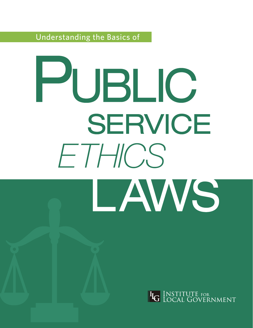Understanding the Basics of

# PUBLIC SERVICE FTHICS LAWS

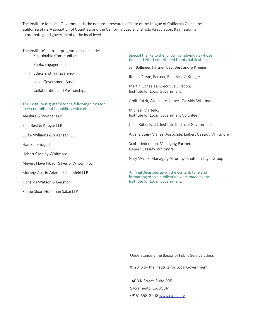The Institute for Local Government is the nonprofit research affiliate of the League of California Cities, the California State Association of Counties, and the California Special Districts Association. Its mission is to promote good government at the local level.

The Institute's current program areas include:

- » Sustainable Communities
- » Public Engagement
- » Ethics and Transparency
- » Local Government Basics
- » Collaboration and Partnerships

The Institute is grateful to the following firms for their commitment to public service ethics:

Aleshire & Wynder LLP

Best Best & Krieger LLP

Burke Williams & Sorensen, LLP

Hanson Bridgett

Liebert Cassidy Whitmore

Meyers Nave Riback Silver & Wilson, PLC

Murphy Austin Adams Schoenfeld LLP

Richards Watson & Gershon

Renne Sloan Holtzman Sakai LLP

Special thanks to the following individuals whose time and effort contributed to this publication:

Jeff Ballinger, Partner, Best Best and & Krieger

Ruben Duran, Partner, Best Best & Krieger

Martin Gonzalez, Executive Director, Institute for Local Government

Amit Katzir, Associate, Liebert Cassidy Whitmore

Michael Martello, Institute for Local Government Volunteer

Colin Roberts, JD, Institute for Local Government

Alysha Stein-Manes, Associate, Liebert Cassidy Whitmore

Scott Tiedemann, Managing Partner, Liebert Cassidy Whitmore

Gary Winuk, Managing Attorney, Kaufman Legal Group

All final decisions about the content, tone and formatting of this publication were made by the Institute for Local Government.

Understanding the Basics of Public Service Ethics

© 2016 by the Institute for Local Government

1400 K Street, Suite 205 Sacramento, CA 95814 (916) 658-8208 www.ca-ilg.org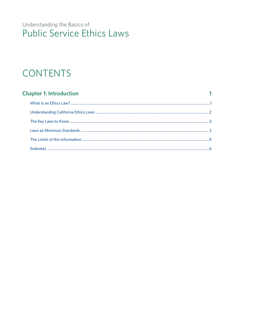## Understanding the Basics of **Public Service Ethics Laws**

## **CONTENTS**

| <b>Chapter 1: Introduction</b> |  |
|--------------------------------|--|
|                                |  |
|                                |  |
|                                |  |
|                                |  |
|                                |  |
|                                |  |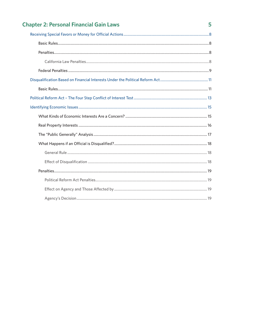| <b>Chapter 2: Personal Financial Gain Laws</b> |  |
|------------------------------------------------|--|
|                                                |  |
|                                                |  |
|                                                |  |
|                                                |  |
|                                                |  |
|                                                |  |
|                                                |  |
|                                                |  |
|                                                |  |
|                                                |  |
|                                                |  |
|                                                |  |
|                                                |  |
|                                                |  |
|                                                |  |
|                                                |  |
|                                                |  |
|                                                |  |
|                                                |  |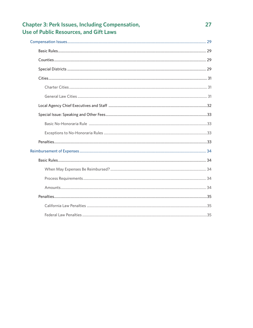## **Chapter 3: Perk Issues, Including Compensation,** Use of Public Resources, and Gift Laws

 $27$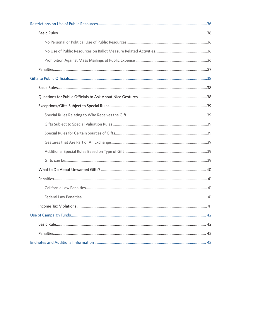| . 41 |
|------|
|      |
|      |
|      |
|      |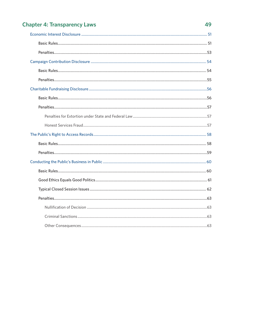## **Chapter 4: Transparency Laws**

## 49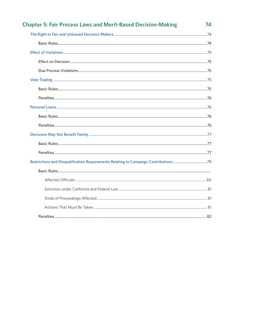| <b>Chapter 5: Fair Process Laws and Merit-Based Decision-Making</b>                  | 74 |
|--------------------------------------------------------------------------------------|----|
|                                                                                      |    |
|                                                                                      |    |
|                                                                                      |    |
|                                                                                      |    |
|                                                                                      |    |
|                                                                                      |    |
|                                                                                      |    |
|                                                                                      |    |
|                                                                                      |    |
|                                                                                      |    |
|                                                                                      |    |
|                                                                                      |    |
|                                                                                      |    |
|                                                                                      |    |
| Restrictions and Disqualification Requirements Relating to Campaign Contributions 79 |    |
|                                                                                      |    |
|                                                                                      |    |
|                                                                                      |    |
|                                                                                      |    |
|                                                                                      |    |
|                                                                                      |    |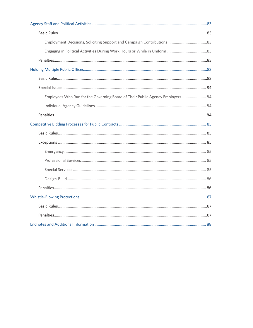| Employees Who Run for the Governing Board of Their Public Agency Employers 84 |  |
|-------------------------------------------------------------------------------|--|
|                                                                               |  |
|                                                                               |  |
|                                                                               |  |
|                                                                               |  |
|                                                                               |  |
|                                                                               |  |
|                                                                               |  |
|                                                                               |  |
|                                                                               |  |
|                                                                               |  |
|                                                                               |  |
|                                                                               |  |
|                                                                               |  |
|                                                                               |  |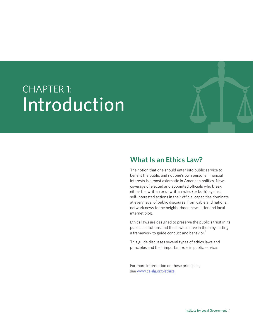# CHAPTER 1: Introduction

## **What Is an Ethics Law?**

The notion that one should enter into public service to benefit the public and not one's own personal financial interests is almost axiomatic in American politics. News coverage of elected and appointed officials who break either the written or unwritten rules (or both) against self-interested actions in their official capacities dominate at every level of public discourse, from cable and national network news to the neighborhood newsletter and local internet blog.

Ethics laws are designed to preserve the public's trust in its public institutions and those who serve in them by setting a framework to guide conduct and behavior.<sup>1</sup>

This guide discusses several types of ethics laws and principles and their important role in public service.

For more information on these principles, see www.ca-ilg.org/ethics.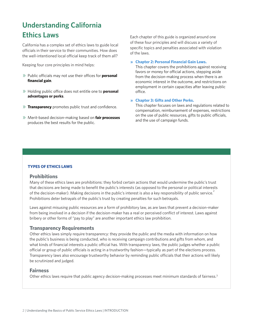## **Understanding California Ethics Laws**

California has a complex set of ethics laws to guide local officials in their service to their communities. How does the well-intentioned local official keep track of them all?

Keeping four core principles in mind helps:

- » Public officials may not use their offices for **personal financial gain**.
- » Holding public office does not entitle one to **personal advantages or perks**.
- » **Transparency** promotes public trust and confidence.
- » Merit-based decision-making based on **fair processes**  produces the best results for the public.

Each chapter of this guide is organized around one of these four principles and will discuss a variety of specific topics and penalties associated with violation of the laws.

#### **» Chapter 2: Personal Financial Gain Laws.**

This chapter covers the prohibitions against receiving favors or money for official actions, stepping aside from the decision-making process when there is an economic interest in the outcome, and restrictions on employment in certain capacities after leaving public office.

#### **» Chapter 3: Gifts and Other Perks.**

This chapter focuses on laws and regulations related to compensation, reimbursement of expenses, restrictions on the use of public resources, gifts to public officials, and the use of campaign funds.

#### **TYPES OF ETHICS LAWS**

#### **Prohibitions**

Many of these ethics laws are prohibitions: they forbid certain actions that would undermine the public's trust that decisions are being made to benefit the public's interests (as opposed to the personal or political interests of the decision-maker). Making decisions in the public's interest is also a key responsibility of public service.<sup>2</sup> Prohibitions deter betrayals of the public's trust by creating penalties for such betrayals.

Laws against misusing public resources are a form of prohibitory law, as are laws that prevent a decision-maker from being involved in a decision if the decision-maker has a real or perceived conflict of interest. Laws against bribery or other forms of "pay to play" are another important ethics law prohibition.

#### **Transparency Requirements**

Other ethics laws simply require transparency: they provide the public and the media with information on how the public's business is being conducted, who is receiving campaign contributions and gifts from whom, and what kinds of financial interests a public official has. With transparency laws, the public judges whether a public official or group of public officials is acting in a trustworthy fashion—typically as part of the elections process. Transparency laws also encourage trustworthy behavior by reminding public officials that their actions will likely be scrutinized and judged.

#### **Fairness**

Other ethics laws require that public agency decision-making processes meet minimum standards of fairness.<sup>3</sup>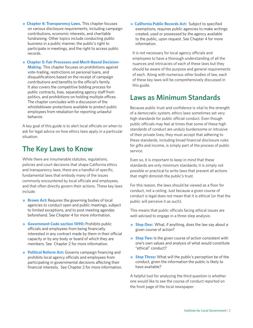- **» Chapter 4: Transparency Laws.** This chapter focuses on various disclosure requirements, including campaign contributions, economic interests, and charitable fundraising. Other topics include conducting public business in a public manner, the public's right to participate in meetings, and the right to access public records.
- **» Chapter 5: Fair Processes and Merit-Based Decision-Making.** This chapter focuses on prohibitions against vote-trading, restrictions on personal loans, and disqualifications based on the receipt of campaign contributions and benefits to the official's family. It also covers the competitive bidding process for public contracts, bias, separating agency staff from politics, and prohibitions on holding multiple offices. The chapter concludes with a discussion of the whistleblower protections available to protect public employees from retaliation for reporting unlawful behavior.

A key goal of this guide is to alert local officials on when to ask for legal advice on how ethics laws apply in a particular situation.

## **The Key Laws to Know**

While there are innumerable statutes, regulations, policies and court decisions that shape California ethics and transparency laws, there are a handful of specific, fundamental laws that embody many of the issues commonly encountered by local officials and employees, and that often directly govern their actions. These key laws include:

- **» Brown Act:** Requires the governing bodies of local agencies to conduct open and public meetings, subject to limited exceptions, and to post meeting agendas beforehand. See Chapter 4 for more information.
- **» Government Code section 1090:** Prohibits public officials and employees from being financially interested in any contract made by them in their official capacity or by any body or board of which they are members. See Chapter 2 for more information.
- **» Political Reform Act:** Governs campaign financing and prohibits local agency officials and employees from participating in governmental decisions affecting their financial interests. See Chapter 2 for more information.

**» California Public Records Act:** Subject to specified exemptions, requires public agencies to make writings created, used or possessed by the agency available to the public, upon request. See Chapter 4 for more information.

It is not necessary for local agency officials and employees to have a thorough understanding of all the nuances and intricacies of each of these laws but they should be aware of the purpose and general requirements of each. Along with numerous other bodies of law, each of these key laws will be comprehensively discussed in this guide.

## **Laws as Minimum Standards**

Because public trust and confidence is vital to the strength of a democratic system, ethics laws sometimes set very high standards for public official conduct. Even though public officials may feel at times that some of these high standards of conduct are unduly burdensome or intrusive of their private lives, they must accept that adhering to these standards, including broad financial disclosure rules for gifts and income, is simply part of the process of public service.

Even so, it is important to keep in mind that these standards are only minimum standards; it is simply not possible or practical to write laws that prevent all actions that might diminish the public's trust.

For this reason, the laws should be viewed as a floor for conduct, not a ceiling. Just because a given course of conduct is legal does not mean that it is ethical (or that the public will perceive it as such).

This means that public officials facing ethical issues are well-advised to engage in a three-step analysis:

- **» Step One:** What, if anything, does the law say about a given course of action?
- **» Step Two:** Is the given course of action consistent with one's own values and analysis of what would constitute "ethical" conduct?
- **» Step Three:** What will the public's perception be of the conduct, given the information the public is likely to have available?

A helpful tool for analyzing the third question is whether one would like to see the course of conduct reported on the front page of the local newspaper.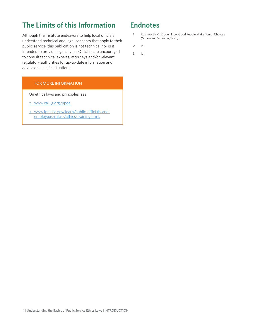## **The Limits of this Information**

Although the Institute endeavors to help local officials understand technical and legal concepts that apply to their public service, this publication is not technical nor is it intended to provide legal advice. Officials are encouraged to consult technical experts, attorneys and/or relevant regulatory authorities for up-to-date information and advice on specific situations.

#### FOR MORE INFORMATION

On ethics laws and principles, see:

- » www.ca-ilg.org/ppoe.
- » www.fppc.ca.gov/learn/public-officials-andemployees-rules-/ethics-training.html.

## **Endnotes**

- 1 Rushworth M. Kidder, How Good People Make Tough Choices (Simon and Schuster, 1995).
- 2 Id.
- 3 Id.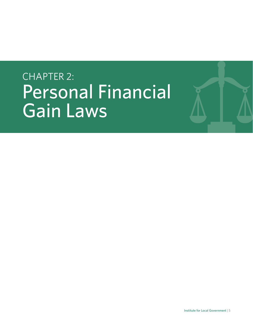# CHAPTER 2: Personal Financial Gain Laws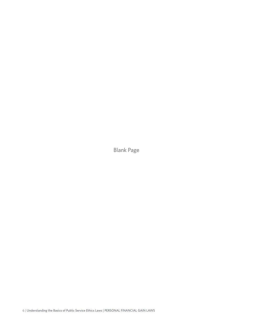Blank Page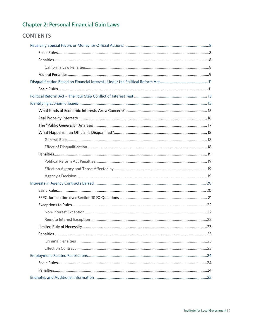## **Chapter 2: Personal Financial Gain Laws**

## **CONTENTS**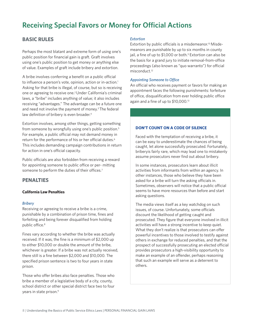## **Receiving Special Favors or Money for Official Actions**

#### **BASIC RULES**

Perhaps the most blatant and extreme form of using one's public position for financial gain is graft. Graft involves using one's public position to get money or anything else of value. Examples of graft include bribery and extortion.

A bribe involves conferring a benefit on a public official to influence a person's vote, opinion, action or in-action.<sup>1</sup> Asking for that bribe is illegal, of course, but so is receiving one or agreeing to receive one.2 Under California's criminal laws, a "bribe" includes anything of value; it also includes receiving "advantages." The advantage can be a future one and need not involve the payment of money.3 The federal law definition of bribery is even broader.<sup>4</sup>

Extortion involves, among other things, getting something from someone by wrongfully using one's public position.5 For example, a public official may not demand money in return for the performance of his or her official duties.6 This includes demanding campaign contributions in return for action in one's official capacity.

Public officials are also forbidden from receiving a reward for appointing someone to public office or per- mitting someone to perform the duties of their offices.<sup>7</sup>

#### **PENALTIES**

#### **California Law Penalties**

#### *Bribery*

Receiving or agreeing to receive a bribe is a crime, punishable by a combination of prison time, fines and forfeiting and being forever disqualified from holding public office.8

Fines vary according to whether the bribe was actually received. If it was, the fine is a minimum of \$2,000 up to either \$10,000 or double the amount of the bribe, whichever is greater. If a bribe was not actually received, there still is a fine between \$2,000 and \$10,000. The specified prison sentence is two to four years in state prison.

Those who offer bribes also face penalties. Those who bribe a member of a legislative body of a city, county, school district or other special district face two to four years in state prison.9

#### *Extortion*

Extortion by public officials is a misdemeanor.10 Misdemeanors are punishable by up to six months in county jail, a fine of up to \$1,000 or both.<sup>11</sup> Extortion can also be the basis for a grand jury to initiate removal-from-office proceedings (also known as "quo warranto") for official misconduct.12

#### *Appointing Someone to Office*

An official who receives payment or favors for making an appointment faces the following punishments: forfeiture of office, disqualification from ever holding public office again and a fine of up to \$10,000.13

#### **DON'T COUNT ON A CODE OF SILENCE**

Faced with the temptation of receiving a bribe, it can be easy to underestimate the chances of being caught, let alone successfully prosecuted. Fortunately, briberyis fairly rare, which may lead one to mistakenly assume prosecutors never find out about bribery.

In some instances, prosecutors learn about illicit activities from informants from within an agency. In other instances, those who believe they have been asked for a bribe will turn the asking officials in. Sometimes, observers will notice that a public official seems to have more resources than before and start asking questions.

The media views itself as a key watchdog on such issues, of course. Unfortunately, some officials discount the likelihood of getting caught and prosecuted. They figure that everyone involved in illicit activities will have a strong incentive to keep quiet. What they don't realize is that prosecutors can offer powerful incentives to those involved to testify against others in exchange for reduced penalties, and that the prospect of successfully prosecuting an elected official provides prosecutors a high-visibility opportunity to make an example of an offender, perhaps reasoning that such an example will serve as a deterrent to others.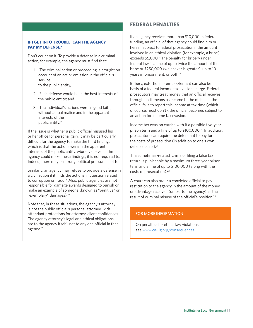#### **IF I GET INTO TROUBLE, CAN THE AGENCY PAY MY DEFENSE?**

Don't count on it. To provide a defense in a criminal action, for example, the agency must find that:

- 1. The criminal action or proceeding is brought on account of an act or omission in the official's service to the public entity;
- 2. Such defense would be in the best interests of the public entity; and
- 3. The individual's actions were in good faith, without actual malice and in the apparent interests of the public entity.14

If the issue is whether a public official misused his or her office for personal gain, it may be particularly difficult for the agency to make the third finding, which is that the actions were in the apparent interests of the public entity. Moreover, even if the agency could make these findings, it is not required to. Indeed, there may be strong political pressures not to.

Similarly, an agency may refuse to provide a defense in a civil action if it finds the actions in question related to corruption or fraud.<sup>15</sup> Also, public agencies are not responsible for damage awards designed to punish or make an example of someone (known as "punitive" or "exemplary" damages).16

Note that, in these situations, the agency's attorney is not the public official's personal attorney, with attendant protections for attorney-client confidences. The agency attorney's legal and ethical obligations are to the agency itself– not to any one official in that agency.<sup>17</sup>

#### **FEDERAL PENALTIES**

If an agency receives more than \$10,000 in federal funding, an official of that agency could find him or herself subject to federal prosecution if the amount involved in an ethical violation (for example, a bribe) exceeds \$5,000.18 The penalty for bribery under federal law is a fine of up to twice the amount of the bribe or \$250,000 (whichever is greater), up to 10 years imprisonment, or both.19

Bribery, extortion, or embezzlement can also be basis of a federal income tax evasion charge. Federal prosecutors may treat money that an official receives through illicit means as income to the official. If the official fails to report this income at tax time (which of course, most don't), the official becomes subject to an action for income tax evasion.

Income tax evasion carries with it a possible five-year prison term and a fine of up to \$100,000.20 In addition, prosecutors can require the defendant to pay for the costs of prosecution (in addition to one's own defense costs).21

The sometimes-related crime of filing a false tax return is punishable by a maximum three-year prison term and a fine of up to \$100,000 (along with the costs of prosecution).22

A court can also order a convicted official to pay restitution to the agency in the amount of the money or advantage received (or lost to the agency) as the result of criminal misuse of the official's position.23

#### FOR MORE INFORMATION

On penalties for ethics law violations, see www.ca-ilg.org/consequences.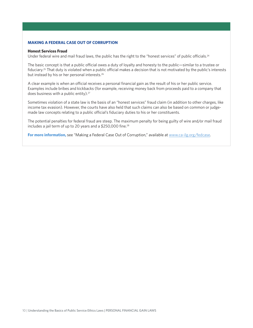#### **MAKING A FEDERAL CASE OUT OF CORRUPTION**

#### **Honest Services Fraud**

Under federal wire and mail fraud laws, the public has the right to the "honest services" of public officials.<sup>24</sup>

The basic concept is that a public official owes a duty of loyalty and honesty to the public—similar to a trustee or fiduciary.25 That duty is violated when a public official makes a decision that is not motivated by the public's interests but instead by his or her personal interests.<sup>26</sup>

A clear example is when an official receives a personal financial gain as the result of his or her public service. Examples include bribes and kickbacks (for example, receiving money back from proceeds paid to a company that does business with a public entity).<sup>27</sup>

Sometimes violation of a state law is the basis of an "honest services" fraud claim (in addition to other charges, like income tax evasion). However, the courts have also held that such claims can also be based on common or judgemade law concepts relating to a public official's fiduciary duties to his or her constituents.

The potential penalties for federal fraud are steep. The maximum penalty for being guilty of wire and/or mail fraud includes a jail term of up to 20 years and a \$250,000 fine.<sup>28</sup>

**For more information,** see "Making a Federal Case Out of Corruption," available at www.ca-ilg.org/fedcase.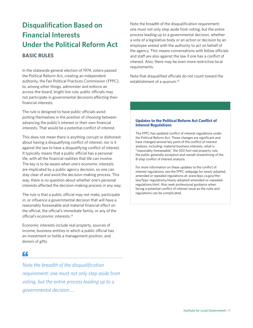## **Disqualification Based on Financial Interests Under the Political Reform Act BASIC RULES**

In the statewide general election of 1974, voters passed the Political Reform Act, creating an independent authority, the Fair Political Practices Commission (FPPC), to, among other things, administer and enforce an across-the-board, bright line rule: public officials may not participate in governmental decisions affecting their financial interests.

The rule is designed to have public officials avoid putting themselves in the position of choosing between advancing the public's interest or their own financial interests. That would be a potential conflict of interest.

This does not mean there is anything corrupt or dishonest about having a disqualifying conflict of interest; nor is it against the law to have a disqualifying conflict of interest. It typically means that a public official has a personal life, with all the financial realities that life can involve. The key is to be aware when one's economic interests are implicated by a public agency decision, so one can stay clear of and avoid the decision-making process. This way, there is no question about whether one's personal interests affected the decision-making process in any way.

The rule is that a public official may not make, participate in, or influence a governmental decision that will have a reasonably foreseeable and material financial effect on the official, the official's immediate family, or any of the official's economic interests.29

Economic interests include real property, sources of income, business entities in which a public official has an investment or holds a management position, and donors of gifts.

"

*Note the breadth of the disqualification requirement: one must not only step aside from voting, but the entire process leading up to a governmental decision….*

Note the breadth of the disqualification requirement: one must not only step aside from voting, but the entire process leading up to a governmental decision, whether a vote of a legislative body or an action or decision by an employee vested with the authority to act on behalf of the agency. This means conversations with fellow officials and staff are also against the law if one has a conflict of interest. Also, there may be even more restrictive local requirements.

Note that disqualified officials do not count toward the establishment of a quorum.30

#### **Updates to the Political Reform Act Conflict of Interest Regulations**

The FPPC has updated conflict of interest regulations under the Political Reform Act. These changes are significant and have changed several key parts of the conflict of interest analysis, including: material business interests, what is "reasonably foreseeable," the 500 foot real property rule, the public generally exception and overall streamlining of the 8-step conflict of interest analysis.

For more information on these updates to the conflict of interest regulations, see the FPPC webpage for newly adopted, amended or repealed regulations at: www.fppc.ca.gov/thelaw/fppc-regulations/newly-adopted-amended-or-repealedregulations.html. Also seek professional guidance when facing a potential conflict of interest issue as the rules and regulations can be complicated.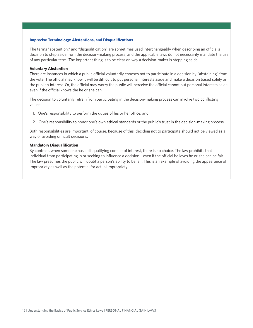#### **Imprecise Terminology: Abstentions, and Disqualifications**

The terms "abstention," and "disqualification" are sometimes used interchangeably when describing an official's decision to step aside from the decision-making process, and the applicable laws do not necessarily mandate the use of any particular term. The important thing is to be clear on *why* a decision-maker is stepping aside.

#### **Voluntary Abstention**

There are instances in which a public official voluntarily chooses not to participate in a decision by "abstaining" from the vote. The official may know it will be difficult to put personal interests aside and make a decision based solely on the public's interest. Or, the official may worry the public will perceive the official cannot put personal interests aside even if the official knows the he or she can.

The decision to voluntarily refrain from participating in the decision-making process can involve two conflicting values:

- 1. One's responsibility to perform the duties of his or her office; and
- 2. One's responsibility to honor one's own ethical standards or the public's trust in the decision-making process.

Both responsibilities are important, of course. Because of this, deciding not to participate should not be viewed as a way of avoiding difficult decisions.

#### **Mandatory Disqualification**

By contrast, when someone has a disqualifying conflict of interest, there is no choice. The law prohibits that individual from participating in or seeking to influence a decision—even if the official believes he or she can be fair. The law presumes the public will doubt a person's ability to be fair. This is an example of avoiding the appearance of impropriety as well as the potential for actual impropriety.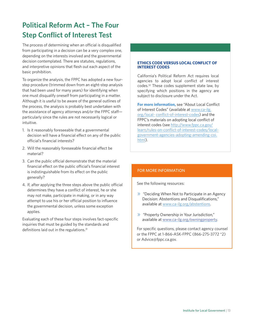## **Political Reform Act – The Four Step Conflict of Interest Test**

The process of determining when an official is disqualified from participating in a decision can be a very complex one, depending on the interests involved and the governmental decision contemplated. There are statutes, regulations, and interpretive opinions that flesh out each aspect of the basic prohibition.

To organize the analysis, the FPPC has adopted a new fourstep procedure (trimmed down from an eight-step analysis that had been used for many years) for identifying when one must disqualify oneself from participating in a matter. Although it is useful to be aware of the general outlines of the process, the analysis is probably best undertaken with the assistance of agency attorneys and/or the FPPC staff particularly since the rules are not necessarily logical or intuitive.

- 1. Is it reasonably foreseeable that a governmental decision will have a financial effect on any of the public official's financial interests?
- 2. Will the reasonably foreseeable financial effect be material?
- 3. Can the public official demonstrate that the material financial effect on the public official's financial interest is indistinguishable from its effect on the public generally?
- 4. If, after applying the three steps above the public official determines they have a conflict of interest, he or she may not make, participate in making, or in any way attempt to use his or her official position to influence the governmental decision, unless some exception applies.

Evaluating each of these four steps involves fact-specific inquiries that must be guided by the standards and definitions laid out in the regulations.<sup>31</sup>

#### **ETHICS CODE VERSUS LOCAL CONFLICT OF INTEREST CODES**

California's Political Reform Act requires local agencies to adopt local conflict of interest codes.32 These codes supplement state law, by specifying which positions in the agency are subject to disclosure under the Act.

**For more information,** see "About Local Conflict of Interest Codes" (available at www.ca-ilg. org/local- conflict-of-interest-codes) and the FPPC's materials on adopting local conflict of interest codes (see http://www.fppc.ca.gov/ learn/rules-on-conflict-of-interest-codes/localgovernment-agencies-adopting-amending-coi. html).

#### FOR MORE INFORMATION

See the following resources:

- » "Deciding When Not to Participate in an Agency Decision: Abstentions and Disqualifications," available at www.ca-ilg.org/abstentions.
- » "Property Ownership in Your Jurisdiction," available at www.ca-ilg.org/owningproperty.

For specific questions, please contact agency counsel or the FPPC at 1-866-ASK-FPPC (866-275-3772 \*2) or Advice@fppc.ca.gov.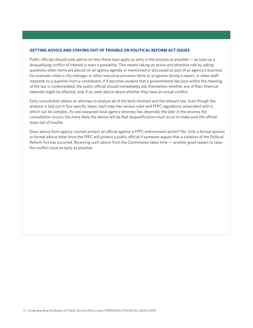#### **GETTING ADVICE AND STAYING OUT OF TROUBLE ON POLITICAL REFORM ACT ISSUES**

Public officials should seek advice on how these laws apply as early in the process as possible — as soon as a disqualifying conflict of interest is even a possibility. This means taking an active and attentive role by asking questions when items are placed on an agency agenda or mentioned or discussed as part of an agency's business. For example, when a city manager or other executive previews items or programs during a report, or when staff responds to a question from a constituent, if it becomes evident that a governmental decision within the meaning of the law is contemplated, the public official should immediately ask themselves whether any of their financial interests might be affected, and, if so, seek advice about whether they have an actual conflict.

Early consultation allows an attorney to analyze all of the facts involved and the relevant law. Even though the analysis is laid out in four specific steps, each step has various rules and FPPC regulations associated with it, which can be complex. As one seasoned local agency attorney has observed, the later in the process the consultation occurs, the more likely the advice will be that disqualification must occur to make sure the official stays out of trouble.

Does advice from agency counsel protect an official against a FPPC enforcement action? No. Only a formal opinion or formal advice letter from the FPPC will protect a public official if someone argues that a violation of the Political Reform Act has occurred. Receiving such advice from the Commission takes time — another good reason to raise the conflict issue as early as possible.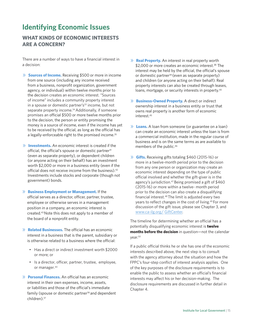## **Identifying Economic Issues**

#### **WHAT KINDS OF ECONOMIC INTERESTS ARE A CONCERN?**

There are a number of ways to have a financial interest in a decision:

- » **Sources of Income.** Receiving \$500 or more in income from one source (including any income received from a business, nonprofit organization, government agency, or individual) within twelve months prior to the decision creates an economic interest. "Sources of income" includes a community property interest in a spouse or domestic partner's<sup>33</sup> income, but not separate property income.<sup>34</sup> Additionally, if someone promises an official \$500 or more twelve months prior to the decision, the person or entity promising the money is a source of income, even if the income has yet to be received by the official, as long as the official has a legally-enforceable right to the promised income.<sup>35</sup>
- » **Investments.** An economic interest is created if the official, the official's spouse or domestic partner<sup>41</sup> (even as separate property), or dependent children (or anyone acting on their behalf) has an investment worth \$2,000 or more in a business entity (even if the official does not receive income from the business).<sup>42</sup> Investments include stocks and corporate (though not government) bonds.
- » **Business Employment or Management.** If the official serves as a director, officer, partner, trustee, employee or otherwise serves in a management position in a company, an economic interest is created.43 Note this does not apply to a member of the board of a nonprofit entity.
- » **Related Businesses.** The official has an economic interest in a business that is the parent, subsidiary or is otherwise related to a business where the official:
	- Has a direct or indirect investment worth \$2000 or more; or
	- Is a director, officer, partner, trustee, employee, or manager.<sup>44</sup>
- » **Personal Finances.** An official has an economic interest in their own expenses, income, assets, or liabilities and those of the official's immediate family (spouse or domestic partner<sup>36</sup> and dependent children).37
- » **Real Property.** An interest in real property worth \$2,000 or more creates an economic interest.<sup>38</sup> The interest may be held by the official, the official's spouse or domestic partner<sup>39</sup> (even as separate property) and children (or anyone acting on their behalf). Real property interests can also be created through leases, loans, mortgage, or security interests in property.<sup>40</sup>
- » **Business-Owned Property.** A direct or indirect ownership interest in a business entity or trust that owns real property is another form of economic interest.45
- » **Loans.** A loan from someone (or guarantee on a loan) can create an economic interest unless the loan is from a commercial institution, made in the regular course of business and is on the same terms as are available to members of the public.<sup>46</sup>
- » **Gifts.** Receiving gifts totaling \$460 (2015-16) or more in a twelve-month period prior to the decision from any one person or organization may create an economic interest depending on the type of public official involved and whether the gift-giver is in the agency's jurisdiction.<sup>47</sup> Being promised a gift of \$460 (2015-16) or more within a twelve- month period prior to the decision can also create a disqualifying financial interest.48 The limit is adjusted every two years to reflect changes in the cost of living.49 For more discussion of the gift issue, please see Chapter 3, and www.ca-ilg.org/ GiftCenter.

The timeline for determining whether an official has a potentially disqualifying economic interest is **twelve months before the decision** in question—not the calendar year.50

If a public official thinks he or she has one of the economic interests described above, the next step is to consult with the agency attorney about the situation and how the FPPC's four-step conflict of interest analysis applies. One of the key purposes of the disclosure requirements is to enable the public to assess whether an official's financial interests may affect his or her decision-making. The disclosure requirements are discussed in further detail in Chapter 4.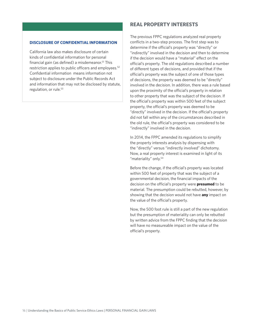#### **DISCLOSURE OF CONFIDENTIAL INFORMATION**

California law also makes disclosure of certain kinds of confidential information for personal financial gain (as defined) a misdemeanor. $51$  This restriction applies to public officers and employees.<sup>52</sup> Confidential information means information not subject to disclosure under the Public Records Act and information that may not be disclosed by statute, regulation, or rule.53

#### **REAL PROPERTY INTERESTS**

The previous FPPC regulations analyzed real property conflicts in a two-step process. The first step was to determine if the official's property was "directly" or "indirectly" involved in the decision and then to determine if the decision would have a "material" effect on the official's property. The old regulations described a number of different types of decisions, and provided that if the official's property was the subject of one of those types of decisions, the property was deemed to be "directly" involved in the decision. In addition, there was a rule based upon the proximity of the official's property in relation to other property that was the subject of the decision. If the official's property was within 500 feet of the subject property, the official's property was deemed to be "directly" involved in the decision. If the official's property did not fall within any of the circumstances described in the old rule, the official's property was considered to be "indirectly" involved in the decision.

In 2014, the FPPC amended its regulations to simplify the property interests analysis by dispensing with the "directly" versus "indirectly involved" dichotomy. Now, a real property interest is examined in light of its "materiality" only.<sup>54</sup>

Before the change, if the official's property was located within 500 feet of property that was the subject of a governmental decision, the financial impacts of the decision on the official's property were **presumed** to be material. The presumption could be rebutted, however, by showing that the decision would not have **any** impact on the value of the official's property.

Now, the 500 foot rule is still a part of the new regulation but the presumption of materiality can only be rebutted by written advice from the FPPC finding that the decision will have no measureable impact on the value of the official's property.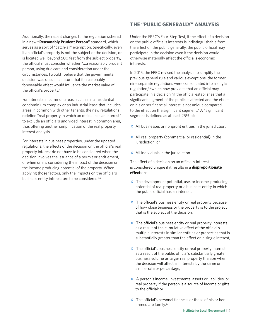Additionally, the recent changes to the regulation ushered in a new **"Reasonably Prudent Person"** standard, which serves as a sort of "catch-all" exemption. Specifically, even if an official's property is not the subject of the decision, or is located well beyond 500 feet from the subject property, the official must consider whether "…a reasonably prudent person, using due care and consideration under the circumstances, [would] believe that the governmental decision was of such a nature that its reasonably foreseeable effect would influence the market value of the official's property."

For interests in common areas, such as in a residential condominium complex or an industrial lease that includes areas in common with other tenants, the new regulations redefine "real property in which an official has an interest" to exclude an official's undivided interest in common area, thus offering another simplification of the real property interest analysis.

For interests in business properties, under the updated regulations, the effects of the decision on the official's real property interest do not have to be considered when the decision involves the issuance of a permit or entitlement, or when one is considering the impact of the decision on the income producing potential of the property. When applying those factors, only the impacts on the official's business entity interest are to be considered.<sup>55</sup>

#### **THE "PUBLIC GENERALLY" ANALYSIS**

Under the FPPC's Four-Step Test, if the effect of a decision on the public official's interests is indistinguishable from the effect on the public generally, the public official may participate in the decision even if the decision would otherwise materially affect the official's economic interests.

In 2015, the FPPC revised the analysis to simplify the previous general rule and various exceptions; the former nine separate regulations were consolidated into a single regulation,<sup>56</sup> which now provides that an official may participate in a decision "if the official establishes that a significant segment of the public is affected and the effect on his or her financial interest is not unique compared to the effect on the significant segment." A "significant segment is defined as at least 25% of:

- » All businesses or nonprofit entities in the jurisdiction;
- » All real property (commercial or residential) in the jurisdiction; or
- » All individuals in the jurisdiction.

The effect of a decision on an official's interest is considered unique if it results in a **disproportionate effect** on:

- » The development potential, use, or income-producing potential of real property or a business entity in which the public official has an interest;
- » The official's business entity or real property because of how close business or the property is to the project that is the subject of the decision;
- » The official's business entity or real property interests as a result of the cumulative effect of the official's multiple interests in similar entities or properties that is substantially greater than the effect on a single interest;
- » The official's business entity or real property interests as a result of the public official's substantially greater business volume or larger real property the size when the decision will affect all interests by the same or similar rate or percentage;
- » A person's income, investments, assets or liabilities, or real property if the person is a source of income or gifts to the official; or
- » The official's personal finances or those of his or her immediate family.<sup>57</sup>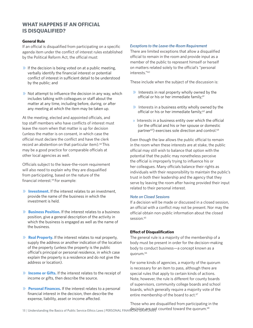#### **WHAT HAPPENS IF AN OFFICIAL IS DISQUALIFIED?**

#### **General Rule**

If an official is disqualified from participating on a specific agenda item under the conflict of interest rules established by the Political Reform Act, the official must:

- » If the decision is being voted on at a public meeting, verbally identify the financial interest or potential conflict of interest in sufficient detail to be understood by the public; and
- » Not attempt to influence the decision in any way, which includes talking with colleagues or staff about the matter at any time, including before, during, or after any meeting at which the item may be taken up.

At the meeting, elected and appointed officials, and top staff members who have conflicts of interest must leave the room when that matter is up for decision (unless the matter is on consent, in which case the official must declare the conflict and have the clerk record an abstention on that particular item).58 This may be a good practice for comparable officials at other local agencies as well.

Officials subject to the leave-the-room requirement will also need to explain why they are disqualified from participating, based on the nature of the financial interest.59 For example:

- » **Investment.** If the interest relates to an investment, provide the name of the business in which the investment is held.
- » **Business Position.** If the interest relates to a business position, give a general description of the activity in which the business is engaged as well as the name of the business.
- » **Real Property.** If the interest relates to real property, supply the address or another indication of the location of the property (unless the property is the public official's principal or personal residence, in which case explain the property is a residence and do not give the address or location).
- » **Income or Gifts.** If the interest relates to the receipt of income or gifts, then describe the source.
- » **Personal Finances.** If the interest relates to a personal financial interest in the decision, then describe the expense, liability, asset or income affected.

#### *Exceptions to the Leave-the-Room Requirement*

There are limited exceptions that allow a disqualified official to remain in the room and provide input as a member of the public to represent himself or herself on matters related solely to the official's "personal interests."60

These include when the subject of the discussion is:

- » Interests in real property wholly owned by the official or his or her immediate family;<sup>61</sup>
- » Interests in a business entity wholly owned by the official or his or her immediate family;<sup>62</sup> and
- » Interests in a business entity over which the official (or the official and his or her spouse or domestic partner<sup>63</sup>) exercises sole direction and control.<sup>64</sup>

Even though the law allows the public official to remain in the room when these interests are at stake, the public official may still wish to balance that option with the potential that the public may nonetheless perceive the official is improperly trying to influence his or her colleagues. Many officials balance their rights as individuals with their responsibility to maintain the public's trust in both their leadership and the agency that they serve by leaving the room after having provided their input related to their personal interest.

#### *Note on Closed Sessions*

If a decision will be made or discussed in a closed session, an official with a conflict may not be present. Nor may the official obtain non-public information about the closed session.<sup>65</sup>

#### **Effect of Disqualification**

The general rule is a majority of the membership of a body must be present in order for the decision-making body to conduct business—a concept known as a quorum.66

For some kinds of agencies, a majority of the quorum is necessary for an item to pass, although there are special rules that apply to certain kinds of actions. Note, however, the rule is different for county boards of supervisors, community college boards and school boards, which generally require a majority vote of the entire membership of the board to act.<sup>67</sup>

Those who are disqualified from participating in the

18 | Understanding the Basics of Public Service Ethics Laws | PERSONAL FINANCRISION arg wat counted toward the quorum.<sup>68</sup>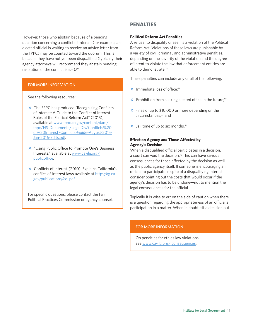However, those who abstain because of a pending question concerning a conflict of interest (for example, an elected official is waiting to receive an advice letter from the FPPC) may be counted toward the quorum. This is because they have not yet been disqualified (typically their agency attorneys will recommend they abstain pending resolution of the conflict issue).69

#### FOR MORE INFORMATION

See the following resources:

- » The FPPC has produced "Recognizing Conflicts of Interest: A Guide to the Conflict of Interest Rules of the Political Reform Act" (2015), available at www.fppc.ca.gov/content/dam/ fppc/NS-Documents/LegalDiv/Conflicts%20 of%20Interest/Conflicts-Guide-August-2015- Jan-2016-Edits.pdf.
- » "Using Public Office to Promote One's Business Interests," available at www.ca-ilg.org/ publicoffice.
- » Conflicts of Interest (2010). Explains California's conflict-of-interest laws available at http://ag.ca. gov/publications/coi.pdf.

For specific questions, please contact the Fair Political Practices Commission or agency counsel.

#### **PENALTIES**

#### **Political Reform Act Penalties**

A refusal to disqualify oneself is a violation of the Political Reform Act. Violations of these laws are punishable by a variety of civil, criminal, and administrative penalties, depending on the severity of the violation and the degree of intent to violate the law that enforcement entities are able to demonstrate.70

These penalties can include any or all of the following:

- » Immediate loss of office;71
- » Prohibition from seeking elected office in the future;72
- » Fines of up to \$10,000 or more depending on the circumstances;73 and
- $\lambda$  Jail time of up to six months.<sup>74</sup>

#### **Effect on Agency and Those Affected by Agency's Decision**

When a disqualified official participates in a decision, a court can void the decision.<sup>75</sup> This can have serious consequences for those affected by the decision as well as the public agency itself. If someone is encouraging an official to participate in spite of a disqualifying interest, consider pointing out the costs that would occur if the agency's decision has to be undone—not to mention the legal consequences for the official.

Typically it is wise to err on the side of caution when there is a question regarding the appropriateness of an official's participation in a matter. When in doubt, sit a decision out.

#### FOR MORE INFORMATION

On penalties for ethics law violations, see www.ca-ilg.org/ consequences.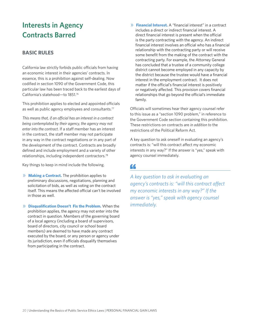## **Interests in Agency Contracts Barred**

#### **BASIC RULES**

California law strictly forbids public officials from having an economic interest in their agencies' contracts. In essence, this is a prohibition against self-dealing. Now codified in section 1090 of the Government Code, this particular law has been traced back to the earliest days of California's statehood—to 1851.76

This prohibition applies to elected and appointed officials as well as public agency employees and consultants.<sup>77</sup>

*This means that, if an official has an interest in a contract being contemplated by their agency, the agency may not enter into the contract*. If a staff member has an interest in the contract, the staff member may not participate in any way in the contract negotiations or in any part of the development of the contract. Contracts are broadly defined and include employment and a variety of other relationships, including independent contractors.78

Key things to keep in mind include the following.

- » **Making a Contract.** The prohibition applies to preliminary discussions, negotiations, planning and solicitation of bids, as well as voting on the contract itself. This means the affected official can't be involved in those as well.
- » **Disqualification Doesn't Fix the Problem.** When the prohibition applies, the agency may not enter into the contract in question. Members of the governing board of a local agency (including a board of supervisors, board of directors, city council or school board members) are deemed to have made any contract executed by the board, or any person or agency under its jurisdiction, even if officials disqualify themselves from participating in the contract.

» **Financial Interest.** A "financial interest" in a contract includes a direct or indirect financial interest. A direct financial interest is present when the official is the party contracting with the agency. An indirect financial interest involves an official who has a financial relationship with the contracting party or will receive some benefit from the making of the contract with the contracting party. For example, the Attorney General has concluded that a trustee of a community college district cannot become employed in any capacity by the district because the trustee would have a financial interest in the employment contract. It does not matter if the official's financial interest is positively or negatively affected. This provision covers financial relationships that go beyond the official's immediate family.

Officials will sometimes hear their agency counsel refer to this issue as a "section 1090 problem," in reference to the Government Code section containing this prohibition. These restrictions on contracts are *in addition to* the restrictions of the Political Reform Act.

A key question to ask oneself in evaluating an agency's contracts is: "will this contract affect my economic interests in any way?" If the answer is "yes," speak with agency counsel immediately.

### "

*A key question to ask in evaluating an agency's contracts is: "will this contract affect my economic interests in any way?" If the answer is "yes," speak with agency counsel immediately.*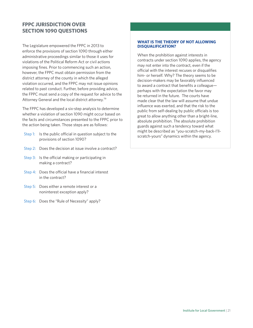# **FPPC JURISDICTION OVER SECTION 1090 QUESTIONS**

The Legislature empowered the FPPC in 2013 to enforce the provisions of section 1090 through either administrative proceedings similar to those it uses for violations of the Political Reform Act or civil actions imposing fines. Prior to commencing such an action, however, the FPPC must obtain permission from the district attorney of the county in which the alleged violation occurred, and the FPPC may not issue opinions related to past conduct. Further, before providing advice, the FPPC must send a copy of the request for advice to the Attorney General and the local district attorney.79

The FPPC has developed a six-step analysis to determine whether a violation of section 1090 might occur based on the facts and circumstances presented to the FPPC prior to the action being taken. Those steps are as follows:

- Step 1: Is the public official in question subject to the provisions of section 1090?
- Step 2: Does the decision at issue involve a contract?
- Step 3: Is the official making or participating in making a contract?
- Step 4: Does the official have a financial interest in the contract?
- Step 5: Does either a remote interest or a noninterest exception apply?
- Step 6: Does the "Rule of Necessity" apply?

#### **WHAT IS THE THEORY OF NOT ALLOWING DISQUALIFICATION?**

When the prohibition against interests in contracts under section 1090 applies, the agency may not enter into the contract, even if the official with the interest recuses or disqualifies him- or herself. Why? The theory seems to be decision-makers may be favorably influenced to award a contract that benefits a colleague perhaps with the expectation the favor may be returned in the future. The courts have made clear that the law will assume that undue influence was exerted, and that the risk to the public from self-dealing by public officials is too great to allow anything other than a bright-line, absolute prohibition. The absolute prohibition guards against such a tendency toward what might be described as "you-scratch-my-back-I'llscratch-yours" dynamics within the agency.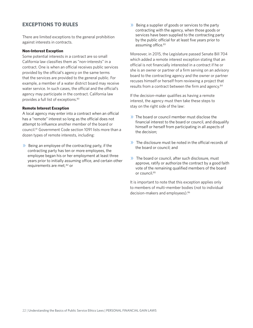# **EXCEPTIONS TO RULES**

There are limited exceptions to the general prohibition against interests in contracts.

#### **Non-Interest Exception**

Some potential interests in a contract are so small California law classifies them as "non-interests" in a contract. One is when an official receives public services provided by the official's agency on the same terms that the services are provided to the general public. For example, a member of a water district board may receive water service. In such cases, the official and the official's agency may participate in the contract. California law provides a full list of exceptions.80

#### **Remote Interest Exception**

A local agency may enter into a contract when an official has a "remote" interest so long as the official does not attempt to influence another member of the board or council.81 Government Code section 1091 lists more than a dozen types of remote interests, including:

» Being an employee of the contracting party, if the contracting party has ten or more employees, the employee began his or her employment at least three years prior to initially assuming office, and certain other requirements are met; 82 or

» Being a supplier of goods or services to the party contracting with the agency, when those goods or services have been supplied to the contracting party by the public official for at least five years prior to assuming office.<sup>83</sup>

Moreover, in 2015, the Legislature passed Senate Bill 704 which added a remote interest exception stating that an official is not financially interested in a contract if he or she is an owner or partner of a firm serving on an advisory board to the contracting agency and the owner or partner recuses himself or herself from reviewing a project that results from a contract between the firm and agency.84

If the decision-maker qualifies as having a remote interest, the agency must then take these steps to stay on the right side of the law:

- » The board or council member must disclose the financial interest to the board or council, and disqualify himself or herself from participating in all aspects of the decision;
- » The disclosure must be noted in the official records of the board or council; and
- » The board or council, after such disclosure, must approve, ratify or authorize the contract by a good faith vote of the remaining qualified members of the board or council.85

It is important to note that this exception applies only to members of multi-member bodies (not to individual decision-makers and employees).86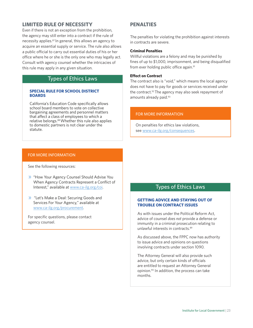### **LIMITED RULE OF NECESSITY**

Even if there is not an exception from the prohibition, the agency may still enter into a contract if the rule of necessity applies.87 In general, this allows an agency to acquire an essential supply or service. The rule also allows a public official to carry out essential duties of his or her office where he or she is the only one who may legally act. Consult with agency counsel whether the intricacies of this rule may apply in any given situation.

# Types of Ethics Laws

#### **SPECIAL RULE FOR SCHOOL DISTRICT BOARDS**

California's Education Code specifically allows school board members to vote on collective bargaining agreements and personnel matters that affect a class of employees to which a relative belongs.88 Whether this rule also applies to domestic partners is not clear under the statute.

### **PENALTIES**

The penalties for violating the prohibition against interests in contracts are severe.

#### **Criminal Penalties**

Willful violations are a felony and may be punished by fines of up to \$1,000, imprisonment, and being disqualified from ever holding public office again.<sup>91</sup>

#### **Effect on Contract**

The contract also is "void," which means the local agency does not have to pay for goods or services received under the contract.92 The agency may also seek repayment of amounts already paid.<sup>93</sup>

#### FOR MORE INFORMATION

On penalties for ethics law violations, see www.ca-ilg.org/consequences.

#### FOR MORE INFORMATION

See the following resources:

- » "How Your Agency Counsel Should Advise You When Agency Contracts Represent a Conflict of Interest," available at www.ca-ilg.org/coi.
- » "Let's Make a Deal: Securing Goods and Services For Your Agency," available at www.ca-ilg.org/procurement.

For specific questions, please contact agency counsel.

## Types of Ethics Laws

#### **GETTING ADVICE AND STAYING OUT OF TROUBLE ON CONTRACT ISSUES**

As with issues under the Political Reform Act, advice of counsel *does not* provide a defense or immunity in a criminal prosecution relating to unlawful interests in contracts.89

As discussed above, the FPPC now has authority to issue advice and opinions on questions involving contracts under section 1090.

The Attorney General will also provide such advice, but only certain kinds of officials are entitled to request an Attorney General opinion.90 In addition, the process can take months.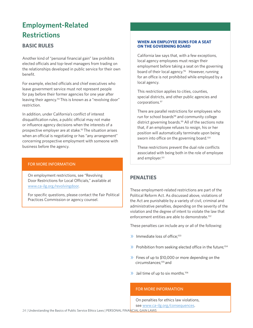# **Employment-Related Restrictions**

# **BASIC RULES**

Another kind of "personal financial gain" law prohibits elected officials and top-level managers from trading on the relationships developed in public service for their own benefit.

For example, elected officials and chief executives who leave government service must not represent people for pay before their former agencies for one year after leaving their agency.<sup>94</sup> This is known as a "revolving door" restriction.

In addition, under California's conflict of interest disqualification rules, a public official may not make or influence agency decisions when the interests of a prospective employer are at stake.95 The situation arises when an official is negotiating or has "any arrangement" concerning prospective employment with someone with business before the agency.

#### FOR MORE INFORMATION

On employment restrictions, see "Revolving Door Restrictions for Local Officials," available at www.ca-ilg.org/revolvingdoor.

For specific questions, please contact the Fair Political Practices Commission or agency counsel.

#### **WHEN AN EMPLOYEE RUNS FOR A SEAT ON THE GOVERNING BOARD**

California law says that, with a few exceptions, local agency employees must resign their employment before taking a seat on the governing board of their local agency.<sup>96</sup> However, running for an office is not prohibited while employed by a local agency.

This restriction applies to cities, counties, special districts, and other public agencies and corporations.97

There are parallel restrictions for employees who run for school boards<sup>98</sup> and community college district governing boards.<sup>99</sup> All of the sections note that, if an employee refuses to resign, his or her position will automatically terminate upon being sworn into office on the governing board.<sup>100</sup>

These restrictions prevent the dual role conflicts associated with being both in the role of employee and employer.101

# **PENALTIES**

These employment-related restrictions are part of the Political Reform Act. As discussed above, violations of the Act are punishable by a variety of civil, criminal and administrative penalties, depending on the severity of the violation and the degree of intent to violate the law that enforcement entities are able to demonstrate.<sup>102</sup>

These penalties can include any or all of the following:

- » Immediate loss of office;103
- » Prohibition from seeking elected office in the future;104
- » Fines of up to \$10,000 or more depending on the circumstances;105 and
- >> Jail time of up to six months.<sup>106</sup>

#### FOR MORE INFORMATION

On penalties for ethics law violations, see www.ca-ilg.org/consequences.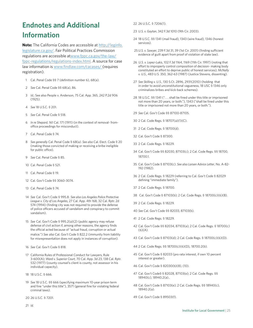# **Endnotes and Additional Information**

**Note:** The California Codes are accessible at http://leginfo. legislature.ca.gov/. Fair Political Practices Commission regulations are accessible atwww.fppc.ca.gov/the-law/ fppc-regulations/regulations-index.html. A source for case law information is www.findlaw.com/cacases/ (requires registration).

- 1 Cal. Penal Code §§ 7 (definition number 6), 68(a).
- 2 *See* Cal. Penal Code §§ 68(a), 86.
- 3 *Id*.; See also People v. Anderson, 75 Cal. App. 365, 242 P.2d 906 (1925).
- 4 *See* 18 U.S.C. § 201.
- 5 *See* Cal. Penal Code § 518.
- 6 *In re Shepard*, 161 Cal. 171 (1911) (in the context of removal- fromoffice proceedings for misconduct).
- 7 Cal. Penal Code § 74.
- 8 *See generally* Cal. Penal Code § 68(a*). See also* Cal. Elect. Code § 20 (making those convicted of making or receiving a bribe ineligible for public office).
- 9 *See* Cal. Penal Code § 85.
- 10 Cal. Penal Code § 521.
- 11 Cal. Penal Code § 19.
- 12 Cal. Gov't Code §§ 3060-3074.
- 13 Cal. Penal Code § 74.
- 14 *See* Cal. Gov't Code § 995.8. *See also Los Angeles Police Protective League v. City of Los Angeles,* 27 Cal. App. 4th 168, 32 Cal. Rptr. 2d 574 (1994) (finding city was not required to provide the defense of police officers accused of vandalism and conspiracy to commit vandalism).
- 15 *See* Cal. Gov't Code § 995.2(a)(2) (public agency may refuse defense of civil action if, among other reasons, the agency finds the official acted because of "actual fraud, corruption or actual malice.") *See also* Cal. Gov't Code § 822.2 (immunity from liability for misrepresentation does not apply in instances of corruption).
- 16 *See* Cal. Gov't Code § 818.
- 17 California Rules of Professional Conduct for Lawyers, Rule 3-600(A); *Ward v. Superior Court,* 70 Cal. App. 3d 23, 138 Cal. Rptr. 532 (1977) (county counsel's client is county, not assessor in his individual capacity).
- 18 18 U.S.C. § 666.
- 19 *See* 18 U.S.C. §§ 666 (specifying maximum 10-year prison term and fine "under this title"), 3571 (general fine for violating federal criminal laws).
- 20 26 U.S.C. § 7201.
- 21 *Id*.
- 22 26 U.S.C. § 7206(1).
- 23 *U.S. v. Gaytan*, 342 F.3d 1010 (9th Cir. 2003).
- 24 18 U.S.C. §§ 1341 (mail fraud), 1343 (wire fraud), 1346 (honest services).
- 25 *U.S. v. Sawyer*, 239 F.3d 31, 39 (1st Cir. 2001) (finding sufficient evidence of guilt apart from proof of violation of state law).
- 26 *U.S. v. Lopez-Lukis*, 102 F.3d 1164, 1169 (11th Cir. 1997) (noting that effort to improperly control composition of decision- making body constituted an effort to deprive public of honest services); *McNally v. U.S.*, 483 U.S. 350, 362-63 (1987) (Justice Stevens, dissenting).
- 27 *See Skilling v. U.S.*, 130 S.Ct. 2896, 2931(2010) (holding that in order to avoid unconstitutional vagueness, 18 USC § 1346 only criminalizes bribes and kick-back schemes).
- 28 18 U.S.C. §§ 1341 (". . . shall be fined under this title or imprisoned not more than 20 years, or both."), 1343 ("shall be fined under this title or imprisoned not more than 20 years, or both.").
- 29 *See* Cal. Gov't Code §§ 87100-87105.
- 30 2 Cal. Code Regs. § 18707(a)(1)(C).
- 31 2 Cal. Code Regs. § 18700(d).
- 32 Cal. Gov't Code § 87300.
- 33 2 Cal. Code Regs. § 18229.
- 34 Cal. Gov't Code §§ 82030, 87103(c); 2 Cal. Code Regs. §§ 18700, 18700.1.
- 35 Cal. Gov't Code § 87103(c). *See also Larsen Advice Letter*, No. A-82- 192 (1982).
- 36 2 Cal. Code Regs. § 18229 (referring to Cal. Gov't Code § 82029 defining "immediate family").
- 37 2 Cal. Code Regs. § 18700.
- 38 Cal. Gov't Code § 87103(b); 2 Cal. Code Regs. § 18700(c)(6)(B).
- 39 2 Cal. Code Regs. § 18229.
- 40 *See* Cal. Gov't Code §§ 82033, 87103(b).
- 41 2 Cal. Code Regs. § 18229.
- 42 Cal. Gov't Code §§ 82034, 87103(a); 2 Cal. Code Regs. § 18700(c) (6)(A).
- 43 Cal. Gov't Code § 87103(d); 2 Cal. Code Regs. § 18700(c)(6)(D).
- 44 2 Cal. Code Regs. §§ 18700(c)(6)(D), 18700.2(b).
- 45 Cal. Gov't Code § 82033 (pro rata interest, if own 10 percent interest or greater).
- 46 Cal. Gov't Code § 82030(b)(8), (10).
- 47 Cal. Gov't Code§ § 82028, 87103(e); 2 Cal. Code Regs. §§ 18940(c), 18940.2(a)..
- 48 Cal. Gov't Code § 87103(e); 2 Cal. Code Regs. §§ 18940(c), 18940.2(a).
- 49 Cal. Gov't Code § 89503(f).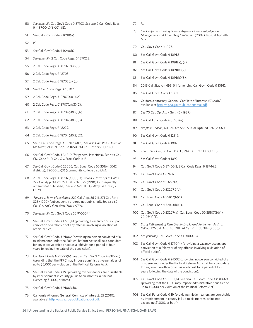- *See generally* Cal. Gov't Code § 87103. *See also* 2 Cal. Code Regs. § 418700(c)(6)(C), (E).
- *See* Cal. Gov't Code § 1098(a).
- *Id*.
- *See* Cal. Gov't Code § 1098(b)
- *See generally,* 2 Cal. Code Regs. § 18702.2.
- 2 Cal. Code Regs. § 18702.2(a)(5).
- 2 Cal. Code Regs. § 18703.
- 2 Cal. Code Regs. § 18703(b),(c).
- *See* 2 Cal. Code Regs. § 18707.
- 2 Cal. Code Regs. §18707(a)(1)(A).
- 2 Cal. Code Regs. §18707(a)(3)(C).
- 2 Cal. Code Regs. § 18704(d)(2)(A).
- 2 Cal. Code Regs. § 18704(d)(2)(B).
- 2 Cal. Code Regs. § 18229.
- 2 Cal. Code Regs. § 18704(d)(2)(C).
- *See* 2 Cal. Code Regs. § 18707(a)(2). *See also Hamilton v. Town of Los Gatos*, 213 Cal. App. 3d 1050, 261 Cal. Rptr. 888 (1989).
- *See* Cal. Gov't Code § 36810 (for general law cities). *See also* Cal. Civ. Code § 12; Cal. Civ. Proc. Code § 15.
- *See* Cal. Gov't Code § 25005; Cal. Educ. Code §§ 35164 (K-12 districts), 72000(d)(3) (community college districts).
- 2 Cal. Code Regs. § 18707(a)(1)(C); *Farwell v. Town of Los Gatos*, 222 Cal. App. 3d 711, 271 Cal. Rptr. 825 (1990) (subsequently ordered not published). *See also* 62 Cal. Op. Att'y Gen. 698, 700 (1979).
- *Farwell v. Town of Los Gatos*, 222 Cal. App. 3d 711, 271 Cal. Rptr. 825 (1990) (subsequently ordered not published). *See also* 62 Cal. Op. Att'y Gen. 698, 700 (1979).
- *See generally* Cal. Gov't Code §§ 91000-14.
- *See* Cal. Gov't Code § 1770(h) (providing a vacancy occurs upon conviction of a felony or of any offense involving a violation of official duties).
- *See* Cal. Gov't Code § 91002 (providing no person convicted of a misdemeanor under the Political Reform Act shall be a candidate for any elective office or act as a lobbyist for a period of four years following the date of the conviction).
- Cal. Gov't Code § 91000(b). *See also* Cal. Gov't Code § 83116(c) (providing that the FPPC may impose administrative penalties of up to \$5,000 per violation of the Political Reform Act).
- *See* Cal. Penal Code § 19 (providing misdemeanors are punishable by imprisonment in county jail up to six months, a fine not exceeding \$1,000, or both).
- *See* Cal. Gov't Code § 91003(b).
- California Attorney General, Conflicts of Interest, 55 (2010), available at http://ag.ca.gov/publications/coi.pdf.
- *Id*.
- *See California Housing Finance Agency v. Hanover/California Management and Accounting Center, Inc.* (2007) 148 Cal.App.4th 682.
- 79 Cal. Gov't Code § 1097.1.
- *See* Cal. Gov't Code § 1091.5.
- *See* Cal. Gov't Code § 1091(a), (c).
- *See* Cal. Gov't Code § 1091(b)(2).
- *See* Cal. Gov't Code § 1091(b)(8).
- 2015 Cal. Stat. ch. 495, § 1 (amending Cal. Gov't Code § 1091).
- *See* Cal. Gov't. Code § 1091.
- California Attorney General, Conflicts of Interest, 67(2010), available at http://ag.ca.gov/publications/coi.pdf.
- *See* 70 Cal. Op. Att'y Gen. 45 (1987).
- *See* Cal. Educ. Code § 35107(e).
- *People v. Chacon*, 40 Cal. 4th 558, 53 Cal. Rptr. 3d 876 (2007).
- *See* Cal. Gov't Code § 12519.
- *See* Cal. Gov't Code § 1097.
- *Thomson v. Call*, 38 Cal. 3d 633, 214 Cal. Rptr. 139 (1985).
- *See* Cal. Gov't Code § 1092.
- Cal. Gov't Code § 87406.3; 2 Cal. Code Regs. § 18746.3.
- Cal. Gov't Code § 87407.
- Cal. Gov't Code § 53227(a).
- Cal. Gov't Code § 53227.2(a).
- Cal. Educ. Code § 35107(b)(1).
- Cal. Educ. Code § 72103(b)(1).
- Cal. Gov't Code § 53227(a); Cal. Educ. Code §§ 35107(b)(1), 72103(b)(1).
- *Bd. of Retirement of Kern County Employees' Retirement Ass'n v. Bellino*, 126 Cal. App. 4th 781, 24 Cal. Rptr. 3d 384 (2005).
- *See generally* Cal. Gov't Code §§ 91000-14.
- *See* Cal. Gov't Code § 1770(h) (providing a vacancy occurs upon conviction of a felony or of any offense involving a violation of official duties).
- *See* Cal. Gov't Code § 91002 (providing no person convicted of a misdemeanor under the Political Reform Act shall be a candidate for any elective office or act as a lobbyist for a period of four years following the date of the conviction).
- Cal. Gov't Code § 91000(b). *See also* Cal. Gov't Code § 83116(c) (providing that the FPPC may impose administrative penalties of up to \$5,000 per violation of the Political Reform Act).
- *See* Cal. Penal Code § 19 (providing misdemeanors are punishable by imprisonment in county jail up to six months, a fine not exceeding \$1,000, or both).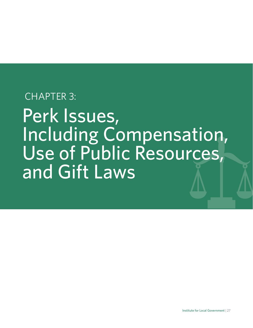# CHAPTER 3: Perk Issues, Including Compensation, Use of Public Resources, and Gift Laws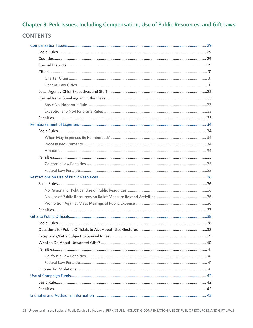# Chapter 3: Perk Issues, Including Compensation, Use of Public Resources, and Gift Laws

# **CONTENTS**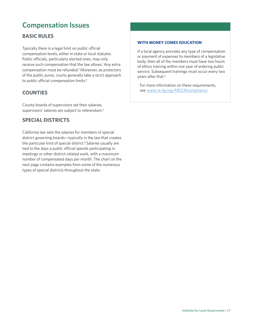# **Compensation Issues**

# **BASIC RULES**

Typically there is a legal limit on public official compensation levels, either in state or local statutes. Public officials, particularly elected ones, may only receive such compensation that the law allows.1 Any extra compensation must be refunded.2 Moreover, as protectors of the public purse, courts generally take a strict approach to public official compensation limits.3

# **COUNTIES**

County boards of supervisors set their salaries; supervisors' salaries are subject to referendum.<sup>5</sup>

# **SPECIAL DISTRICTS**

California law sets the salaries for members of special district governing boards—typically in the law that creates the particular kind of special district.<sup>6</sup> Salaries usually are tied to the days a public official spends participating in meetings or other district-related work, with a maximum number of compensated days per month. The chart on the next page contains examples from some of the numerous types of special districts throughout the state.

#### **WITH MONEY COMES EDUCATION**

If a local agency provides any type of compensation or payment of expenses to members of a legislative body, then all of the members must have two hours of ethics training within one year of entering public service. Subsequent trainings must occur every two years after that.<sup>4</sup>

For more information on these requirements, see www.ca-ilg.org/AB1234compliance.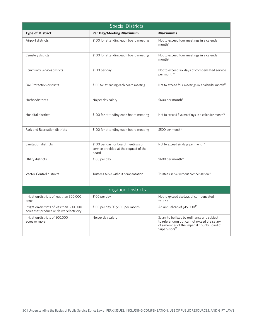|                                                                                        | <b>Special Districts</b>                                                               |                                                                                                                                                                       |  |  |
|----------------------------------------------------------------------------------------|----------------------------------------------------------------------------------------|-----------------------------------------------------------------------------------------------------------------------------------------------------------------------|--|--|
| <b>Type of District</b>                                                                | <b>Per Day/Meeting Maximum</b>                                                         | <b>Maximums</b>                                                                                                                                                       |  |  |
| Airport districts                                                                      | \$100 for attending each board meeting                                                 | Not to exceed four meetings in a calendar<br>month <sup>7</sup>                                                                                                       |  |  |
| Cemetery districts                                                                     | \$100 for attending each board meeting                                                 | Not to exceed four meetings in a calendar<br>month <sup>8</sup>                                                                                                       |  |  |
| <b>Community Services districts</b>                                                    | \$100 per day                                                                          | Not to exceed six days of compensated service<br>per month <sup>9</sup>                                                                                               |  |  |
| Fire Protection districts                                                              | \$100 for attending each board meeting                                                 | Not to exceed four meetings in a calendar month <sup>10</sup>                                                                                                         |  |  |
| <b>Harbor districts</b>                                                                | No per day salary                                                                      | \$600 per month <sup>11</sup>                                                                                                                                         |  |  |
| Hospital districts                                                                     | \$100 for attending each board meeting                                                 | Not to exceed five meetings in a calendar month <sup>12</sup>                                                                                                         |  |  |
| Park and Recreation districts                                                          | \$100 for attending each board meeting                                                 | \$500 per month <sup>13</sup>                                                                                                                                         |  |  |
| Sanitation districts                                                                   | \$100 per day for board meetings or<br>service provided at the request of the<br>board | Not to exceed six days per month <sup>14</sup>                                                                                                                        |  |  |
| Utility districts                                                                      | \$100 per day                                                                          | $$600$ per month <sup>15</sup>                                                                                                                                        |  |  |
| Vector Control districts                                                               | Trustees serve without compensation                                                    | Trustees serve without compensation <sup>16</sup>                                                                                                                     |  |  |
| <b>Irrigation Districts</b>                                                            |                                                                                        |                                                                                                                                                                       |  |  |
| Irrigation districts of less than 500,000<br>acres                                     | \$100 per day                                                                          | Not to exceed six days of compensated<br>service <sup>17</sup>                                                                                                        |  |  |
| Irrigation districts of less than 500,000<br>acres that produce or deliver electricity | \$100 per day OR \$600 per month                                                       | An annual cap of $$15,000^{18}$                                                                                                                                       |  |  |
| Irrigation districts of 500,000<br>acres or more                                       | No per day salary                                                                      | Salary to be fixed by ordinance and subject<br>to referendum but cannot exceed the salary<br>of a member of the Imperial County Board of<br>Supervisors <sup>19</sup> |  |  |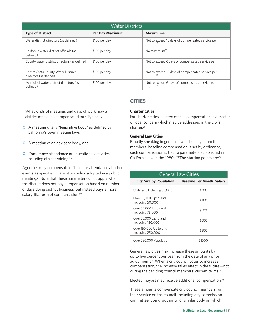| <b>Water Districts</b>                                       |                        |                                                                         |  |  |
|--------------------------------------------------------------|------------------------|-------------------------------------------------------------------------|--|--|
| <b>Type of District</b>                                      | <b>Per Day Maximum</b> | <b>Maximums</b>                                                         |  |  |
| Water district directors (as defined)                        | \$100 per day          | Not to exceed 10 days of compensated service per<br>month <sup>20</sup> |  |  |
| California water district officials (as<br>defined)          | \$100 per day          | No maximum <sup>21</sup>                                                |  |  |
| County water district directors (as defined)                 | \$100 per day          | Not to exceed 6 days of compensated service per<br>month <sup>22</sup>  |  |  |
| Contra Costa County Water District<br>directors (as defined) | \$100 per day          | Not to exceed 10 days of compensated service per<br>month <sup>23</sup> |  |  |
| Municipal water district directors (as<br>defined)           | \$100 per day          | Not to exceed 6 days of compensated service per<br>month <sup>24</sup>  |  |  |

What kinds of meetings and days of work may a district official be compensated for? Typically:

- » A meeting of any "legislative body" as defined by California's open meeting laws;
- » A meeting of an advisory body; and
- » Conference attendance or educational activities, including ethics training.25

Agencies may compensate officials for attendance at other events as specified in a written policy adopted in a public meeting.26 Note that these parameters don't apply when the district does not pay compensation based on number of days doing district business, but instead pays a more salary-like form of compensation.<sup>27</sup>

# **CITIES**

#### **Charter Cities**

For charter cities, elected official compensation is a matter of local concern which may be addressed in the city's charter.28

#### **General Law Cities**

Broadly speaking in general law cities, city council members' baseline compensation is set by ordinance; such compensation is tied to parameters established in California law in the 1980s.<sup>29</sup> The starting points are:<sup>30</sup>

| <b>General Law Cities</b>                   |                                  |  |  |  |
|---------------------------------------------|----------------------------------|--|--|--|
| <b>City Size by Population</b>              | <b>Baseline Per Month Salary</b> |  |  |  |
| Up to and Including 35,000                  | \$300                            |  |  |  |
| Over 35,000 Up to and<br>Including 50,000   | \$400                            |  |  |  |
| Over 50,000 Up to and<br>Including 75,000   | \$500                            |  |  |  |
| Over 75,000 Up to and<br>Including 150,000  | \$600                            |  |  |  |
| Over 150,000 Up to and<br>Including 250,000 | \$800                            |  |  |  |
| Over 250,000 Population                     | 81000                            |  |  |  |

General law cities may increase these amounts by up to five percent per year from the date of any prior adjustments.31 When a city council votes to increase compensation, the increase takes effect in the future—not during the deciding council members' current terms.<sup>32</sup>

Elected mayors may receive additional compensation.33

These amounts compensate city council members for their service on the council, including any commission, committee, board, authority, or similar body on which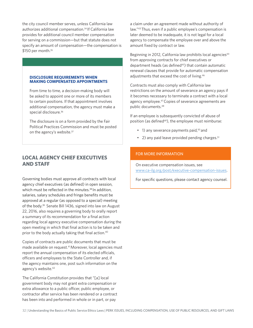the city council member serves, unless California law authorizes additional compensation.34 If California law provides for additional council member compensation for serving on a commission—but that statute does not specify an amount of compensation—the compensation is \$150 per month.<sup>35</sup>

#### **DISCLOSURE REQUIREMENTS WHEN MAKING COMPENSATED APPOINTMENTS**

From time to time, a decision-making body will be asked to appoint one or more of its members to certain positions. If that appointment involves additional compensation, the agency must make a special disclosure.<sup>36</sup>

The disclosure is on a form provided by the Fair Political Practices Commission and must be posted on the agency's website.<sup>37</sup>

# **LOCAL AGENCY CHIEF EXECUTIVES AND STAFF**

Governing bodies must approve all contracts with local agency chief executives (as defined) in open session, which must be reflected in the minutes.<sup>38</sup> In addition, salaries, salary schedules and fringe benefits must be approved at a regular (as opposed to a special) meeting of the body.39 Senate Bill 1436, signed into law on August 22, 2016, also requires a governing body to orally report a summary of its recommendation for a final action regarding local agency executive compensation during the open meeting in which that final action is to be taken and prior to the body actually taking that final action.40

Copies of contracts are public documents that must be made available on request.41 Moreover, local agencies must report the annual compensation of its elected officials, officers and employees to the State Controller and, if the agency maintains one, post such information on the agency's website.<sup>42</sup>

The California Constitution provides that "[a] local government body may not grant extra compensation or extra allowance to a public officer, public employee, or contractor after service has been rendered or a contract has been into and performed in whole or in part, or pay

a claim under an agreement made without authority of law."43 Thus, even if a public employee's compensation is later deemed to be inadequate, it is not legal for a local agency to compensate the employee over and above the amount fixed by contract or law.

Beginning in 2012, California law prohibits local agencies<sup>44</sup> from approving contracts for chief executives or department heads (as defined<sup>45</sup>) that contain automatic renewal clauses that provide for automatic compensation adjustments that exceed the cost of living.46

Contracts must also comply with California law restrictions on the amount of severance an agency pays if it becomes necessary to terminate a contract with a local agency employee.47 Copies of severance agreements are public documents.48

If an employee is subsequently convicted of abuse of position (as defined $49$ ), the employee must reimburse:

- $\bullet$  1) any severance payments paid,<sup>50</sup> and
- $\bullet$  2) any paid leave provided pending charges.<sup>51</sup>

#### FOR MORE INFORMATION

On executive compensation issues, see www.ca-ilg.org/post/executive-compensation-issues.

For specific questions, please contact agency counsel.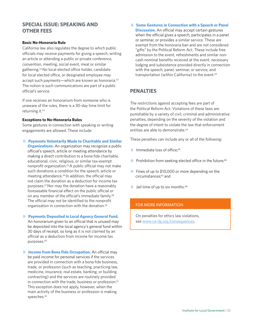### **SPECIAL ISSUE: SPEAKING AND OTHER FEES**

#### **Basic No-Honoraria Rule**

California law also regulates the degree to which public officials may receive payments for giving a speech, writing an article or attending a public or private conference, convention, meeting, social event, meal or similar gathering.52 No local elected office holder, candidate for local elected office, or designated employee may accept such payments—which are known as honoraria.53 The notion is such communications are part of a public official's service.

If one receives an honorarium from someone who is unaware of the rules, there is a 30-day time limit for returning it.54

#### **Exceptions to No-Honoraria Rules**

Some gestures in connection with speaking or writing engagements are allowed. These include:

» **Payments Voluntarily Made to Charitable and Similar Organizations.** An organization may recognize a public official's speech, article or meeting attendance by making a direct contribution to a bona fide charitable, educational, civic, religious, or similar tax-exempt nonprofit organization.55 A public official may not make such donations a condition for the speech, article or meeting attendance.<sup>56</sup> In addition, the official may not claim the donation as a deduction for income tax purposes.57 Nor may the donation have a reasonably foreseeable financial effect on the public official or on any member of the official's immediate family.<sup>58</sup> The official may not be identified to the nonprofit organization in connection with the donation.59

#### » **Payments Deposited in Local Agency General Fund.**

An honorarium given to an official that is unused may be deposited into the local agency's general fund within 30 days of receipt, so long as it is not claimed by an official as a deduction from income for income tax purposes.<sup>60</sup>

» **Income from Bona Fide Occupation.** An official may be paid income for personal services if the services are provided in connection with a bona fide business, trade, or profession (such as teaching, practicing law, medicine, insurance, real estate, banking, or building contracting) and the services are routinely provided in connection with the trade, business or profession.<sup>61</sup> This exception does not apply, however, when the main activity of the business or profession is making speeches.<sup>62</sup>

» **Some Gestures in Connection with a Speech or Panel Discussion.** An official may accept certain gestures when the official gives a speech, participates in a panel or seminar, or provides a similar service. These are exempt from the honoraria ban and are not considered "gifts" by the Political Reform Act. These include free admission to the event, refreshments and similar noncash nominal benefits received at the event, necessary lodging and subsistence provided directly in connection with the speech, panel, seminar, or service, and transportation (within California) to the event.<sup>63</sup>

### **PENALTIES**

The restrictions against accepting fees are part of the Political Reform Act. Violations of these laws are punishable by a variety of civil, criminal and administrative penalties, depending on the severity of the violation and the degree of intent to violate the law that enforcement entities are able to demonstrate.<sup>64</sup>

These penalties can include any or all of the following:

- » Immediate loss of office;65
- $\lambda$  Prohibition from seeking elected office in the future;<sup>66</sup>
- » Fines of up to \$10,000 or more depending on the circumstances;67 and
- >> Jail time of up to six months.<sup>68</sup>

#### FOR MORE INFORMATION

On penalties for ethics law violations, see www.ca-ilg.org/consequences.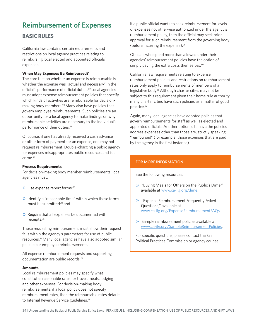# **Reimbursement of Expenses**

### **BASIC RULES**

California law contains certain requirements and restrictions on local agency practices relating to reimbursing local elected and appointed officials' expenses.

#### **When May Expenses Be Reimbursed?**

The core test on whether an expense is reimbursable is whether the expense was "actual and necessary" in the official's performance of official duties.69 Local agencies must adopt expense reimbursement policies that specify which kinds of activities are reimbursable for decisionmaking body members.70 Many also have policies that govern employee reimbursements. Such policies are an opportunity for a local agency to make findings on why reimbursable activities are necessary to the individual's performance of their duties.71

Of course, if one has already received a cash advance or other form of payment for an expense, one may not request reimbursement. Double-charging a public agency for expenses misappropriates public resources and is a crime.72

#### **Process Requirements**

For decision-making body member reimbursements, local agencies must:

- » Use expense report forms;73
- » Identify a "reasonable time" within which these forms must be submitted:<sup>74</sup> and
- » Require that all expenses be documented with receipts.75

Those requesting reimbursement must show their request falls within the agency's parameters for use of public resources.76 Many local agencies have also adopted similar policies for employee reimbursements.

All expense reimbursement requests and supporting documentation are public records.<sup>77</sup>

#### **Amounts**

Local reimbursement policies may specify what constitutes reasonable rates for travel, meals, lodging and other expenses. For decision-making body reimbursements, if a local policy does not specify reimbursement rates, then the reimbursable rates default to Internal Revenue Service guidelines.<sup>78</sup>

If a public official wants to seek reimbursement for levels of expenses not otherwise authorized under the agency's reimbursement policy, then the official may seek prior approval for such reimbursement from the governing body (before incurring the expense).79

Officials who spend more than allowed under their agencies' reimbursement policies have the option of simply paying the extra costs themselves.<sup>80</sup>

California law requirements relating to expense reimbursement policies and restrictions on reimbursement rates only apply to reimbursements of members of a legislative body.81 Although charter cities may not be subject to this requirement given their home rule authority, many charter cities have such policies as a matter of good practice.82

Again, many local agencies have adopted policies that govern reimbursements for staff as well as elected and appointed officials. Another option is to have the policies address expenses other than those are, strictly speaking, "reimbursed" (for example, those expenses that are paid by the agency in the first instance).

#### FOR MORE INFORMATION

See the following resources:

- » "Buying Meals for Others on the Public's Dime," available at www.ca-ilg.org/dime.
- » "Expense Reimbursement Frequently Asked Questions," available at www.ca-ilg.org/ExpenseReimbursementFAQs.
- » Sample reimbursement policies available at www.ca-ilg.org/SampleReimbursementPolicies.

For specific questions, please contact the Fair Political Practices Commission or agency counsel.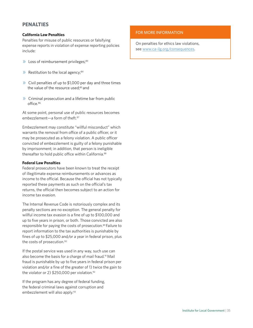### **PENALTIES**

#### **California Law Penalties**

Penalties for misuse of public resources or falsifying expense reports in violation of expense reporting policies include:

- >> Loss of reimbursement privileges;<sup>83</sup>
- $\lambda$  Restitution to the local agency;<sup>84</sup>
- » Civil penalties of up to \$1,000 per day and three times the value of the resource used;<sup>85</sup> and
- » Criminal prosecution and a lifetime bar from public office.86

At some point, personal use of public resources becomes embezzlement—a form of theft.<sup>87</sup>

Embezzlement may constitute "willful misconduct" which warrants the removal from office of a public officer, or it may be prosecuted as a felony violation. A public officer convicted of embezzlement is guilty of a felony punishable by imprisonment; in addition, that person is ineligible thereafter to hold public office within California.88

#### **Federal Law Penalties**

Federal prosecutors have been known to treat the receipt of illegitimate expense reimbursements or advances as income to the official. Because the official has not typically reported these payments as such on the official's tax returns, the official then becomes subject to an action for income tax evasion.

The Internal Revenue Code is notoriously complex and its penalty sections are no exception. The general penalty for willful income tax evasion is a fine of up to \$100,000 and up to five years in prison, or both. Those convicted are also responsible for paying the costs of prosecution.<sup>89</sup> Failure to report information to the tax authorities is punishable by fines of up to \$25,000 and/or a year in federal prison, plus the costs of prosecution.90

If the postal service was used in any way, such use can also become the basis for a charge of mail fraud.<sup>91</sup> Mail fraud is punishable by up to five years in federal prison per violation and/or a fine of the greater of 1) twice the gain to the violator or 2) \$250,000 per violation.<sup>92</sup>

If the program has any degree of federal funding, the federal criminal laws against corruption and embezzlement will also apply.<sup>93</sup>

#### FOR MORE INFORMATION

On penalties for ethics law violations, see www.ca-ilg.org/consequences.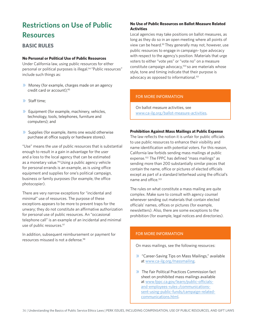# **Restrictions on Use of Public Resources**

## **BASIC RULES**

#### **No Personal or Political Use of Public Resources**

Under California law, using public resources for either personal or political purposes is illegal.<sup>94</sup> "Public resources" include such things as:

- » Money (for example, charges made on an agency credit card or account);95
- » Staff time;
- » Equipment (for example, machinery, vehicles, technology, tools, telephones, furniture and computers); and
- » Supplies (for example, items one would otherwise purchase at office supply or hardware stores).

"Use" means the use of public resources that is substantial enough to result in a gain in advantage for the user and a loss to the local agency that can be estimated as a monetary value.<sup>96</sup> Using a public agency vehicle for personal errands is an example, as is using office equipment and supplies for one's political campaign, business or family purposes (for example, the office photocopier).

There are very narrow exceptions for "incidental and minimal" use of resources. The purpose of these exceptions appears to be more to prevent traps for the unwary; they do not constitute an affirmative authorization for personal use of public resources. An "occasional telephone call" is an example of an incidental and minimal use of public resources.<sup>97</sup>

In addition, subsequent reimbursement or payment for resources misused is not a defense.98

#### **No Use of Public Resources on Ballot Measure Related Activities**

Local agencies may take positions on ballot measures, as long as they do so in an open meeting where all points of view can be heard.99 They generally may not, however, use public resources to engage in campaign- type advocacy with respect to the agency's position. Materials that urge voters to either "vote yes" or "vote no" on a measure constitute campaign advocacy,100 so are materials whose style, tone and timing indicate that their purpose is advocacy as opposed to informational.<sup>101</sup>

#### FOR MORE INFORMATION

On ballot measure activities, see www.ca-ilg.org/ballot-measure-activities.

#### **Prohibition Against Mass Mailings at Public Expense**

The law reflects the notion it is unfair for public officials to use public resources to enhance their visibility and name identification with potential voters. For this reason, California law forbids sending mass mailings at public expense.102 The FPPC has defined "mass mailings" as sending more than 200 substantially similar pieces that contain the name, office or pictures of elected officials except as part of a standard letterhead using the official's name and office.103

The rules on what constitute a mass mailing are quite complex. Make sure to consult with agency counsel whenever sending out materials that contain elected officials' names, offices or pictures (for example, newsletters). Also, there are some exceptions to the prohibition (for example, legal notices and directories).

#### FOR MORE INFORMATION

On mass mailings, see the following resources:

- » "Career-Saving Tips on Mass Mailings," available at www.ca-ilg.org/massmailing.
- » The Fair Political Practices Commission fact sheet on prohibited mass mailings available at www.fppc.ca.gov/learn/public-officialsand-employees-rules-/communicationssent-using-public-funds/campaign-relatedcommunications.html.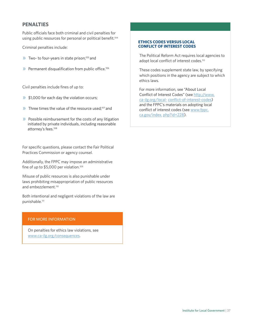### **PENALTIES**

Public officials face both criminal and civil penalties for using public resources for personal or political benefit.<sup>104</sup>

Criminal penalties include:

- $\lambda$  Two- to four-years in state prison;<sup>105</sup> and
- » Permanent disqualification from public office.106

Civil penalties include fines of up to:

- » \$1,000 for each day the violation occurs;
- $\lambda$  Three times the value of the resource used;<sup>107</sup> and
- » Possible reimbursement for the costs of any litigation initiated by private individuals, including reasonable attorney's fees.108

For specific questions, please contact the Fair Political Practices Commission or agency counsel.

Additionally, the FPPC may impose an administrative fine of up to \$5,000 per violation.109

Misuse of public resources is also punishable under laws prohibiting misappropriation of public resources and embezzlement.<sup>110</sup>

Both intentional and negligent violations of the law are punishable.111

#### FOR MORE INFORMATION

On penalties for ethics law violations, see www.ca-ilg.org/consequences.

#### **ETHICS CODES VERSUS LOCAL CONFLICT OF INTEREST CODES**

The Political Reform Act requires local agencies to adopt local conflict of interest codes.<sup>112</sup>

These codes supplement state law, by specifying which positions in the agency are subject to which ethics laws.

For more information, see "About Local Conflict of Interest Codes" (see http://www. ca-ilg.org/local- conflict-of-interest-codes) and the FPPC's materials on adopting local conflict of interest codes (see www.fppc. ca.gov/index. php?id=228).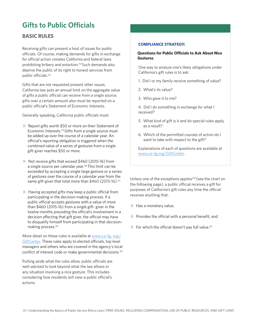# **Gifts to Public Officials**

### **BASIC RULES**

Receiving gifts can present a host of issues for public officials. Of course, making demands for gifts in exchange for official action violates California and federal laws prohibiting bribery and extortion.113 Such demands also deprive the public of its right to honest services from public officials.114

Gifts that are not requested present other issues. California law puts an annual limit on the aggregate value of gifts a public official can receive from a single source; gifts over a certain amount also must be reported on a public official's Statement of Economic Interests.

Generally speaking, California public officials must:

- » Report gifts worth \$50 or more on their Statement of Economic Interests.<sup>115</sup> Gifts from a single source must be added up over the course of a calendar year. An official's reporting obligation is triggered when the combined value of a series of gestures from a single gift-giver reaches \$50 or more.
- » Not receive gifts that exceed \$460 (2015-16) from a single source per calendar year.<sup>116</sup> This limit can be exceeded by accepting a single large gesture or a series of gestures over the course of a calendar year from the same gift-giver that total more than \$460 (2015-16).<sup>117</sup>
- » Having accepted gifts may keep a public official from participating in the decision-making process. If a public official accepts gestures with a value of more than \$460 (2015-16) from a single gift- giver in the twelve months preceding the official's involvement in a decision affecting that gift giver, the official may have to disqualify himself from participating in that decisionmaking process.<sup>118</sup>

More detail on these rules is available at www.ca-ilg. org/ GiftCenter. These rules apply to elected officials, top level managers and others who are covered in the agency's local conflict of interest code or make governmental decisions.119

Putting aside what the rules allow, public officials are well-advised to look beyond what the law allows in any situation involving a nice gesture. This includes considering how residents will view a public official's actions.

#### **COMPLIANCE STRATEGY:**

#### **Questions for Public Officials to Ask About Nice Gestures**

One way to analyze one's likely obligations under California's gift rules is to ask:

- 1. Did I or my family receive something of value?
- 2. What's its value?
- 3. Who gave it to me?

4. Did I do something in exchange for what I received?

- 5. What kind of gift is it and do special rules apply as a result?
- 6. Which of the permitted courses of action do I want to take with respect to the gift?

Explanations of each of questions are available at www.ca-ilg.org/GiftCenter.

Unless one of the exceptions applies<sup>120</sup> (see the chart on the following page), a public official receives a gift for purposes of California's gift rules any time the official receives anything that:

- » Has a monetary value;
- » Provides the official with a personal benefit, and
- $\lambda$  For which the official doesn't pay full value.<sup>121</sup>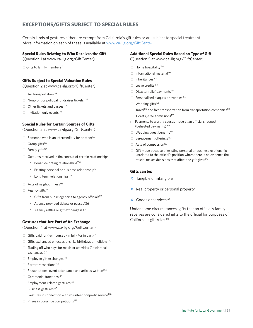# **EXCEPTIONS/GIFTS SUBJECT TO SPECIAL RULES**

Certain kinds of gestures either are exempt from California's gift rules or are subject to special treatment. More information on each of these is available at www.ca-ilg.org/GiftCenter.

#### **Special Rules Relating to Who Receives the Gift**

(Question 1 at www.ca-ilg.org/GiftCenter)

 $\Box$  Gifts to family members<sup>122</sup>

#### **Gifts Subject to Special Valuation Rules**

(Question 2 at www.ca-ilg.org/GiftCenter)

- $\Box$  Air transportation<sup>123</sup>
- $\Box$  Nonprofit or political fundraiser tickets  $^{124}$
- $\Box$  Other tickets and passes<sup>125</sup>
- $\Box$  Invitation only events<sup>126</sup>

#### **Special Rules for Certain Sources of Gifts**

(Question 3 at www.ca-ilg.org/GiftCenter)

- $\Box$  Someone who is an intermediary for another<sup>127</sup>
- $\Box$  Group gifts<sup>128</sup>
- $\Box$  Family gifts<sup>129</sup>
- $\Box$  Gestures received in the context of certain relationships:
	- Bona fide dating relationships<sup>130</sup>
	- Existing personal or business relationship<sup>131</sup>
	- Long term relationships $^{132}$
- $\Box$  Acts of neighborliness<sup>133</sup>
- $\Box$  Agency gifts<sup>134</sup>
	- Gifts from public agencies to agency officials $135$
	- Agency provided tickets or passes136
	- Agency raffles or gift exchanges137

#### **Gestures that Are Part of An Exchange**

(Question 4 at www.ca-ilg.org/GiftCenter)

- $\Box$  Gifts paid for (reimbursed) in full<sup>138</sup> or in part<sup>139</sup>
- $\Box$  Gifts exchanged on occasions like birthdays or holidays<sup>140</sup>
- $\Box$  Trading off who pays for meals or activities ("reciprocal exchanges")<sup>141</sup>
- $\Box$  Employee gift exchanges<sup>142</sup>
- $\Box$  Barter transactions<sup>143</sup>
- $\Box$  Presentations, event attendance and articles written<sup>144</sup>
- $\Box$  Ceremonial functions<sup>145</sup>
- $\Box$  Employment-related gestures<sup>146</sup>
- $\Box$  Business gestures<sup>147</sup>
- $\Box$  Gestures in connection with volunteer nonprofit service<sup>148</sup>
- $\Box$  Prizes in bona fide competitions<sup>149</sup>

#### **Additional Special Rules Based on Type of Gift**

(Question 5 at www.ca-ilg.org/GiftCenter)

- $\Box$  Home hospitality<sup>150</sup>
- $\Box$  Informational material<sup>151</sup>
- $\Box$  Inheritances<sup>152</sup>
- $\Box$  Leave credits<sup>153</sup>
- $\square$  Disaster relief payments<sup>154</sup>
- $\Box$  Personalized plaques or trophies<sup>155</sup>
- $\Box$  Wedding gifts<sup>156</sup>
- $\square$  Travel<sup>157</sup> and free transportation from transportation companies<sup>158</sup>
- $\Box$  Tickets / free admissions<sup>159</sup>
- $\Box$  Payments to worthy causes made at an official's request (behested payments)<sup>160</sup>
- $\Box$  Wedding guest benefits<sup>161</sup>
- $\Box$  Bereavement offerings<sup>162</sup>
- $\Box$  Acts of compassion<sup>163</sup>
- $\Box$  Gift made because of existing personal or business relationship unrelated to the official's position where there is no evidence the official makes decisions that affect the gift giver.<sup>164</sup>

#### **Gifts can be:**

- » Tangible or intangible
- » Real property or personal property
- >> Goods or services<sup>165</sup>

Under some circumstances, gifts that an official's family receives are considered gifts to the official for purposes of California's gift rules.166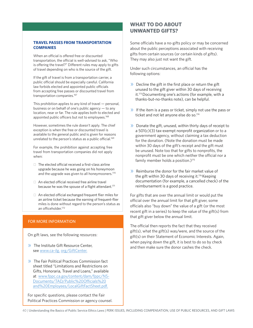#### **TRAVEL PASSES FROM TRANSPORTATION COMPANIES**

When an official is offered free or discounted transportation, the official is well-advised to ask, "Who is offering the travel?" Different rules may apply to gifts of travel depending on who is the source of the gift.

If the gift of travel is from a transportation carrier, a public official should be especially careful. California law forbids elected and appointed public officials from accepting free passes or discounted travel from transportation companies.<sup>167</sup>

This prohibition applies to any kind of travel — personal, business or on behalf of one's public agency — to any location, near or far. The rule applies both to elected and appointed public officers but not to employees.<sup>168</sup>

However, sometimes the rule doesn't apply. The chief exception is when the free or discounted travel is available to the general public and is given for reasons unrelated to the person's status as a public official.<sup>169</sup>

For example, the prohibition against accepting free travel from transportation companies did not apply when:

- $\Box$  The elected official received a first-class airline upgrade because he was going on his honeymoon and the upgrade was given to all honeymooners.<sup>170</sup>
- $\Box$  An elected official received free airline travel because he was the spouse of a flight attendant.<sup>171</sup>
- $\Box$  An elected official exchanged frequent flier miles for an airline ticket because the earning of frequent-flier miles is done without regard to the person's status as an officeholder.172

#### FOR MORE INFORMATION

On gift laws, see the following resources:

- » The Institute Gift Resource Center, see www.ca-ilg. org/GiftCenter.
- » The Fair Political Practices Commission fact sheet titled "Limitations and Restrictions on Gifts, Honoraria, Travel and Loans," available at www.fppc.ca.gov/content/dam/fppc/NS-Documents/TAD/Public%20Officials%20 and%20Employees/LocalGiftFactSheet.pdf.

For specific questions, please contact the Fair Political Practices Commission or agency counsel.

# **WHAT TO DO ABOUT UNWANTED GIFTS?**

Some officials have a no-gifts policy or may be concerned about the public perceptions associated with receiving gifts from certain sources (or certain kinds of gifts). They may also just not want the gift.

Under such circumstances, an official has the following options:

- » Decline the gift in the first place or return the gift unused to the gift giver within 30 days of receiving it.173 Documenting one's actions (for example, with a thanks-but-no-thanks note), can be helpful.
- $\lambda$  If the item is a pass or ticket, simply not use the pass or ticket and not let anyone else do so.<sup>174</sup>
- » Donate the gift, unused, within thirty days of receipt to a 501(c)(3) tax-exempt nonprofit organization or to a government agency, without claiming a tax deduction for the donation. (Note the donation must be made within 30 days of the gift's receipt and the gift must be unused. Note too that for gifts to nonprofits, the nonprofit must be one which neither the official nor a family member holds a position.)<sup>175</sup>
- » Reimburse the donor for the fair market value of the gift within 30 days of receiving it.176 Keeping documentation (for example, a cancelled check) of the reimbursement is a good practice.

For gifts that are over the annual limit or would put the official over the annual limit for that gift giver, some officials also "buy down" the value of a gift (or the most recent gift in a series) to keep the value of the gift(s) from that gift giver below the annual limit.

The official then reports the fact that they received gift(s), what the gift(s) was/were, and the source of the gift(s) on their Statement of Economic Interests. Again, when paying down the gift, it is best to do so by check and then make sure the donor cashes the check.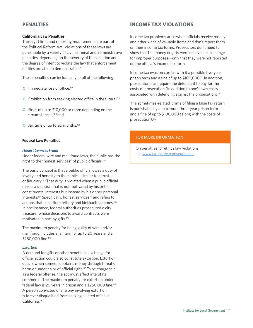### **PENALTIES**

#### **California Law Penalties**

These gift limit and reporting requirements are part of the Political Reform Act. Violations of these laws are punishable by a variety of civil, criminal and administrative penalties, depending on the severity of the violation and the degree of intent to violate the law that enforcement entities are able to demonstrate.<sup>177</sup>

These penalties can include any or all of the following:

- » Immediate loss of office;178
- $\lambda$  Prohibition from seeking elected office in the future;<sup>179</sup>
- » Fines of up to \$10,000 or more depending on the circumstances;180 and
- $\lambda$  Jail time of up to six months.<sup>181</sup>

#### **Federal Law Penalties**

#### *Honest Services Fraud*

Under federal wire and mail fraud laws, the public has the right to the "honest services" of public officials.182

The basic concept is that a public official owes a duty of loyalty and honesty to the public—similar to a trustee or fiduciary.183 That duty is violated when a public official makes a decision that is not motivated by his or her constituents' interests but instead by his or her personal interests.184 Specifically, honest services fraud refers to actions that constitute bribery and kickback schemes.185 In one instance, federal authorities prosecuted a city treasurer whose decisions to award contracts were motivated in part by gifts.186

The maximum penalty for being guilty of wire and/or mail fraud includes a jail term of up to 20 years and a \$250,000 fine.<sup>187</sup>

#### *Extortion*

A demand for gifts or other benefits in exchange for official action could also constitute extortion. Extortion occurs when someone obtains money through threat of harm or under color of official right.<sup>188</sup> To be chargeable as a federal offense, the act must affect interstate commerce. The maximum penalty for extortion under federal law is 20 years in prison and a \$250,000 fine.189 A person convicted of a felony involving extortion is forever disqualified from seeking elected office in California<sup>190</sup>

### **INCOME TAX VIOLATIONS**

Income tax problems arise when officials receive money and other kinds of valuable items and don't report them on their income tax forms. Prosecutors don't need to show that the money or gifts were received in exchange for improper purposes—only that they were not reported on the official's income tax form.

Income tax evasion carries with it a possible five-year prison term and a fine of up to \$100,000.191 In addition, prosecutors can require the defendant to pay for the costs of prosecution (in addition to one's own costs associated with defending against the prosecution).<sup>192</sup>

The sometimes-related crime of filing a false tax return is punishable by a maximum three-year prison term and a fine of up to \$100,000 (along with the costs of prosecution).193

#### FOR MORE INFORMATION

On penalties for ethics law violations, see www.ca-ilg.org/consequences.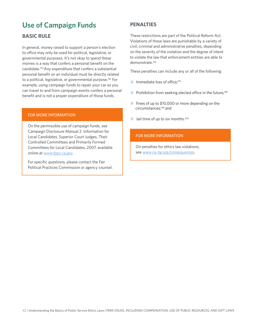# **Use of Campaign Funds**

### **BASIC RULE**

In general, money raised to support a person's election to office may only be used for political, legislative, or governmental purposes. It's not okay to spend these monies is a way that confers a personal benefit on the candidate.194 Any expenditure that confers a substantial personal benefit on an individual must be directly related to a political, legislative, or governmental purpose.<sup>195</sup> For example, using campaign funds to repair your car so you can travel to and from campaign events confers a personal benefit and is not a proper expenditure of those funds.

#### FOR MORE INFORMATION

On the permissible use of campaign funds, see Campaign Disclosure Manual 2: Information for Local Candidates, Superior Court Judges, Their Controlled Committees and Primarily Formed Committees for Local Candidates, 2007, available online at www.fppc.ca.gov.

For specific questions, please contact the Fair Political Practices Commission or agency counsel.

## **PENALTIES**

These restrictions are part of the Political Reform Act. Violations of these laws are punishable by a variety of civil, criminal and administrative penalties, depending on the severity of the violation and the degree of intent to violate the law that enforcement entities are able to demonstrate.196

These penalties can include any or all of the following:

- » Immediate loss of office;197
- >> Prohibition from seeking elected office in the future;<sup>198</sup>
- » Fines of up to \$10,000 or more depending on the circumstances;199 and
- >> Jail time of up to six months.<sup>200</sup>

#### FOR MORE INFORMATION

On penalties for ethics law violations, see www.ca-ilg.org/consequences.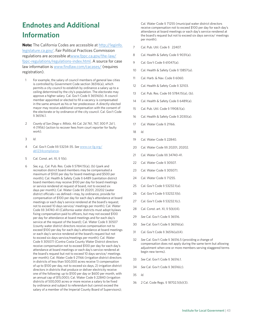# **Endnotes and Additional Information**

**Note:** The California Codes are accessible at http://leginfo. legislature.ca.gov/. Fair Political Practices Commission regulations are accessible atwww.fppc.ca.gov/the-law/ fppc-regulations/regulations-index.html. A source for case law information is www.findlaw.com/cacases/ (requires registration).

- 1 For example, the salary of council members of general law cities is controlled by Government Code section 36516(a), which permits a city council to establish by ordinance a salary up to a ceiling determined by the city's population. The electorate may approve a higher salary. Cal. Gov't Code § 36516(b). A council member appointed or elected to fill a vacancy is compensated in the same amount as his or her predecessor. A directly-elected mayor may receive additional compensation with the consent of the electorate or by ordinance of the city council. Cal. Gov't Code § 36516.1.
- 2 *County of San Diego v. Milotz*, 46 Cal. 2d 761, 767, 300 P. 2d 1, 4 (1956) (action to recover fees from court reporter for faulty work).
- 3 *Id*.
- 4 Cal. Gov't Code §§ 53234-35. *See* www.ca-ilg.org/ ab1234compliance.
- 5 Cal. Const. art. XI, § 1(b).
- 6 *See, e.g.*, Cal. Pub. Res. Code § 5784.15(a), (b) (park and recreation district board members may be compensated a maximum of \$100 per day for board meetings and \$500 per month); Cal. Health & Safety Code § 6489 (sanitation district board members may receive \$100 per day for board meetings or service rendered at request of board, not to exceed six days per month); Cal. Water Code §§ 20201, 20202 (water district officials—as defined—may, by ordinance, provide for compensation of \$100 per day for each day's attendance at board meetings or each day's service rendered at the board's request; not to exceed 10 days service/ meetings per month); Cal. Water Code §§ 34740-41 (California water districts must adopt bylaws fixing compensation paid to officers, but may not exceed \$100 per day for attendance at board meetings and for each day's service at the request of the board); Cal. Water Code § 30507 (county water district directors receive compensation not to exceed \$100 per day for each day's attendance at board meetings or each day's service rendered at the board's request but not to exceed six days service/meetings per month); Cal. Water Code § 30507.1 (Contra Costa County Water District directors receive compensation not to exceed \$100 per day for each day's attendance at board meetings or each day's service rendered at the board's request but not to exceed 10 days service/ meetings per month); Cal. Water Code § 21166 (irrigation district directors in districts of less than 500,000 acres receive 1) compensation of up to \$100 per day, not to exceed six days, 2) irrigation district directors in districts that produce or deliver electricity receive one of the following: up to \$100 per day or \$600 per month, with an annual cap of \$15,000); Cal. Water Code § 22840 (irrigation districts of 500,000 acres or more receive a salary to be fixed by ordinance and subject to referendum but cannot exceed the salary of a member of the Imperial County Board of Supervisors);

Cal. Water Code § 71255 (municipal water district directors receive compensation not to exceed \$100 per day for each day's attendance at board meetings or each day's service rendered at the board's request but not to exceed six days service/ meetings per month).

- 7 Cal. Pub. Util. Code § 22407.
- 8 Cal. Health & Safety Code § 9031(a).
- 9 Cal. Gov't Code § 61047(a).
- 10 Cal. Health & Safety Code § 13857(a).
- 11 Cal. Harb. & Nav. Code § 6060.
- 12 Cal. Health & Safety Code § 32103.
- 13 Cal. Pub. Res. Code §§ 5784.15(a), (b).
- 14 Cal. Health & Safety Code § 6489(a).
- 15 Cal. Pub. Util. Code § 11908.1(a).
- 16 Cal. Health & Safety Code § 2030(a).
- 17 Cal. Water Code § 21166.
- 18 *Id*.
- 19 Cal. Water Code § 22840.
- 20 Cal. Water Code §§ 20201, 20202.
- 21 Cal. Water Code §§ 34740-41.
- 22 Cal. Water Code § 30507.
- 23 Cal. Water Code § 305071
- 24 Cal. Water Code § 71255.
- 25 Cal. Gov't Code § 53232.1(a).
- 26 Cal. Gov't Code § 53232.1(b).
- 27 Cal. Gov't Code § 53232.1(c).
- 28 Cal. Const. art. XI, § 5(b)(4).
- 29 *See* Cal. Gov't Code § 36516.
- 30 *See* Cal. Gov't Code § 36516(a).
- 31 Cal. Gov't Code § 36516(a)(4).
- 32 *See* Cal. Gov't Code § 36516.5 (providing a change of compensation does not apply during the same term but allowing adjustment when one or more members serving staggered terms begin new terms).
- 33 *See* Cal. Gov't Code § 36516.1.
- 34 *See* Cal. Gov't Code § 36516(c).
- 35 *Id*.
- 36 2 Cal. Code Regs. § 18702.5(b)(3).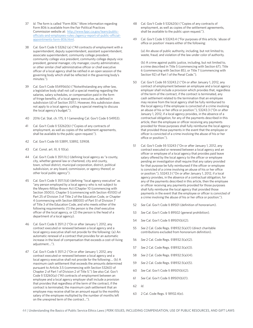- 37 *Id*. The form is called "Form 806." More information regarding Form 806 is available from the Fair Political Practices Commission website at: http://www.fppc.ca.gov/learn/publicofficials-and-employees-rules-/agency-report-of-public-officialappointments-form-806.html.
- 38 Cal. Gov't Code § 53262 (a) ("All contracts of employment with a superintendent, deputy superintendent, assistant superintendent, associate superintendent, community college president, community college vice president, community college deputy vice president, general manager, city manager, county administrator, or other similar chief administrative officer or chief executive officer of a local agency shall be ratified in an open session of the governing body which shall be reflected in the governing body's minutes.").
- 39 Cal. Gov't Code §54956(b) ("Notwithstanding any other law, a legislative body shall not call a special meeting regarding the salaries, salary schedules, or compensation paid in the form of fringe benefits, of a local agency executive, as defined in subdivision (d) of Section 3511.1. However, this subdivision does not apply to a local agency calling a special meeting to discuss the local agency's budget.").
- 40 2016 Cal. Stat. ch. 175, § 1 (amending Cal. Gov't Code § 54953).
- 41 Cal. Gov't Code § 53262(b) ("Copies of any contracts of employment, as well as copies of the settlement agreements, shall be available to the public upon request.").
- 42 Cal. Gov't Code §§ 53891, 53892, 53908.
- 43 Cal. Const. art. XI, § 10(a).
- 44 Cal. Gov't Code § 3511.1(c) (defining local agency as "a county, city, whether general law or chartered, city and county, town, school district, municipal corporation, district, political subdivision, or any board, commission, or agency thereof, or other local public agency").
- 45 Cal. Gov't Code § 3511.1(d) (defining "local agency executive" as "any person employed by a local agency who is not subject to the Meyers-Milias-Brown Act (Chapter 10 (commencing with Section 3500)), Chapter 5 (commencing with Section 45100) of Part 25 of Division 3 of Title 2 of the Education Code, or Chapter 4 (commencing with Section 88000) of Part 51 of Division 7 of Title 3 of the Education Code, and who meets either of the following requirements: (1) the person is the chief executive officer of the local agency, or (2) the person is the head of a department of a local agency).
- 46 Cal. Gov't Code § 3511.2 ("On or after January 1, 2012, any contract executed or renewed between a local agency and a local agency executive shall not provide for the following: (a) An automatic renewal of a contract that provides for an automatic increase in the level of compensation that exceeds a cost-of-living adjustment....").
- 47 Cal. Gov't Code § 3511.2 ("On or after January 1, 2012, any contract executed or renewed between a local agency and a local agency executive shall not provide for the following:… (b) A maximum cash settlement that exceeds the amounts determined pursuant to Article 3.5 (commencing with Section 53260) of Chapter 2 of Part 1 of Division 2 of Title 5.") *See* also Cal. Gov't Code § 53260(a) ("All contracts of employment between an employee and a local agency employer shall include a provision that provides that regardless of the term of the contract, if the contract is terminated, the maximum cash settlement that an employee may receive shall be an amount equal to the monthly salary of the employee multiplied by the number of months left on the unexpired term of the contract…").
- 48 Cal. Gov't Code § 53262(b) ("Copies of any contracts of employment, as well as copies of the settlement agreements, shall be available to the public upon request.").
- 49 Cal. Gov't Code § 53243.4 ("For purposes of this article, 'abuse of office or position' means either of the following:

(a) An abuse of public authority, including, but not limited to, waste, fraud, and violation of the law under color of authority.

(b) A crime against public justice, including, but not limited to, a crime described in Title 5 (commencing with Section 67), Title 6 (commencing with Section 85), or Title 7 (commencing with Section 92) of Part 1 of the Penal Code.").

- 50 Cal. Gov't Code §§ 53243.2 ("On or after January 1, 2012, any contract of employment between an employee and a local agency employer shall include a provision which provides that, regardless of the term of the contract, if the contract is terminated, any cash settlement related to the termination that an employee may receive from the local agency shall be fully reimbursed to the local agency if the employee is convicted of a crime involving an abuse of his or her office or position."), 53243.3 ("On or after January 1, 2012, if a local agency provides, in the absence of a contractual obligation, for any of the payments described in this article, then the employee or officer receiving any payments provided for those purposes shall fully reimburse the local agency that provided those payments in the event that the employee or officer is convicted of a crime involving the abuse of his or her office or position.").
- 51 Cal. Gov't Code §§ 53243 ("On or after January 1, 2012, any contract executed or renewed between a local agency and an officer or employee of a local agency that provides paid leave salary offered by the local agency to the officer or employee pending an investigation shall require that any salary provided for that purpose be fully reimbursed if the officer or employee is convicted of a crime involving an abuse of his or her office or position."), 53243.3 ("On or after January 1, 2012, if a local agency provides, in the absence of a contractual obligation, for any of the payments described in this article, then the employee or officer receiving any payments provided for those purposes shall fully reimburse the local agency that provided those payments in the event that the employee or officer is convicted of a crime involving the abuse of his or her office or position.").
- 52 *See* Cal. Gov't Code § 89501 (definition of honorarium).
- 53 *See* Cal. Gov't Code § 89502 (general prohibition).
- 54 *See* Cal. Gov't Code § 89501(b)(2).
- 55 *See* 2 Cal. Code Regs. §18932.5(a)(1) (direct charitable contributions excluded from honorarium definition).
- 56 *See* 2 Cal. Code Regs. §18932.5(a)(2).
- 57 *See* 2 Cal. Code Regs. §18932.5(a)(3).
- 58 *See* 2 Cal. Code Regs. §18932.5(a)(4).
- 59 *See* 2 Cal. Code Regs. §18932.5(a)(5).
- 60 *See* Cal. Gov't Code § 89501(b)(2).
- 61 *See* Cal. Gov't Code § 89501(b)(1).
- 62 *Id*.
- 63 2 Cal. Code Regs. § 18932.4(e).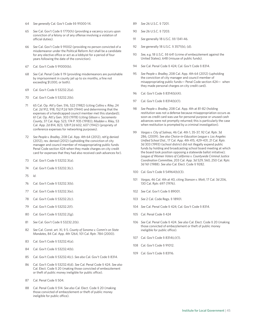- 64 *See generally* Cal. Gov't Code §§ 91000-14.
- 65 *See* Cal. Gov't Code § 1770(h) (providing a vacancy occurs upon conviction of a felony or of any offense involving a violation of official duties).
- 66 *See* Cal. Gov't Code § 91002 (providing no person convicted of a misdemeanor under the Political Reform Act shall be a candidate for any elective office or act as a lobbyist for a period of four years following the date of the conviction).
- 67 Cal. Gov't Code § 91000(b).
- 68 *See* Cal. Penal Code § 19 (providing misdemeanors are punishable by imprisonment in county jail up to six months, a fine not exceeding \$1,000, or both).
- 69 Cal. Gov't Code § 53232.2(a).
- 70 Cal. Gov't Code § 53232.2(b).
- 71 65 Cal. Op. Att'y Gen. 516, 522 (1982) (citing *Collins v. Riley*, 24 Cal. 2d 912, 918, 152 P.2d 169 (1944) and determining that the expenses of a handicapped council member met this standard); 61 Cal. Op. Att'y Gen. 303 (1978) (citing *Gibson v. Sacramento County*, 37 Cal. App. 523, 174 P. 935 (1918)); *Madden v. Riley*, 53 Cal. App. 2d 814, 823, 128 P.2d 602, 607 (1942) (propriety of conference expenses for networking purposes).
- 72 *See People v. Bradley*, 208 Cal. App. 4th 64 (2012), reh'g denied (2012), rev. denied (2012) (upholding the conviction of city manager and council member of misappropriating public funds Penal Code section 424-when they made charges on city credit card for expenses that they had also received cash advances for).
- 73 Cal. Gov't Code § 53232.3(a).
- 74 Cal. Gov't Code § 53232.3(c).
- 75 *Id*.
- 76 Cal. Gov't Code § 53232.3(b).
- 77 Cal. Gov't Code § 53232.3(e).
- 78 Cal. Gov't Code § 53232.2(c).
- 79 Cal. Gov't Code § 53232.2(f).
- 80 Cal. Gov't Code § 53232.2(g).
- 81 *See* Cal. Gov't Code § 53232.2(b).
- 82 *See* Cal. Const. art. XI, § 5. *County of Sonoma v. Comm'n on State Mandates*, 84 Cal. App. 4th 1264, 101 Cal. Rptr. 784 (2000).
- 83 Cal. Gov't Code § 53232.4(a).
- 84 Cal. Gov't Code § 53232.4(b).
- 85 Cal. Gov't Code § 53232.4(c). *See also* Cal. Gov't Code § 8314.
- 86 Cal. Gov't Code § 53232.4(d). *See* Cal. Penal Code § 424. *See also* Cal. Elect. Code § 20 (making those convicted of embezzlement or theft of public money ineligible for public office).
- 87 Cal. Penal Code § 504.
- 88 Cal. Penal Code § 514. *See also* Cal. Elect. Code § 20 (making those convicted of embezzlement or theft of public money ineligible for public office).
- 89 *See* 26 U.S.C. § 7201.
- 90 *See* 26 U.S.C. § 7203.
- 91 *See* generally 18 U.S.C. §§ 1341-46.
- 92 *See* generally 18 U.S.C. § 3571(b), (d).
- 93 *See, e.g*, 18 U.S.C. §§ 641 (crime of embezzlement against the United States), 648 (misuse of public funds).
- 94 *See* Cal. Penal Code § 424; Cal. Gov't Code § 8314.
- 95 *See People v. Bradley*, 208 Cal. App. 4th 64 (2012) (upholding the conviction of city manager and council member of misappropriating public funds— Penal Code section 424— when they made personal charges on city credit card).
- 96 Cal. Gov't Code § 8314(b)(4).
- 97 Cal. Gov't Code § 8314(b)(1).
- 98 *See People v. Bradley*, 208 Cal. App. 4th at 81-82 (holding restitution was not a defense because misappropriation occurs as soon as credit card was use for personal purpose or unused cash advances were not promptly returned; this is particularly the case when restitution is prompted by a criminal investigation).
- 99 *Vargas v. City of Salinas*, 46 Cal. 4th 1, 35-37, 92 Cal. Rptr. 3d 286, (2009). *See also Choice-in-Education League v. Los Angeles Unified School Dist.*, 17 Cal. App. 4th 415, 429-431, 21 Cal. Rptr. 3d 303 (1993) (school district did not illegally expend public funds by holding and broadcasting school board meeting at which the board took position opposing a statewide ballot initiative); *League of Women Voters of California v. Countywide Criminal Justice Coordination Committee*, 203 Cal. App. 3d 529, 560, 250 Cal. Rptr. 3d 161 (1988). *See also* Cal. Elect. Code § 9282.
- 100 Cal. Gov't Code § 54964(b)(3).
- 101 *Vargas*, 46 Cal. 4th at 40, citing *Stanson v. Mott*, 17 Cal. 3d 206, 130 Cal. Rptr. 697 (1976).
- 102 *See* Cal. Gov't Code § 89001.
- 103 *See* 2 Cal. Code Regs. § 18901.
- 104 *See* Cal. Penal Code § 424; Cal. Gov't Code § 8314.
- 105 Cal. Penal Code § 424
- 106 *See* Cal. Penal Code § 424. *See also* Cal. Elect. Code § 20 (making those convicted of embezzlement or theft of public money ineligible for public office).
- 107 Cal. Gov't Code § 8314(c)(1).
- 108 Cal. Gov't Code § 91012.
- 109 Cal. Gov't Code § 83116.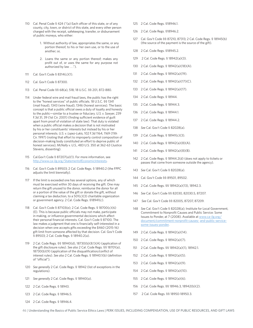- 110 Cal. Penal Code § 424 ("(a) Each officer of this state, or of any county, city, town, or district of this state, and every other person charged with the receipt, safekeeping, transfer, or disbursement of public moneys, who either:
	- 1. Without authority of law, appropriates the same, or any portion thereof, to his or her own use, or to the use of another; or,
	- 2. Loans the same or any portion thereof; makes any profit out of, or uses the same for any purpose not authorized by law . . .").
- 111 Cal. Gov't Code § 8314(c)(1).
- 112 Cal. Gov't Code § 87300.
- 113 Cal. Penal Code §§ 68(a), 518; 18 U.S.C. §§ 201, 872-880.
- 114 Under federal wire and mail fraud laws, the public has the right to the "honest services" of public officials. 18 U.S.C. §§ 1341 (mail fraud), 1343 (wire fraud), 1346 (honest services). The basic concept is that a public official owes a duty of loyalty and honesty to the public—similar to a trustee or fiduciary. *U.S. v. Sawyer*, 239 F.3d 31, 39 (1st Cir. 2001) (finding sufficient evidence of guilt apart from proof of violation of state law). That duty is violated when a public official makes a decision that is not motivated by his or her constituents' interests but instead by his or her personal interests. *U.S. v. Lopez-Lukis*, 102 F.3d 1164, 1169 (11th Cir. 1997) (noting that effort to improperly control composition of decision-making body constituted an effort to deprive public of honest services); *McNally v. U.S.*, 483 U.S. 350 at 362-63 (Justice Stevens, dissenting).
- 115 Cal.Gov't Code § 87207(a)(1). For more information, see http://www.ca-ilg.org/StatementofEconomicInterests.
- 116 Cal. Gov't Code § 89503; 2 Cal. Code Regs. § 18940.2 (the FPPC adjusts the limit biennially).
- 117 If the limit is exceeded one has several options, any of which must be exercised within 30 days of receiving the gift. One may return the gift unused to the donor, reimburse the donor for all or a portion of the value of the gift or donate the gift, without claiming a tax deduction, to a 501(c)(3) charitable organization or government agency. 2 Cal. Code Regs. §18941(c).
- 118 Cal. Gov't Code § 87103(e); 2 Cal. Code Regs. § 18700(c)(6) (E). This is because public officials may not make, participate in making, or influence governmental decisions which affect their personal financial interests. Cal. Gov't Code § 87100. The law makes a judgment that one is financially self-interested in a decision when one accepts gifts exceeding the \$460 (2015-16) gift limit from someone affected by that decision. Cal. Gov't Code § 89503; 2 Cal. Code Regs. § 18940.2(a).
- 119 2 Cal. Code Regs. §§ 18940(d), 18730(b)(8.1)(A) (application of the gift disclosure rules). *See also* 2 Cal. Code Regs. §§ 18701(a), 18730(b)(9) (application of the disqualification/conflict of interest rules). *See also* 2 Cal. Code Regs. § 18940.1(b) (definition of "official").
- 120 *See generally* 2 Cal. Code Regs. § 18942 (list of exceptions in the regulations).
- 121 *See generally* 2 Cal. Code Regs. § 18940(a).
- 122 2 Cal. Code Regs. § 18943.
- 123 2 Cal. Code Regs. § 18946.5.
- 124 2 Cal. Code Regs. § 18946.4.
- 125 2 Cal. Code Regs. §18946.1.
- 126 2 Cal. Code Regs. §18946.2.
- 127 Cal. Gov't Code §§ 87210, 87313; 2 Cal. Code Regs. § 18945(b) (the source of the payment is the source of the gift).
- 128 2 Cal. Code Regs. §18945.2.
- 129 2 Cal. Code Regs. § 18942(a)(3).
- 130 2 Cal. Code Regs. § 18942(a)(18)(A).
- 131 2 Cal. Code Regs. § 18942(a)(19).
- 132 2 Cal. Code Regs. § 18942(a)(17)(C).
- 133 2 Cal. Code Regs. § 18942(a)(17).
- 134 2 Cal. Code Regs. § 18944.
- 135 2 Cal. Code Regs. § 18944.3.
- 136 2 Cal. Code Regs. § 18944.1.
- 137 2 Cal. Code Regs. § 18944.2.
- 138 *See* Cal. Gov't Code § 82028(a).
- 139 2 Cal. Code Regs. § 18941(c)(3).
- 140 2 Cal. Code Regs. § 18942(a)(8)(A).
- 141 2 Cal. Code Regs. § 18942(a)(8)(B).
- 142 2 Cal. Code Regs. § 18944.2(d) (does not apply to tickets or passes that come from someone outside the agency).
- 143 *See* Cal. Gov't Code § 82028(a).
- 144 Cal. Gov't Code §§ 89501, 89502.
- 145 2 Cal. Code Regs. §§ 18942(a)(13), 18942.3.
- 146 *See* Cal. Gov't Code §§ 82030, 82030.5, 87207.
- 147 *See* Cal. Gov't Code §§ 82005, 87207, 87209.
- 148 *See* Cal. Gov't Code § 82028(a); Institute for Local Government, Commitment to Nonprofit Causes and Public Service: Some Issues to Ponder, at 7 (2008). Available at www.ca-ilg.org/ document/commitment-nonprofit-causes- and-public-servicesome-issues-ponder.
- 149 2 Cal. Code Regs. § 18942(a)(14).
- 150 2 Cal. Code Regs. § 18942(a)(7).
- 151 2 Cal. Code Regs. §§ 18942(a)(1), 18942.1.
- 152 2 Cal. Code Regs. § 18942(a)(5).
- 153 2 Cal. Code Regs. § 18942(a)(9).
- 154 2 Cal. Code Regs. § 18942(a)(10).
- 155 2 Cal. Code Regs. § 18942(a)(6).
- 156 2 Cal. Code Regs. §§ 18946.3, 18942(b)(2).
- 157 2 Cal. Code Regs. §§ 18950-18950.3.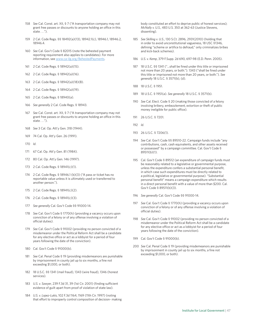- 158 *See* Cal. Const. art. XII, § 7 ("A transportation company may not grant free passes or discounts to anyone holding an office in this state . . .").
- 159 2 Cal. Code Regs. §§ 18492(a)(13), 18942.1(c), 18946.1, 18946.2, 18946.4.
- 160 *See* Cal. Gov't Code § 82015 (note the behested payment reporting requirement also applies to candidates). For more information, see www.ca-ilg.org/BehestedPayments.
- 161 2 Cal. Code Regs. § 18942(a)(15).
- 162 2 Cal. Code Regs. § 18942(a)(16).
- 163 2 Cal. Code Regs. § 18942(a)(18)(B).
- 164 2 Cal. Code Regs. § 18942(a)(19).
- 165 2 Cal. Code Regs. § 18940(a).
- 166 *See generally* 2 Cal. Code Regs. § 18943.
- 167 *See* Cal. Const. art. XII, § 7 ("A transportation company may not grant free passes or discounts to anyone holding an office in this state . . .").
- 168 *See* 3 Cal. Op. Att'y Gen. 318 (1944).
- 169 74 Cal. Op. Att'y Gen. 26 (1991).
- 170 *Id*.
- 171 67 Cal. Op. Att'y Gen. 81 (1984).
- 172 80 Cal. Op. Att'y Gen. 146 (1997).
- 173 2 Cal. Code Regs. § 18941(c)(1).
- 174 2 Cal. Code Regs. § 18946.1 (b)(3) ("A pass or ticket has no reportable value unless it is ultimately used or transferred to another person.").
- 175 2 Cal. Code Regs. § 18941(c)(2).
- 176 2 Cal. Code Regs. § 18941(c)(3).
- 177 *See generally* Cal. Gov't Code §§ 91000-14.
- 178 *See* Cal. Gov't Code § 1770(h) (providing a vacancy occurs upon conviction of a felony or of any offense involving a violation of official duties).
- 179 *See* Cal. Gov't Code § 91002 (providing no person convicted of a misdemeanor under the Political Reform Act shall be a candidate for any elective office or act as a lobbyist for a period of four years following the date of the conviction).
- 180 Cal. Gov't Code § 91000(b).
- 181 *See* Cal. Penal Code § 19 (providing misdemeanors are punishable by imprisonment in county jail up to six months, a fine not exceeding \$1,000, or both).
- 182 18 U.S.C. §§ 1341 (mail fraud), 1343 (wire fraud), 1346 (honest services).
- 183 *U.S. v. Sawyer*, 239 F.3d 31, 39 (1st Cir. 2001) (finding sufficient evidence of guilt apart from proof of violation of state law).
- 184 *U.S. v. Lopez-Lukis*, 102 F.3d 1164, 1169 (11th Cir. 1997) (noting that effort to improperly control composition of decision- making

body constituted an effort to deprive public of honest services); *McNally v. U.S.*, 483 U.S. 350 at 362-63 (Justice Stevens, dissenting).

- 185 *See Skilling v. U.S.*, 130 S.Ct. 2896, 2931(2010) (holding that in order to avoid unconstitutional vagueness, 18 USC §1346, defining "scheme or artifice to defraud," only criminalizes bribes and kick-back schemes).
- 186 *U.S. v. Kemp*, 379 F.Supp. 2d 690, 697-98 (E.D. Penn. 2005).
- 187 18 U.S.C. §§ 1341 ("…shall be fined under this title or imprisoned not more than 20 years, or both."). 1343 ("shall be fined under this title or imprisoned not more than 20 years, or both."). *See generally* 18 U.S.C. § 3571(b), (d).
- 188 18 U.S.C. § 1951.
- 189 18 U.S.C. § 1951(a). *See generally* 18 U.S.C. § 3571(b).
- 190 *See* Cal. Elect. Code § 20 (making those convicted of a felony involving bribery, embezzlement, extortion or theft of public money ineligible for public office).
- 191 26 U.S.C. § 7201.
- 192 *Id*.
- 193 26 U.S.C. § 7206(1).
- 194 *See* Cal. Gov't Code §§ 89510-22. Campaign funds include "any contributions, cash, cash equivalents, and other assets received or possessed" by a campaign committee. Cal. Gov't Code § 89511(b)(1).
- 195 Cal. Gov't Code § 89512 (an expenditure of campaign funds must be reasonably related to a legislative or governmental purpose, unless the expenditure confers a substantial personal benefit, in which case such expenditures must be directly related to a political, legislative or governmental purpose). "Substantial personal benefit" means a campaign expenditure which results in a direct personal benefit with a value of more than \$200. Cal. Gov't Code § 89511(b)(3).
- 196 *See generally* Cal. Gov't Code §§ 91000-14.
- 197 *See* Cal. Gov't Code § 1770(h) (providing a vacancy occurs upon conviction of a felony or of any offense involving a violation of official duties).
- 198 *See* Cal. Gov't Code § 91002 (providing no person convicted of a misdemeanor under the Political Reform Act shall be a candidate for any elective office or act as a lobbyist for a period of four years following the date of the conviction).
- 199 Cal. Gov't Code § 91000(b).
- 200 *See* Cal. Penal Code § 19 (providing misdemeanors are punishable by imprisonment in county jail up to six months, a fine not exceeding \$1,000, or both).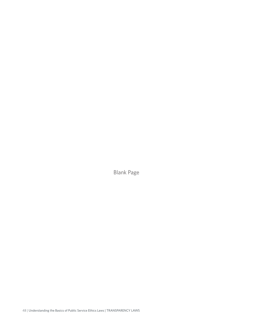Blank Page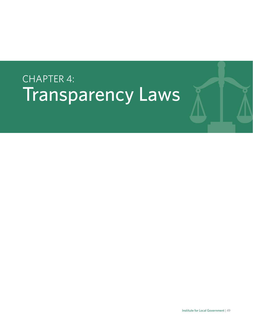# CHAPTER 4: Transparency Laws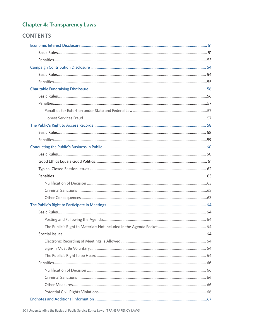# **Chapter 4: Transparency Laws**

# **CONTENTS**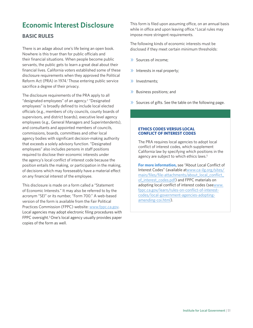# **Economic Interest Disclosure BASIC RULES**

There is an adage about one's life being an open book. Nowhere is this truer than for public officials and their financial situations. When people become public servants, the public gets to learn a great deal about their financial lives. California voters established some of these disclosure requirements when they approved the Political Reform Act (PRA) in 1974.<sup>1</sup> Those entering public service sacrifice a degree of their privacy.

The disclosure requirements of the PRA apply to all "designated employees" of an agency.<sup>2</sup> "Designated employees" is broadly defined to include local elected officials (e.g., members of city councils, county boards of supervisors, and district boards), executive level agency employees (e.g., General Managers and Superintendents), and consultants and appointed members of councils, commissions, boards, committees and other local agency bodies with significant decision-making authority that exceeds a solely advisory function. "Designated employees" also includes persons in staff positions required to disclose their economic interests under the agency's local conflict of interest code because the position entails the making, or participation in the making, of decisions which may foreseeably have a material effect on any financial interest of the employee.

This disclosure is made on a form called a "Statement of Economic Interests." It may also be referred to by the acronym "SEI" or its number, "Form 700." A web-based version of the form is available from the Fair Political Practices Commission (FPPC) website: www.fppc.ca.gov. Local agencies may adopt electronic filing procedures with FPPC oversight.3 One's local agency usually provides paper copies of the form as well.

This form is filed upon assuming office, on an annual basis while in office and upon leaving office.<sup>4</sup> Local rules may impose more stringent requirements.

The following kinds of economic interests must be disclosed if they meet certain minimum thresholds:

- » Sources of income;
- » Interests in real property;
- » Investments;
- » Business positions; and
- » Sources of gifts. See the table on the following page.

#### **ETHICS CODES VERSUS LOCAL CONFLICT OF INTEREST CODES**

The PRA requires local agencies to adopt local conflict of interest codes, which supplement California law by specifying which positions in the agency are subject to which ethics laws.<sup>5</sup>

**For more information,** see "About Local Conflict of Interest Codes" (available atwww.ca-ilg.org/sites/ main/files/file-attachments/about\_local\_conflict\_ of\_interest\_codes.pdf) and FPPC materials on adopting local conflict of interest codes (seewww. fppc.ca.gov/learn/rules-on-conflict-of-interestcodes/local-government-agencies-adoptingamending-coi.html).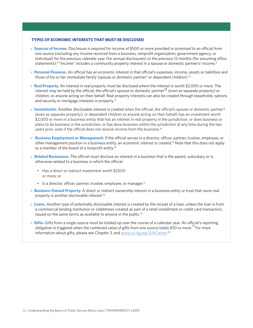#### **TYPES OF ECONOMIC INTERESTS THAT MUST BE DISCLOSED**

- » **Sources of Income.** Disclosure is required for income of \$500 or more provided or promised to an official from one source (including any income received from a business, nonprofit organization, government agency, or individual) for the previous calendar year (for annual disclosures) or the previous 12 months (for assuming office statements).<sup>6</sup> "Income" includes a community property interest in a spouse or domestic partner's<sup>7</sup> income.<sup>8</sup>
- » **Personal Finances.** An official has an economic interest in that official's expenses, income, assets or liabilities and those of his or her immediate family (spouse or domestic partner<sup>9</sup> or dependent children).<sup>10</sup>
- » **Real Property.** An interest in real property must be disclosed where the interest is worth \$2,000 or more. The interest may be held by the official, the official's spouse or domestic partner<sup>11</sup> (even as separate property) or children, or anyone acting on their behalf. Real property interests can also be created through leaseholds, options and security or mortgage interests in property.12
- » **Investments.** Another disclosable interest is created when the official, the official's spouse or domestic partner<sup>13</sup> (even as separate property), or dependent children or anyone acting on their behalf, has an investment worth \$2,000 or more in a business entity that has an interest in real property in the jurisdiction, or does business or plans to do business in the jurisdiction, or has done business within the jurisdiction at any time during the two years prior, even if the official does not receive income from the business.14
- » **Business Employment or Management.** If the official serves in a director, officer, partner, trustee, employee, or other management position in a business entity, an economic interest is created.15 Note that this does not apply to a member of the board of a nonprofit entity.<sup>16</sup>
- » **Related Businesses.** The official must disclose an interest in a business that is the parent, subsidiary or is otherwise related to a business in which the official:
	- Has a direct or indirect investment worth \$2000 or more; or
	- Is a director, officer, partner, trustee, employee, or manager.<sup>17</sup>
- » **Business-Owned Property.** A direct or indirect ownership interest in a business entity or trust that owns real property is another disclosable interest.18
- » **Loans.** Another type of potentially disclosable interest is created by the receipt of a loan, unless the loan is from a commercial lending Institution or indebtness created as part of a retail installment or credit card transaction, issued on the same terms as available to anyone in the public.19
- » **Gifts.** Gifts from a single source must be totaled up over the course of a calendar year. An official's reporting obligation is triggered when the combined value of gifts from one source totals \$50 or more.<sup>20</sup> For more information about gifts, please see Chapter 3, and www.ca-ilg.org/GiftCenter.<sup>23</sup>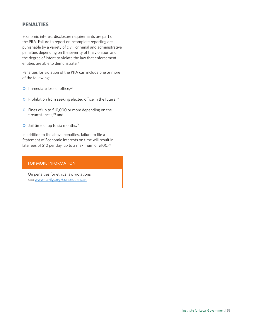## **PENALTIES**

Economic interest disclosure requirements are part of the PRA. Failure to report or incomplete reporting are punishable by a variety of civil, criminal and administrative penalties depending on the severity of the violation and the degree of intent to violate the law that enforcement entities are able to demonstrate.<sup>21</sup>

Penalties for violation of the PRA can include one or more of the following:

- » Immediate loss of office;22
- » Prohibition from seeking elected office in the future;23
- » Fines of up to \$10,000 or more depending on the circumstances;<sup>24</sup> and
- $\lambda$  Jail time of up to six months.<sup>25</sup>

In addition to the above penalties, failure to file a Statement of Economic Interests on time will result in late fees of \$10 per day, up to a maximum of \$100.<sup>26</sup>

#### FOR MORE INFORMATION

On penalties for ethics law violations, see www.ca-ilg.org/consequences.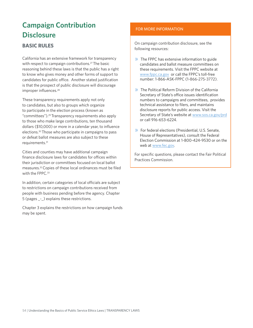# **Campaign Contribution Disclosure**

# **BASIC RULES**

California has an extensive framework for transparency with respect to campaign contributions.<sup>27</sup> The basic reasoning behind these laws is that the public has a right to know who gives money and other forms of support to candidates for public office. Another stated justification is that the prospect of public disclosure will discourage improper influences.28

These transparency requirements apply not only to candidates, but also to groups which organize to participate in the election process (known as "committees").29Transparency requirements also apply to those who make large contributions, ten thousand dollars (\$10,000) or more in a calendar year, to influence elections.30 Those who participate in campaigns to pass or defeat ballot measures are also subject to these requirements.31

Cities and counties may have additional campaign finance disclosure laws for candidates for offices within their jurisdiction or committees focused on local ballot measures.32 Copies of these local ordinances must be filed with the FPPC.<sup>33</sup>

In addition, certain categories of local officials are subject to restrictions on campaign contributions received from people with business pending before the agency. Chapter 5 (pages \_-\_) explains these restrictions.

Chapter 3 explains the restrictions on how campaign funds may be spent.

#### FOR MORE INFORMATION

On campaign contribution disclosure, see the following resources:

- » The FPPC has extensive information to guide candidates and ballot measure committees on these requirements. Visit the FPPC website at www.fppc.ca.gov or call the FPPC's toll-free number: 1-866-ASK-FPPC (1-866-275-3772).
- » The Political Reform Division of the California Secretary of State's office issues identification numbers to campaigns and committees, provides technical assistance to filers, and maintains disclosure reports for public access. Visit the Secretary of State's website at www.sos.ca.gov/prd or call 916-653-6224.
- » For federal elections (Presidential, U.S. Senate, House of Representatives), consult the Federal Election Commission at 1-800-424-9530 or on the web at www.fec.gov.

For specific questions, please contact the Fair Political Practices Commission.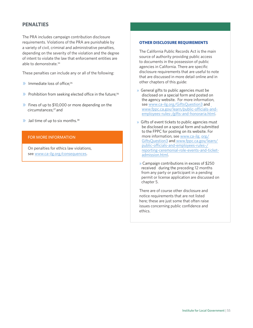## **PENALTIES**

The PRA includes campaign contribution disclosure requirements. Violations of the PRA are punishable by a variety of civil, criminal and administrative penalties, depending on the severity of the violation and the degree of intent to violate the law that enforcement entities are able to demonstrate.34

These penalties can include any or all of the following:

- » Immediate loss of office;35
- » Prohibition from seeking elected office in the future;36
- » Fines of up to \$10,000 or more depending on the circumstances;37 and
- $\lambda$  Jail time of up to six months.<sup>38</sup>

#### FOR MORE INFORMATION

On penalties for ethics law violations, see www.ca-ilg.org/consequences.

#### **OTHER DISCLOSURE REQUIREMENTS**

The California Public Records Act is the main source of authority providing public access to documents in the possession of public agencies in California. There are specific disclosure requirements that are useful to note that are discussed in more detail online and in other chapters of this guide:

- » General gifts to public agencies must be disclosed on a special form and posted on the agency website. For more information, see www.ca-ilg.org/GiftsQuestion3 and www.fppc.ca.gov/learn/public-officials-andemployees-rules-/gifts-and-honoraria.html.
- » Gifts of event tickets to public agencies must be disclosed on a special form and submitted to the FPPC for posting on its website. For more information, see www.ca-ilg. org/ GiftsQuestion3 and www.fppc.ca.gov/learn/ public-officials-and-employees-rules-/ reporting-ceremonial-role-events-and-ticketadmission.html.
- » Campaign contributions in excess of \$250 received during the preceding 12 months from any party or participant in a pending permit or license application are discussed on chapter 5.

There are of course other disclosure and notice requirements that are not listed here; these are just some that often raise issues concerning public confidence and ethics.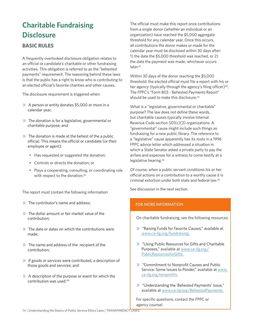# **Charitable Fundraising Disclosure**

# **BASIC RULES**

A frequently overlooked disclosure obligation relates to an official or candidate's charitable or other fundraising activities. This obligation is referred to as the "behested payments" requirement. The reasoning behind these laws is that the public has a right to know who is contributing to an elected official's favorite charities and other causes.

The disclosure requirement is triggered when:

- » A person or entity donates \$5,000 or more in a calendar year;
- » The donation is for a legislative, governmental or charitable purpose; and
- » The donation is made at the behest of the a public official. This means the official or candidate (or their employee or agent):
	- Has requested or suggested the donation;
	- Controls or directs the donation; or
	- Plays a cooperating, consulting, or coordinating role with respect to the donation.39

The report must contain the following information:

- » The contributor's name and address;
- » The dollar amount or fair market value of the contribution;
- » The date or dates on which the contributions were made;
- » The name and address of the recipient of the contribution;
- » If goods or services were contributed, a description of those goods and services; and
- » A description of the purpose or event for which the contribution was used.40

The official must make this report once contributions from a single donor (whether an individual or an organization) have reached the \$5,000 aggregate threshold for any calendar year. Once this occurs, all contributions the donor makes or made for the calendar year must be disclosed within 30 days after: 1) the date the \$5,000 threshold was reached, or 2) the date the payment was made, whichever occurs later.<sup>41</sup>

Within 30 days of the donor reaching the \$5,000 threshold, the elected official must file a report with his or her agency (typically through the agency's filing officer)<sup>42</sup>. The FPPC's "Form 803 - Behested Payments Report" should be used to make this disclosure.<sup>43</sup>

What is a "legislative, governmental or charitable" purpose? The law does not define these words, but charitable causes typically involve Internal Revenue Code section 501(c)(3) organizations. A "governmental" cause might include such things as fundraising for a new public library. The reference to a "legislative" cause apparently has its roots in a 1996 FPPC advice letter which addressed a situation in which a State Senator asked a private party to pay the airfare and expenses for a witness to come testify at a legislative hearing.44

Of course, when a public servant conditions his or her official actions on a contribution to a worthy cause it is criminal extortion under both state and federal law.45

See discussion in the next section.

#### FOR MORE INFORMATION

On charitable fundraising, see the following resources:

- » "Raising Funds for Favorite Causes," available at www.ca-ilg.org/fundraising.
- » "Using Public Resources for Gifts and Charitable Purposes," available at www.ca-ilg.org/ PublicResourcesforGifts.
- » "Commitment to Nonprofit Causes and Public Service: Some Issues to Ponder," available at www. ca-ilg.org/nonprofits.
- » "Understanding the 'Behested Payments' Issue," available at www.ca-ilg.org/BehestedPayments.

For specific questions, contact the FPPC or agency counsel.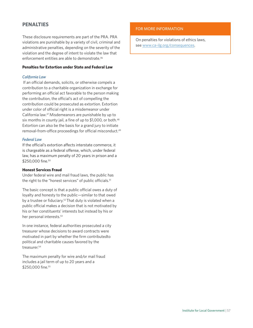### **PENALTIES**

These disclosure requirements are part of the PRA. PRA violations are punishable by a variety of civil, criminal and administrative penalties, depending on the severity of the violation and the degree of intent to violate the law that enforcement entities are able to demonstrate.<sup>46</sup>

#### **Penalties for Extortion under State and Federal Law**

#### *California Law*

If an official demands, solicits, or otherwise compels a contribution to a charitable organization in exchange for performing an official act favorable to the person making the contribution, the official's act of compelling the contribution could be prosecuted as extortion. Extortion under color of official right is a misdemeanor under California law.47 Misdemeanors are punishable by up to six months in county jail, a fine of up to \$1,000, or both.<sup>48</sup> Extortion can also be the basis for a grand jury to initiate removal-from-office proceedings for official misconduct.49

#### *Federal Law*

If the official's extortion affects interstate commerce, it is chargeable as a federal offense, which, under federal law, has a maximum penalty of 20 years in prison and a \$250,000 fine.<sup>50</sup>

#### **Honest Services Fraud**

Under federal wire and mail fraud laws, the public has the right to the "honest services" of public officials.<sup>51</sup>

The basic concept is that a public official owes a duty of loyalty and honesty to the public—similar to that owed by a trustee or fiduciary.<sup>52</sup> That duty is violated when a public official makes a decision that is not motivated by his or her constituents' interests but instead by his or her personal interests.<sup>53</sup>

In one instance, federal authorities prosecuted a city treasurer whose decisions to award contracts were motivated in part by whether the firm contributedto political and charitable causes favored by the treasurer.54

The maximum penalty for wire and/or mail fraud includes a jail term of up to 20 years and a \$250,000 fine.55

#### FOR MORE INFORMATION

On penalties for violations of ethics laws, see www.ca-ilg.org/consequences.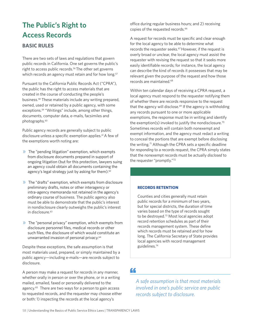# **The Public's Right to Access Records**

# **BASIC RULES**

There are two sets of laws and regulations that govern public records in California. One set governs the public's right to access public records.<sup>56</sup> The other set governs which records an agency must retain and for how long.<sup>57</sup>

Pursuant to the California Public Records Act ("CPRA"), the public has the right to access materials that are created in the course of conducting the people's business.58 These materials include any writing prepared, owned, used or retained by a public agency, with some exceptions.59 "Writings" include, among other things, documents, computer data, e-mails, facsimiles and photographs.<sup>60</sup>

Public agency records are generally subject to public disclosure unless a specific exemption applies.<sup>61</sup> A few of the exemptions worth noting are:

- » The "pending litigation" exemption, which exempts from disclosure documents prepared in support of ongoing litigation (but for this protection, lawyers suing an agency could obtain all documents containing the agency's legal strategy just by asking for them).<sup>62</sup>
- » The "drafts" exemption, which exempts from disclosure preliminary drafts, notes or other interagency or intra-agency memoranda not retained in the agency's ordinary course of business. The public agency also must be able to demonstrate that the public's interest in nondisclosure clearly outweighs the public's interest in disclosure.<sup>63</sup>
- » The "personal privacy" exemption, which exempts from disclosure personnel files, medical records or other such files, the disclosure of which would constitute an unwarranted invasion of personal privacy.<sup>64</sup>

Despite these exceptions, the safe assumption is that most materials used, prepared, or simply maintained by a public agency—including e-mails—are records subject to disclosure.

A person may make a request for records in any manner, whether orally in person or over the phone, or in a writing mailed, emailed, faxed or personally delivered to the agency.<sup>65</sup> There are two ways for a person to gain access to requested records, and the requester may choose either or both: 1) inspecting the records at the local agency's

office during regular business hours; and 2) receiving copies of the requested records.<sup>66</sup>

A request for records must be specific and clear enough for the local agency to be able to determine what records the requester seeks.<sup>67</sup> However, if the request is overly broad or unclear, the local agency must assist the requester with revising the request so that it seeks more easily identifiable records; for instance, the local agency can describe the kind of records it possesses that may be relevant given the purpose of the request and how those records are maintained.68

Within ten calendar days of receiving a CPRA request, a local agency must respond to the requester notifying them of whether there are records responsive to the request that the agency will disclose.<sup>69</sup> If the agency is withholding any records pursuant to one or more applicable exemptions, the response must be in writing and identify the exemption(s) invoked to justify the nondisclosure.<sup>70</sup> Sometimes records will contain both nonexempt and exempt information, and the agency must redact a writing to conceal the portions that are exempt before disclosing the writing.<sup>71</sup> Although the CPRA sets a specific deadline for *responding* to a records request, the CPRA simply states that the nonexempt records must be actually *disclosed* to the requester "promptly."72

#### **RECORDS RETENTION**

Counties and cities generally must retain public records for a minimum of two years, but for special districts, the duration of time varies based on the type of records sought to be destroyed.73 Most local agencies adopt record retention schedules as part of their records management system. These define which records must be retained and for how long. The California Secretary of State provides local agencies with record management guidelines.74

"

*A safe assumption is that most materials involved in one's public service are public records subject to disclosure.*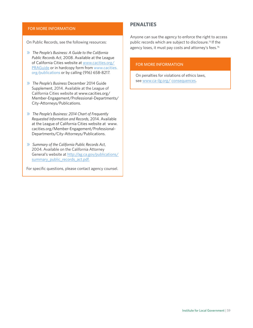#### FOR MORE INFORMATION

On Public Records, see the following resources:

- » *The People's Business: A Guide to the California Public Records Act*, 2008. Available at the League of California Cities website at www.cacities.org/ PRAGuide or in hardcopy form from www.cacities. org/publications or by calling (916) 658-8217.
- » *The People's Business* December 2014 Guide Supplement, 2014. Available at the League of California Cities website at www.cacities.org/ Member-Engagement/Professional-Departments/ City-Attorneys/Publications.
- » *The People's Business: 2014 Chart of Frequently Requested Information and Records*, 2014. Available at the League of California Cities website at www. cacities.org/Member-Engagement/Professional-Departments/City-Attorneys/Publications.
- » *Summary of the California Public Records Act*, 2004. Available on the California Attorney General's website at http://ag.ca.gov/publications/ summary\_public\_records\_act.pdf.

For specific questions, please contact agency counsel.

#### **PENALTIES**

Anyone can sue the agency to enforce the right to access public records which are subject to disclosure.75 If the agency loses, it must pay costs and attorney's fees.<sup>76</sup>

#### FOR MORE INFORMATION

On penalties for violations of ethics laws, see www.ca-ilg.org/ consequences.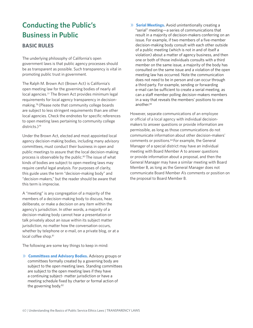# **Conducting the Public's Business in Public**

### **BASIC RULES**

The underlying philosophy of California's open government laws is that public agency processes should be as transparent as possible. Such transparency is vital in promoting public trust in government.

The Ralph M. Brown Act (Brown Act) is California's open meeting law for the governing bodies of nearly all local agencies.<sup>77</sup> The Brown Act provides minimum legal requirements for local agency transparency in decisionmaking.78 (Please note that community college boards are subject to less stringent requirements than are other local agencies. Check the endnotes for specific references to open meeting laws pertaining to community college districts.)79

Under the Brown Act, elected and most appointed local agency decision-making bodies, including many advisory committees, must conduct their business in open and public meetings to assure that the local decision-making process is observable by the public.<sup>80</sup> The issue of what kinds of bodies are subject to open meeting laws may require careful legal analysis. For purposes of clarity, this guide uses the term "decision-making body" and "decision-makers," but the reader should be aware that this term is imprecise.

A "meeting" is any congregation of a majority of the members of a decision-making body to discuss, hear, deliberate, or make a decision on any item within the agency's jurisdiction. In other words, a majority of a decision-making body cannot hear a presentation or talk privately about an issue within its subject matter jurisdiction, no matter how the conversation occurs, whether by telephone or e-mail, on a private blog, or at a local coffee shop.<sup>81</sup>

The following are some key things to keep in mind:

» **Committees and Advisory Bodies.** Advisory groups or committees formally created by a governing body are subject to the open meeting laws. Standing committees are subject to the open meeting laws if they have a continuing subject- matter jurisdiction or have a meeting schedule fixed by charter or formal action of the governing body.<sup>82</sup>

» **Serial Meetings.** Avoid unintentionally creating a "serial" meeting—a series of communications that result in a majority of decision-makers conferring on an issue. For example, if two members of a five-member decision-making body consult with each other outside of a public meeting (which is not in and of itself a violation) about a matter of agency business, and then one or both of those individuals consults with a third member on the same issue, a majority of the body has consulted on the same issue and a violation of the open meeting law has occurred. Note the communication does not need to be in person and can occur through a third party. For example, sending or forwarding e-mail can be sufficient to create a serial meeting, as can a staff member polling decision-makers members in a way that reveals the members' positions to one another.<sup>83</sup>

However, separate communications of an employee or official of a local agency with individual decisionmakers to answer questions or provide information are permissible, as long as those communications do not communicate information about other decision-makers' comments or positions.84 For example, the General Manager of a special district may have an individual meeting with Board Member A to answer questions or provide information about a proposal, and then the General Manager may have a similar meeting with Board Member B, as long as the General Manager does not communicate Board Member A's comments or position on the proposal to Board Member B.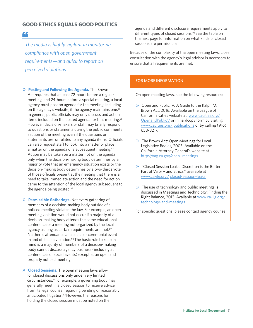# **GOOD ETHICS EQUALS GOOD POLITICS**

"

*The media is highly vigilant in monitoring compliance with open government requirements—and quick to report on perceived violations.*

» **Posting and Following the Agenda.** The Brown Act requires that at least 72-hours before a regular meeting, and 24-hours before a special meeting, a local agency must post an agenda for the meeting, including on the agency's website, if the agency maintains one.<sup>85</sup> In general, public officials may only discuss and act on items included on the posted agenda for that meeting.<sup>86</sup> However, decision-makers or staff may briefly respond to questions or statements during the public comments section of the meeting even if the questions or statements are unrelated to any agenda items. Officials can also request staff to look into a matter or place a matter on the agenda of a subsequent meeting.<sup>87</sup> Action may be taken on a matter not on the agenda only when the decision-making body determines by a majority vote that an emergency situation exists or the decision-making body determines by a two-thirds vote of those officials present at the meeting that there is a need to take immediate action and the need for action came to the attention of the local agency subsequent to the agenda being posted.<sup>88</sup>

» **Permissible Gatherings.** Not every gathering of members of a decision-making body outside of a noticed meeting violates the law. For example, an open meeting violation would not occur if a majority of a decision-making body attends the same educational conference or a meeting not organized by the local agency as long as certain requirements are met.<sup>89</sup> Neither is attendance at a social or ceremonial event in and of itself a violation.<sup>90</sup> The basic rule to keep in mind is a majority of members of a decision-making body cannot discuss agency business (including at conferences or social events) except at an open and properly noticed meeting.

» **Closed Sessions.** The open meeting laws allow for closed discussions only under very limited circumstances.91 For example, a governing body may generally meet in a closed session to receive advice from its legal counsel regarding pending or reasonably anticipated litigation.92 However, the reasons for holding the closed session must be noted on the

agenda and different disclosure requirements apply to different types of closed sessions.<sup>93</sup> See the table on the next page for information on what kinds of closed sessions are permissible.

Because of the complexity of the open meeting laws, close consultation with the agency's legal advisor is necessary to ensure that all requirements are met.

#### FOR MORE INFORMATION

On open meeting laws, see the following resources:

- » Open and Public V: A Guide to the Ralph M. Brown Act, 2016. Available on the League of California Cities website at www.cacities.org/ OpenandPublicV or in hardcopy form by visiting www.cacities.org/ publications or by calling (916) 658-8217.
- » The Brown Act: Open Meetings for Local Legislative Bodies, 2003. Available on the California Attorney General's website at http://oag.ca.gov/open- meetings.
- » "Closed Session Leaks: Discretion is the Better Part of Valor – and Ethics," available at www.ca-ilg.org/ closed-session-leaks.
- » The use of technology and public meetings is discussed in Meetings and Technology: Finding the Right Balance, 2013. Available at www.ca-ilg.org/ technology-and-meetings.

For specific questions, please contact agency counsel.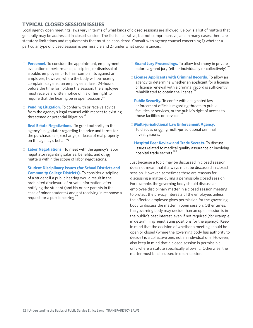### **TYPICAL CLOSED SESSION ISSUES**

Local agency open meetings laws vary in terms of what kinds of closed sessions are allowed. Below is a list of matters that generally may be addressed in closed session. The list is illustrative, but not comprehensive, and in many cases, there are statutory limitations and requirements that must be considered. Consult with agency counsel concerning 1) whether a particular type of closed session is permissible and 2) under what circumstances.

- □ **Personnel.** To consider the appointment, employment, evaluation of performance, discipline, or dismissal of a public employee, or to hear complaints against an employee; however, where the body will be hearing complaints against an employee, at least 24-hours before the time for holding the session, the employee must receive a written notice of his or her right to require that the hearing be in open session.<sup>94</sup>
- □ **Pending Litigation.** To confer with or receive advice from the agency's legal counsel with respect to existing, threatened or potential litigation. $\overline{S}$
- □ **Real Estate Negotiations.** To grant authority to the agency's negotiator regarding the price and terms for the purchase, sale, exchange, or lease of real property on the agency's behalf.96
- □ **Labor Negotiations.** To meet with the agency's labor negotiator regarding salaries, benefits, and other matters within the scope of labor negotiations.
- � **Student Disciplinary Issues (for School Districts and Community College Districts).** To consider discipline of a student if a public hearing would result in the prohibited disclosure of private information, after notifying the student (and his or her parents in the case of minor students) and not receiving in response a request for a public hearing. $\frac{3}{5}$
- □ **Grand Jury Proceedings.** To allow testimony in private<sub>os</sub> before a grand jury (either individually or collectively).
- � **License Applicants with Criminal Records.** To allow an agency to determine whether an applicant for a license or license renewal with a criminal record is sufficiently rehabilitated to obtain the license.<sup>100</sup>
- □ **Public Security.** To confer with designated law enforcement officials regarding threats to public facilities or services, or the public's right of access to those facilities or services.<sup>1</sup>
- □ **Multi-jurisdictional Law Enforcement Agency.** To discuss ongoing multi-jurisdictional criminal  $investigations.$ <sup>1</sup>
- � **Hospital Peer Review and Trade Secrets.** To discuss issues related to medical quality assurance or involving hospital trade secrets.<sup>103</sup>

Just because a topic may be discussed in closed session does not mean that it always must be discussed in closed session. However, sometimes there are reasons for discussing a matter during a permissible closed session. For example, the governing body should discuss an employee disciplinary matter in a closed session meeting to protect the privacy interests of the employee, unless the affected employee gives permission for the governing body to discuss the matter in open session. Other times, the governing body may decide than an open session is in the public's best interest, even if not required (for example, in determining negotiating positions for the agency). Keep in mind that the decision of whether a meeting should be open or closed (where the governing body has authority to decide) is a collective one, not an individual one. However, also keep in mind that a closed session is permissible only where a statute specifically allows it. Otherwise, the matter must be discussed in open session.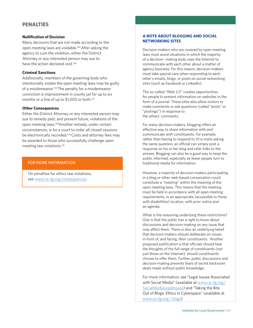### **PENALTIES**

#### **Nullification of Decision**

Many decisions that are not made according to the open meeting laws are voidable.104 After asking the agency to cure the violation, either the District Attorney or any interested person may sue to have the action declared void.105

#### **Criminal Sanctions**

Additionally, members of the governing body who intentionally violate the open meeting laws may be guilty of a misdemeanor.106 The penalty for a misdemeanor conviction is imprisonment in county jail for up to six months or a fine of up to \$1,000 or both.<sup>107</sup>

#### **Other Consequences**

Either the District Attorney or any interested person may sue to remedy past, and prevent future, violations of the open meeting laws.108Another remedy, under certain circumstances, is for a court to order all closed sessions be electronically recorded.109 Costs and attorney fees may be awarded to those who successfully challenge open meeting law violations.110

#### FOR MORE INFORMATION

On penalties for ethics law violations, see www.ca-ilg.org/consequences.

#### **A NOTE ABOUT BLOGGING AND SOCIAL NETWORKING SITES**

Decision-makers who are covered by open meeting laws must avoid situations in which the majority of a decision- making body uses the Internet to communicate with each other about a matter of agency business. For this reason, decision-makers must take special care when responding to each other's emails, blogs, or posts on social networking sites (such as Facebook or LinkedIn).

The so-called "Web 2.0" creates opportunities for people to present information on websites in the form of a journal. These sites also allow visitors to make comments or ask questions (called "posts" or "postings") in response to the others' comments.

For many decision-makers, blogging offers an effective way to share information with and communicate with constituents. For example, rather than having to respond to 10 e-mails asking the same question, an official can simply post a response on his or her blog and refer folks to the answer. Blogging can also be a good way to keep the public informed, especially as fewer people turn to traditional media for information.

However, a majority of decision-makers participating in a blog or other web-based conversation could constitute a "meeting" within the meaning of the open meeting laws. This means that the meeting must be held in accordance with all open meeting requirements, in an appropriate (accessible to those with disabilities) location, with prior notice and an agenda.

What is the reasoning underlying these restrictions? One is that the public has a right to know about discussions and decision-making on any issue that may affect them. There is also an underlying belief that decision-makers should deliberate on issues in front of, and facing, their constituents. Another proposed justification is that officials should hear the thoughts of the full range of constituents (not just those on the Internet), should constituents choose to offer them. Further, public discussions and decision-making prevents fears of secret backroom deals made without public knowledge.

For more information, see "Legal Issues Associated with Social Media" (available at www.ca-ilg.org/ SocialMediaLegalIssues) and "Taking the Bite Out of Blogs: Ethics in Cyberspace" (available at www.ca-ilg.org/ blogs).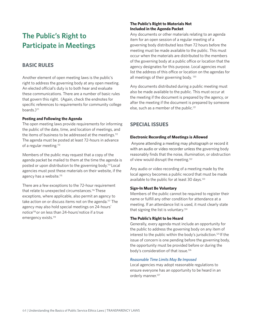# **The Public's Right to Participate in Meetings**

# **BASIC RULES**

Another element of open meeting laws is the public's right to address the governing body at any open meeting. An elected official's duty is to both hear and evaluate these communications. There are a number of basic rules that govern this right. (Again, check the endnotes for specific references to requirements for community college boards.)<sup>111</sup>

#### **Posting and Following the Agenda**

The open meeting laws provide requirements for informing the public of the date, time, and location of meetings, and the items of business to be addressed at the meetings.<sup>112</sup> The agenda must be posted at least 72-hours in advance of a regular meeting.<sup>113</sup>

Members of the public may request that a copy of the agenda packet be mailed to them at the time the agenda is posted or upon distribution to the governing body.114 Local agencies must post these materials on their website, if the agency has a website.<sup>115</sup>

There are a few exceptions to the 72-hour requirement that relate to unexpected circumstances.116 These exceptions, where applicable, also permit an agency to take action on or discuss items not on the agenda.<sup>117</sup> The agency may also hold special meetings on 24-hours' notice<sup>118</sup> or on less than 24-hours' notice if a true emergency exists.<sup>119</sup>

#### **The Public's Right to Materials Not Included in the Agenda Packet**

Any documents or other materials relating to an agenda item for an open session of a regular meeting of a governing body distributed less than 72 hours before the meeting must be made available to the public. This must occur when the materials are distributed to the members of the governing body at a public office or location that the agency designates for this purpose. Local agencies must list the address of this office or location on the agendas for all meetings of their governing body. 120

Any documents distributed during a public meeting must also be made available to the public. This must occur at the meeting if the document is prepared by the agency, or after the meeting if the document is prepared by someone else, such as a member of the public.<sup>121</sup>

# **SPECIAL ISSUES**

#### **Electronic Recording of Meetings is Allowed**

Anyone attending a meeting may photograph or record it with an audio or video recorder unless the governing body reasonably finds that the noise, illumination, or obstruction of view would disrupt the meeting.<sup>122</sup>

Any audio or video recording of a meeting made by the local agency becomes a public record that must be made available to the public for at least 30 days.<sup>123</sup>

#### **Sign-In Must Be Voluntary**

Members of the public cannot be required to register their name or fulfill any other condition for attendance at a meeting. If an attendance list is used, it must clearly state that signing the list is voluntary.124

#### **The Public's Right to be Heard**

Generally, every agenda must include an opportunity for the public to address the governing body on any item of interest to the public within the body's jurisdiction.125 If the issue of concern is one pending before the governing body, the opportunity must be provided before or during the body's consideration of that issue.126

#### *Reasonable Time Limits May Be Imposed*

Local agencies may adopt reasonable regulations to ensure everyone has an opportunity to be heard in an orderly manner.<sup>127</sup>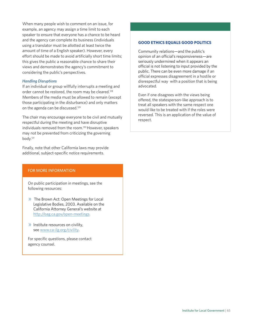When many people wish to comment on an issue, for example, an agency may assign a time limit to each speaker to ensure that everyone has a chance to be heard and the agency can complete its business (individuals using a translator must be allotted at least twice the amount of time of a English speaker). However, every effort should be made to avoid artificially short time limits; this gives the public a reasonable chance to share their views and demonstrates the agency's commitment to considering the public's perspectives.

#### *Handling Disruptions*

If an individual or group willfully interrupts a meeting and order cannot be restored, the room may be cleared.128 Members of the media must be allowed to remain (except those participating in the disturbance) and only matters on the agenda can be discussed.129

The chair may encourage everyone to be civil and mutually respectful during the meeting and have disruptive individuals removed from the room.130 However, speakers may not be prevented from criticizing the governing body.131

Finally, note that other California laws may provide additional, subject-specific notice requirements.

#### FOR MORE INFORMATION

On public participation in meetings, see the following resources:

- » The Brown Act: Open Meetings for Local Legislative Bodies, 2003. Available on the California Attorney General's website at http://oag.ca.gov/open-meetings.
- » Institute resources on civility, see www.ca-ilg.org/civility.

For specific questions, please contact agency counsel.

#### **GOOD ETHICS EQUALS GOOD POLITICS**

Community relations—and the public's opinion of an official's responsiveness—are seriously undermined when it appears an official is not listening to input provided by the public. There can be even more damage if an official expresses disagreement in a hostile or disrespectful way with a position that is being advocated.

Even if one disagrees with the views being offered, the statesperson-like approach is to treat all speakers with the same respect one would like to be treated with if the roles were reversed. This is an application of the value of respect.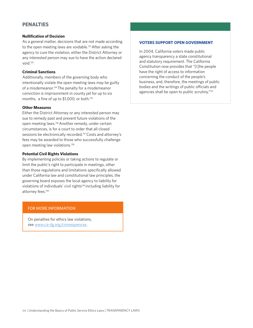### **PENALTIES**

#### **Nullification of Decision**

As a general matter, decisions that are not made according to the open meeting laws are voidable.132 After asking the agency to cure the violation, either the District Attorney or any interested person may sue to have the action declared void.133

#### **Criminal Sanctions**

Additionally, members of the governing body who intentionally violate the open meeting laws may be guilty of a misdemeanor.134 The penalty for a misdemeanor conviction is imprisonment in county jail for up to six months, a fine of up to \$1,000, or both.<sup>135</sup>

#### **Other Measures**

Either the District Attorney or any interested person may sue to remedy past and prevent future violations of the open meeting laws.136 Another remedy, under certain circumstances, is for a court to order that all closed sessions be electronically recorded.137 Costs and attorney's fees may be awarded to those who successfully challenge open meeting law violations.138

#### **Potential Civil Rights Violations**

By implementing policies or taking actions to regulate or limit the public's right to participate in meetings, other than those regulations and limitations specifically allowed under California law and constitutional law principles, the governing board exposes the local agency to liability for violations of individuals' civil rights<sup>139</sup> including liability for attorney fees.140

#### FOR MORE INFORMATION

On penalties for ethics law violations, see www.ca-ilg.org/consequences.

#### **VOTERS SUPPORT OPEN GOVERNMENT**

In 2004, California voters made public agency transparency a state constitutional and statutory requirement. The California Constitution now provides that "[t]he people have the right of access to information concerning the conduct of the people's business, and, therefore, the meetings of public bodies and the writings of public officials and agencies shall be open to public scrutiny."141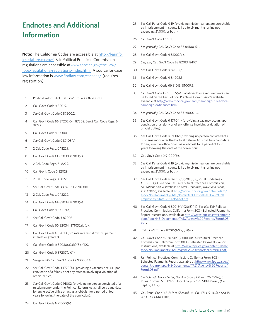# **Endnotes and Additional Information**

**Note:** The California Codes are accessible at http://leginfo. legislature.ca.gov/. Fair Political Practices Commission regulations are accessible atwww.fppc.ca.gov/the-law/ fppc-regulations/regulations-index.html. A source for case law information is www.findlaw.com/cacases/ (requires registration).

- 1 Political Reform Act. Cal. Gov't Code §§ 87200-10.
- 2 Cal. Gov't Code § 82019.
- 3 *See* Cal. Gov't Code § 87500.2.
- 4 Cal. Gov't Code §§ 87202-04, 87302. See 2 Cal. Code Regs. § 18722.
- 5 Cal. Gov't Code § 87300.
- 6 *See* Cal. Gov't Code § 87103(c).
- 7 2 Cal. Code Regs. § 18229.
- 8 Cal. Gov't Code §§ 82030, 87103(c).
- 9 2 Cal. Code Regs. § 18229.
- 10 Cal. Gov't. Code § 82029.
- 11 2 Cal. Code Regs. § 18229.
- 12 *See* Cal. Gov't Code §§ 82033, 87103(b).
- 13 2 Cal. Code Regs. § 18229.
- 14 Cal. Gov't Code §§ 82034, 87103(a) .
- 15 Cal. Gov't Code § 87103(d).
- 16 *See* Cal. Gov't Code § 82005.
- 17 Cal. Gov't Code §§ 82034, 87103(a), (d).
- 18 Cal. Gov't Code § 82033 (pro rata interest, if own 10 percent interest or greater).
- 19 Cal. Gov't Code § 82030(a),(b)(8), (10).
- 20 Cal. Gov't Code § 87207(a)(1).
- 21 *See generally* Cal. Gov't Code §§ 91000-14.
- 22 *See* Cal. Gov't Code § 1770(h) (providing a vacancy occurs upon conviction of a felony or of any offense involving a violation of official duties).
- 23 *See* Cal. Gov't Code § 91002 (providing no person convicted of a misdemeanor under the Political Reform Act shall be a candidate for any elective office or act as a lobbyist for a period of four years following the date of the conviction).
- 24 Cal. Gov't Code § 91000(b).
- 25 *See* Cal. Penal Code § 19 (providing misdemeanors are punishable by imprisonment in county jail up to six months, a fine not exceeding \$1,000, or both).
- 26 Cal. Gov't Code § 91013.
- 27 *See generally* Cal. Gov't Code §§ 84100-511.
- 28 *See* Cal. Gov't Code § 81002(a).
- 29 *See, e.g.,* Cal. Gov't Code §§ 82013, 84101.
- 30 *See* Cal. Gov't Code § 82013(c).
- 31 *See* Cal. Gov't Code § 84202.3.
- 32 *See* Cal. Gov't Code §§ 81013, 81009.5.
- 33 Cal. Gov't Code § 81009.5(a). Local disclosure requirements can be found on the Fair Political Practices Commission's website, available at http://www.fppc.ca.gov/learn/campaign-rules/localcampaign-ordinances.html.
- 34 *See generally* Cal. Gov't Code §§ 91000-14.
- 35 *See* Cal. Gov't Code § 1770(h) (providing a vacancy occurs upon conviction of a felony or of any offense involving a violation of official duties).
- 36 *See* Cal. Gov't Code § 91002 (providing no person convicted of a misdemeanor under the Political Reform Act shall be a candidate for any elective office or act as a lobbyist for a period of four years following the date of the conviction).
- 37 Cal. Gov't Code § 91000(b).
- 38 *See* Cal. Penal Code § 19 (providing misdemeanors are punishable by imprisonment in county jail up to six months, a fine not exceeding \$1,000, or both).
- 39 *See* Cal. Gov't Code § 82015(b)(2)(B)(iii); 2 Cal. Code Regs. § 18215.3(a). *See also* Cal. Fair Political Practices Commission, *Limitations and Restrictions on Gifts, Honoraria, Travel and Loans*, at 8 (2015), available at http://www.fppc.ca.gov/content/dam/ fppc/NS-Documents/TAD/Public%20Officials%20and%20 Employees/StateGiftFactSheet.pdf.
- 40 *See* Cal. Gov't Code § 82015(b)(2)(B)(iii). *See also* Fair Political Practices Commission, California Form 803 – Behested Payments Report Instructions, available at http://www.fppc.ca.gov/content/ dam/fppc/NS-Documents/TAD/Agency%20Reports/Form803. pdf .
- 41 Cal. Gov't Code § 82015(b)(2)(B)(iii).
- 42 Cal. Gov't Code § 82015(b)(2)(B)(iii); Fair Political Practices Commission, California Form 803 – Behested Payments Report Instructions, available at http://www.fppc.ca.gov/content/dam/ fppc/NS-Documents/TAD/Agency%20Reports/Form803.pdf.
- 43 Fair Political Practices Commission, California Form 803 Behested Payments Report, available at http://www.fppc.ca.gov/ content/dam/fppc/NS-Documents/TAD/Agency%20Reports/ Form803.pdf.
- 44 *See Schmidt Advice Letter*, No. A-96-098 (March 26, 1996); S. Rules. Comm., S.B. 124 S. Floor Analysis, 1997-1998 Sess., (Cal. Sept. 2, 1997).
- 45 Cal. Penal Code § 518; *In re Shepard*, 161 Cal. 171 (1911). *See also* 18 U.S.C. § 666(a)(1)(B) .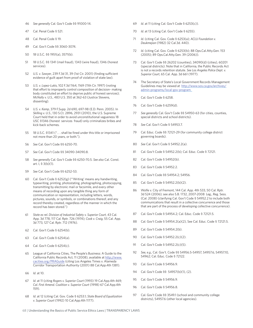- 46 *See generally* Cal. Gov't Code §§ 91000-14.
- 47 Cal. Penal Code § 521.
- 48 Cal. Penal Code § 19.
- 49 Cal. Gov't Code §§ 3060-3074.
- 50 18 U.S.C. §§ 1951(a), 3571(b).
- 51 18 U.S.C. §§ 1341 (mail fraud), 1343 (wire fraud), 1346 (honest services).
- 52 *U.S. v. Sawyer*, 239 F.3d 31, 39 (1st Cir. 2001) (finding sufficient evidence of guilt apart from proof of violation of state law).
- 53 *U.S. v. Lopez-Lukis*, 102 F.3d 1164, 1169 (11th Cir. 1997) (noting that effort to improperly control composition of decision- making body constituted an effort to deprive public of honest services); *McNally v. U.S.*, 483 U.S. 350 at 362-63 (Justice Stevens, dissenting).
- 54 *U.S. v. Kemp*, 379 F.Supp. 2d 690, 697-98 (E.D. Penn. 2005). In *Skilling v. U.S.*, 130 S.Ct. 2896, 2931 (2010), the U.S. Supreme Court held that in order to avoid unconstitutional vagueness 18 USC §1346 (honest services fraud) only criminalizes bribes and kick-back schemes.
- 55 18 U.S.C. §1341 (". . . shall be fined under this title or imprisoned not more than 20 years, or both.").
- 56 *See* Cal. Gov't Code §§ 6250-70.
- 57 *See* Cal. Gov't Code §§ 34090-34090.8.
- 58 *See generally* Cal. Gov't Code §§ 6250-70.5. *See also* Cal. Const. art. I, § 3(b)(1).
- 59 *See* Cal. Gov't Code §§ 6252-53.
- 60 Cal. Gov't Code § 6252(g) ("'Writing' means any handwriting, typewriting, printing, photostating, photographing, photocopying, transmitting by electronic mail or facsimile, and every other means of recording upon any tangible thing any form of communication or representation, including letters, words, pictures, sounds, or symbols, or combinations thereof, and any record thereby created, regardless of the manner in which the record has been stored.")
- 61 *State ex rel. Division of Industrial Safety v. Superior Court*, 43 Cal. App. 3d 778, 117 Cal. Rptr. 726 (1974); *Cook v. Craig*, 55 Cal. App. 3d 773, 127 Cal. Rptr. 712 (1976).
- 62 Cal. Gov't Code § 6254(b).
- 63 Cal. Gov't Code § 6254(a).
- 64 Cal. Gov't Code § 6254(c).
- 65 League of California Cities, The People's Business: A Guide to the California Public Records Act, 11 (2008), available at http://www. cacities.org/PRAGuide (citing Los Angeles Times v. Alameda Corridor Transportation Authority (2001) 88 Cal.App.4th 1381).
- 66 *Id*. at 10.
- 67 *Id*. at 11 (citing *Rogers v. Superior Court* (1993) 19 Cal.App.4th 469; *Cal. First Amend. Coalition v. Superior Court* (1998) 67 Cal.App.4th 159).
- 68 *Id*. at 12 (citing Cal. Gov. Code § 6253.1; *State Board of Equalization v. Superior Court* (1992) 10 Cal.App.4th 1177).
- 69 *Id*. at 11 (citing Cal. Gov't Code § 6253(c)).
- 70 *Id*. at 13 (citing Cal. Gov't Code § 6255).
- 71 *Id*. (citing Cal. Gov. Code § 6253(a); *ACLU Foundation v. Deukmejian* (1982) 32 Cal.3d. 440).
- 72 *Id*. (citing Cal. Gov. Code § 6253(b); 88 Ops.Cal.Atty.Gen. 153 (2005); 89 Ops.Cal.Atty.Gen. 39 (2006)).
- 73 Cal. Gov't Code §§ 26202 (counties), 34090(d) (cities), 60201 (special districts). Note that in California, the Public Records Act is not a records retention statute. *See Los Angeles Police Dept. v. Superior Court*, 65 Cal. App. 3d 661 (1977).
- 74 The Secretary of State's Local Government Records Management Guidelines may be viewed at http://www.sos.ca.gov/archives/ admin-programs/local-gov-program.
- 75 Cal. Gov't Code § 6258.
- 76 Cal. Gov't Code § 6259(d).
- 77 *See generally* Cal. Gov't Code §§ 54950-63 (for cities, counties, special districts and school districts).
- 78 *See* Cal. Gov't Code § 54953.7.
- 79 Cal. Educ. Code §§ 72121-29 (for community college district governing boards).
- 80 *See* Cal. Gov't Code § 54952.2(a).
- 81 Cal. Gov't Code § 54952.2(b); Cal. Educ. Code § 72121.
- 82 Cal. Gov't Code § 54952(b).
- 83 Cal. Gov't Code § 54952.2.
- 84 Cal. Gov't Code §§ 54954.2; 54956.
- 85 Cal. Gov't Code § 54952.2(b)(2).
- 86 Wolfe v. City of Fremont, 144 Cal. App. 4th 533, 50 Cal. Rptr. 3d 524 (2006); see also S.B. 1732, 2007-2008 Leg., Reg. Sess. (Cal. 2008) (clarifying Cal. Gov't Code § 54952.2 to include both communications that result in a collective concurrence and those that are part of the process of developing collective concurrence).
- 87 Cal. Gov't Code § 54954.2; Cal. Educ. Code § 72121.5.
- 88 Cal. Gov't Code § 54954.2(a)(2), See Cal. Educ. Code § 72121.5.
- 89 Cal. Gov't Code § 54954.2(b).
- 90 Cal. Gov't Code § 54952.2(c)(2).
- 91 Cal. Gov't Code § 54952.2(c)(5).
- 92 *See, e.g.,* Cal. Gov't. Code §§ 54956.5-54957, 54957.6, 54957.10, 54962; Cal. Educ. Code § 72122.
- 93 Cal. Gov't Code § 54956.9.
- 94 Cal. Gov't Code §§ 54957(b)(1), (2).
- 95 Cal. Gov't Code § 54956.9.
- 96 Cal. Gov't Code § 54956.8.
- 97 Cal. Gov't Code §§ 3549.1 (school and community college districts), 54957.6 (other local agencies).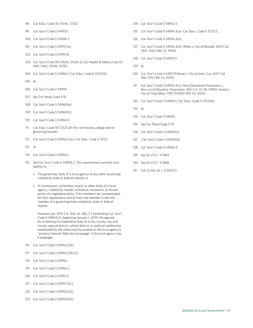- Cal. Educ. Code §§ 35146, 72122.
- Cal. Gov't Code § 54953.1.
- Cal. Gov't Code § 54956.7.
- Cal. Gov't Code § 54957(a).
- Cal. Gov't Code § 54957.8.
- Cal. Gov't Code §§ 37606, 37624.3; Cal. Health & Safety Code §§ 1461, 1462, 32106, 32155.
- Cal. Gov't Code § 54960.1; Cal. Educ. Code § 72121(b).
- *Id*.
- Cal. Gov't Code § 54959.
- *See* Cal. Penal Code § 19.
- Cal. Gov't Code § 54960(a).
- Cal. Gov't Code § 54960(b).
- Cal. Gov't Code § 54960.5.
- Cal. Educ. Code §§ 72121-29 (for community college district governing boards).
- Cal. Gov't Code § 54954.2(a); Cal. Educ. Code § 72121.
- *Id*.
- Cal. Gov't Code § 54954.1.
- *See* Cal. Gov't Code § 54954.2. This requirement currently only applies to:
	- » The governing body of a local agency or any other local body created by state or federal statute; or
	- » A commission, committee, board, or other body of a local agency, created by charter, ordinance, resolution, or formal action of a legislative body, if the members are compensated for their appearance, and at least one member is also the member of a governing body created by state or federal statute.

However, per 2016 Cal. Stat. ch. 265, § 1 (amending Cal. Gov't Code § 54954.2), beginning January 1, 2019, the agenda for a meeting of a legislative body of a city, county, city and county, special district, school district, or political subdivision established by the state must be posted on the local agency's "primary Internet Web site homepage" if the local agency has a webpage.

- Cal. Gov't Code § 54954.2(b).
- Cal. Gov't Code § 54954.2(b)(2).
- Cal. Gov't Code § 54956.
- Cal. Gov't Code § 54956.5.
- Cal. Gov't Code § 54957.5.
- Cal. Gov't Code § 54957.5(c).
- Cal. Gov't Code § 54953.5(a).
- Cal. Gov't Code § 54953.5(b).
- Cal. Gov't Code § 54953.3.
- Cal. Gov't Code § 54954.3(a); Cal. Educ. Code § 72121.5.
- Cal. Gov't Code § 54954.3(a).
- Cal. Gov't Code § 54954.3(b); *White v. City of Norwalk*, 900 F.2d 1421, 1425 (9th Cir. 1990).
- Cal. Gov't Code § 54957.9.
- *Id*.
- Cal. Gov't Code § 54957.9;*Norse v. City of Santa Cruz*, 629 F.3d 966, 976 (9th Cir. 2010).
- Cal. Gov't Code § 54954.3(c); *Perry Educational Association v. Perry Local Educators' Association*, 460 U.S. 37, 46 (1983); *Acosta v. City of Costa Mesa*, 718 F.3d 800 (9th Cir. 2013).
- Cal. Gov't Code § 54960.1; Cal. Educ. Code § 72121(b).
- *Id*.
- Cal. Gov't Code § 54959.
- *See* Cal. Penal Code § 19.
- Cal. Gov't Code § 54960(a).
- 137 Cal. Gov't Code § 54960(b).
- Cal. Gov't Code § 54960.5.
- *See* 42 U.S.C. § 1983.
- *See* 42 U.S.C. § 1988.
- Cal. Const. art. I, § 3(b)(1).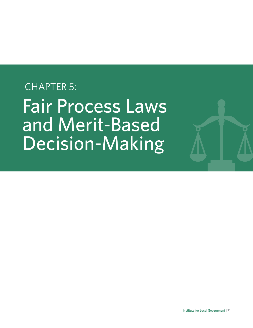# CHAPTER 5: Fair Process Laws and Merit-Based Decision-Making

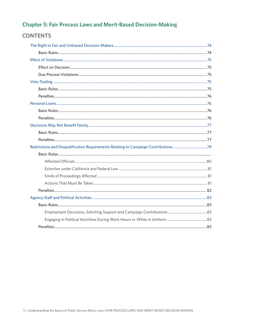# **Chapter 5: Fair Process Laws and Merit-Based Decision-Making**

# **CONTENTS**

| Restrictions and Disqualification Requirements Relating to Campaign Contributions 79 |  |
|--------------------------------------------------------------------------------------|--|
|                                                                                      |  |
|                                                                                      |  |
|                                                                                      |  |
|                                                                                      |  |
|                                                                                      |  |
|                                                                                      |  |
|                                                                                      |  |
|                                                                                      |  |
|                                                                                      |  |
|                                                                                      |  |
|                                                                                      |  |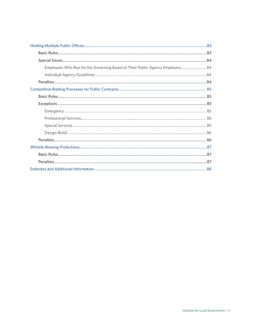| Employees Who Run for the Governing Board of Their Public Agency Employers 84 |  |
|-------------------------------------------------------------------------------|--|
|                                                                               |  |
|                                                                               |  |
|                                                                               |  |
|                                                                               |  |
|                                                                               |  |
|                                                                               |  |
|                                                                               |  |
|                                                                               |  |
|                                                                               |  |
|                                                                               |  |
|                                                                               |  |
|                                                                               |  |
|                                                                               |  |
|                                                                               |  |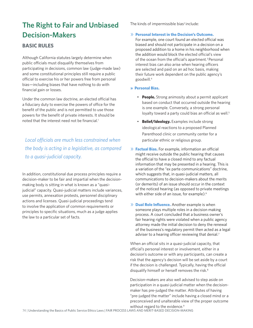# **The Right to Fair and Unbiased Decision-Makers**

# **BASIC RULES**

Although California statutes largely determine when public officials must disqualify themselves from participating in decisions, common law (judge-made law) and some constitutional principles still require a public official to exercise his or her powers free from personal bias—including biases that have nothing to do with financial gain or losses.

Under the common law doctrine, an elected official has a fiduciary duty to exercise the powers of office for the benefit of the public and is not permitted to use those powers for the benefit of private interests. It should be noted that the interest need not be financial.1

*Local officials are much less constrained when the body is acting in a legislative, as compared to a quasi-judicial capacity.*

In addition, constitutional due process principles require a decision-maker to be fair and impartial when the decisionmaking body is sitting in what is known as a "quasijudicial" capacity. Quasi-judicial matters include variances, use permits, annexation protests, personnel disciplinary actions and licenses. Quasi-judicial proceedings tend to involve the application of common requirements or principles to specific situations, much as a judge applies the law to a particular set of facts.

The kinds of impermissible bias<sup>2</sup> include:

#### » **Personal Interest in the Decision's Outcome.**

For example, one court found an elected official was biased and should not participate in a decision on a proposed addition to a home in his neighborhood when the addition would block the elected official's view of the ocean from the official's apartment.<sup>3</sup> Personal interest bias can also arise when hearing officers are selected and paid on an ad hoc basis, making their future work dependent on the public agency's goodwill.4

#### **» Personal Bias.**

- **People.** Strong animosity about a permit applicant based on conduct that occurred outside the hearing is one example. Conversely, a strong personal loyalty toward a party could bias an official as well.<sup>5</sup>
- **Belief/Ideology.** Examples include strong ideological reactions to a proposed Planned Parenthood clinic or community center for a particular ethnic or religious group.
- » **Factual Bias.** For example, information an official might receive outside the public hearing that causes the official to have a closed mind to any factual information that may be presented in a hearing. This is a variation of the "ex parte communications" doctrine, which suggests that, in quasi-judicial matters, all communications to decision-makers about the merits (or demerits) of an issue should occur in the context of the noticed hearing (as opposed to private meetings with either side of an issue, for example).<sup>6</sup>
- » **Dual Role Influence.** Another example is when someone plays multiple roles in a decision making process. A court concluded that a business owner's fair hearing rights were violated when a public agency attorney made the initial decision to deny the renewal of the business's regulatory permit then acted as a legal adviser to a hearing officer reviewing that denial.<sup>7</sup>

When an official sits in a quasi-judicial capacity, that official's personal interest or involvement, either in a decision's outcome or with any participants, can create a risk that the agency's decision will be set aside by a court if the decision is challenged. Typically, having the official disqualify himself or herself removes the risk.<sup>8</sup>

Decision-makers are also well advised to step aside on participation in a quasi-judicial matter when the decisionmaker has pre-judged the matter. Attributes of having "pre-judged the matter" include having a closed mind or a preconceived and unalterable view of the proper outcome without regard to the evidence.<sup>9</sup>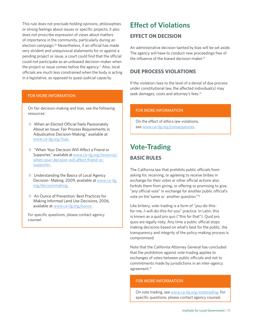This rule does not preclude holding opinions, philosophies or strong feelings about issues or specific projects; it also does not proscribe expression of views about matters of importance in the community, particularly during an election campaign.10 Nevertheless, if an official has made very strident and unequivocal statements for or against a pending project or issue, a court could find that the official could not participate as an unbiased decision-maker when the project or issue comes before the agency.<sup>11</sup> Also, local officials are much less constrained when the body is acting in a legislative, as opposed to quasi-judicial capacity.

#### FOR MORE INFORMATION

On fair decision-making and bias, see the following resources:

- » When an Elected Official Feels Passionately About an Issue: Fair Process Requirements in Adjudicative Decision-Making," available at www.ca-ilg.org/bias.
- » "When Your Decision Will Affect a Friend or Supporter," available at www.ca-ilg.org/resource/ when-your-decision-will-affect-friend-orsupporter.
- » Understanding the Basics of Local Agency Decision- Making, 2009, available at www.ca-ilg. org/decisionmaking.
- » An Ounce of Prevention: Best Practices for Making Informed Land Use Decisions, 2006, available at www.ca-ilg.org/ounce.

For specific questions, please contact agency counsel.

# **Effect of Violations EFFECT ON DECISION**

An administrative decision tainted by bias will be set aside. The agency will have to conduct new proceedings free of the influence of the biased decision-maker.12

### **DUE PROCESS VIOLATIONS**

If the violation rises to the level of a denial of due process under constitutional law, the affected individual(s) may seek damages, costs and attorney's fees.13

#### FOR MORE INFORMATION

On the effect of ethics law violations, see www.ca-ilg.org/consequences.

# **Vote-Trading BASIC RULES**

The California law that prohibits public officials from asking for, receiving, or agreeing to receive bribes in exchange for their votes or other official actions also forbids them from giving, or offering or promising to give, "any official vote" in exchange for another public official's vote on the"same or another question."14

Like bribery, vote-trading is a form of "you-do-thisfor-me,-I-will-do-this-for-you" practice. In Latin, this is known as a quid pro quo ("this for that"). Quid pro quos are legally risky. Any time a public official stops making decisions based on what's best for the public, the transparency and integrity of the policy-making process is compromised.

Note that the California Attorney General has concluded that the prohibition against vote-trading applies to exchanges of votes between public officials and not to commitments made by jurisdictions in an inter-agency agreement.<sup>15</sup>

#### FOR MORE INFORMATION

On vote trading, see www.ca-ilg.org/votetrading. For specific questions, please contact agency counsel.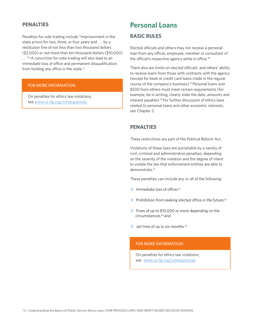### **PENALTIES**

Penalties for vote trading include "imprisonment in the state prison for two, three, or four years and . . . by a restitution fine of not less than two thousand dollars (\$2,000) or not more than ten thousand dollars (\$10,000) . . ."16 A conviction for vote-trading will also lead to an immediate loss of office and permanent disqualification from holding any office in the state.<sup>17</sup>

#### FOR MORE INFORMATION

On penalties for ethics law violations, see www.ca-ilg.org/consequences.

# **Personal Loans**

### **BASIC RULES**

Elected officials and others may not receive a personal loan from any officer, employee, member or consultant of the official's respective agency while in office.<sup>18</sup>

There also are limits on elected officials' and others' ability to receive loans from those with contracts with the agency (except for bank or credit card loans made in the regular course of the company's business).19 Personal loans over \$500 from others must meet certain requirements (for example, be in writing, clearly state the date, amounts and interest payable).20 For further discussion of ethics laws related to personal loans and other economic interests, see Chapter 2.

### **PENALTIES**

These restrictions are part of the Political Reform Act.

Violations of these laws are punishable by a variety of civil, criminal and administrative penalties, depending on the severity of the violation and the degree of intent to violate the law that enforcement entities are able to demonstrate.21

These penalties can include any or all of the following:

- $\gg$  Immediate loss of office;<sup>22</sup>
- $\lambda$  Prohibition from seeking elected office in the future;<sup>23</sup>
- » Fines of up to \$10,000 or more depending on the circumstances;24 and
- $\lambda$  Jail time of up to six months.<sup>25</sup>

#### FOR MORE INFORMATION

On penalties for ethics law violations, see www.ca-ilg.org/consequences.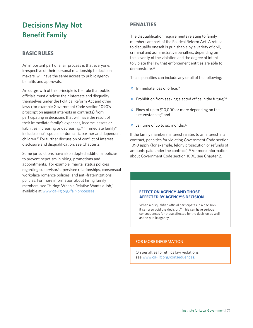# **Decisions May Not Benefit Family**

# **BASIC RULES**

An important part of a fair process is that everyone, irrespective of their personal relationship to decisionmakers, will have the same access to public agency benefits and approvals.

An outgrowth of this principle is the rule that public officials must disclose their interests and disqualify themselves under the Political Reform Act and other laws (for example Government Code section 1090's proscription against interests in contracts) from participating in decisions that will have the result of their immediate family's expenses, income, assets or liabilities increasing or decreasing.<sup>26</sup> "Immediate family" includes one's spouse or domestic partner and dependent children.27 For further discussion of conflict of interest disclosure and disqualification, see Chapter 2.

Some jurisdictions have also adopted additional policies to prevent nepotism in hiring, promotions and appointments. For example, marital status policies regarding supervisor/supervisee relationships, consensual workplace romance policies, and anti-fraternizations policies. For more information about hiring family members, see "Hiring: When a Relative Wants a Job," available at www.ca-ilg.org/fair-processes.

# **PENALTIES**

The disqualification requirements relating to family members are part of the Political Reform Act. A refusal to disqualify oneself is punishable by a variety of civil, criminal and administrative penalties, depending on the severity of the violation and the degree of intent to violate the law that enforcement entities are able to demonstrate.28

These penalties can include any or all of the following:

- » Immediate loss of office;29
- » Prohibition from seeking elected office in the future;30
- » Fines of up to \$10,000 or more depending on the circumstances;31 and
- $\lambda$  Jail time of up to six months.<sup>32</sup>

If the family members' interest relates to an interest in a contract, penalties for violating Government Code section 1090 apply (for example, felony prosecution or refunds of amounts paid under the contract).33 For more information about Government Code section 1090, see Chapter 2.

#### **EFFECT ON AGENCY AND THOSE AFFECTED BY AGENCY'S DECISION**

When a disqualified official participates in a decision, it can also void the decision.<sup>34</sup> This can have serious consequences for those affected by the decision as well as the public agency.

#### FOR MORE INFORMATION

On penalties for ethics law violations, see www.ca-ilg.org/consequences.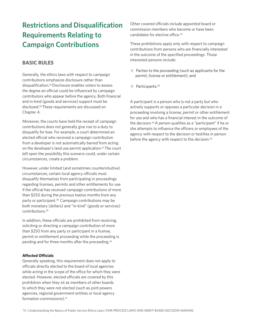# **Restrictions and Disqualification Requirements Relating to Campaign Contributions**

# **BASIC RULES**

Generally, the ethics laws with respect to campaign contributions emphasize disclosure rather than disqualification.35 Disclosure enables voters to assess the degree an official could be influenced by campaign contributors who appear before the agency. Both financial and in-kind (goods and services) support must be disclosed.36 These requirements are discussed on Chapter 4.

Moreover, the courts have held the receipt of campaign contributions does not generally give rise to a duty to disqualify for bias. For example, a court determined an elected official who received a campaign contribution from a developer is not automatically barred from acting on the developer's land use permit application.37 The court left open the possibility this scenario could, under certain circumstances, create a problem.

However, under limited (and sometimes counterintuitive) circumstances, certain local agency officials must disqualify themselves from participating in proceedings regarding licenses, permits and other entitlements for use if the official has received campaign contributions of more than \$250 during the previous twelve months from any party or participant.38 Campaign contributions may be both monetary (dollars) and "in-kind" (goods or services) contributions.39

In addition, these officials are prohibited from receiving, soliciting or directing a campaign contribution of more than \$250 from any party or participant in a license, permit or entitlement proceeding while the proceeding is pending and for three months after the proceeding.40

#### **Affected Officials**

Generally speaking, this requirement does not apply to officials directly elected to the board of local agencies while acting in the scope of the office for which they were elected. However, elected officials are covered by this prohibition when they sit as members of other boards to which they were not elected (such as joint powers agencies, regional government entities or local agency formation commissions).41

Other covered officials include appointed board or commission members who become or have been candidates for elective office.<sup>42</sup>

These prohibitions apply only with respect to campaign contributions from persons who are financially interested in the outcome of the specified proceedings. Those interested persons include:

- » Parties to the proceeding (such as applicants for the permit, license or entitlement); and
- » Participants.43

A participant is a person who is not a party but who actively supports or opposes a particular decision in a proceeding involving a license, permit or other entitlement for use and who has a financial interest in the outcome of the decision.44 A person qualifies as a "participant" if he or she attempts to influence the officers or employees of the agency with respect to the decision or testifies in person before the agency with respect to the decision.<sup>45</sup>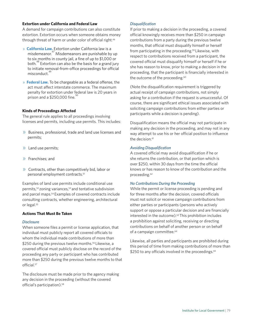#### **Extortion under California and Federal Law**

A demand for campaign contributions can also constitute extortion. Extortion occurs when someone obtains money through threat of harm or under color of official right. 46

- » **California Law.** Extortion under California law is a misdemeanor.<sup>47</sup> Misdemeanors are punishable by up to six months in county jail, a fine of up to \$1,000 or both.<sup>48</sup> Extortion can also be the basis for a grand jury to initiate removal-from-office proceedings for official misconduct.
- » **Federal Law.** To be chargeable as a federal offense, the act must affect interstate commerce. The maximum penalty for extortion under federal law is 20 years in prison and a  $$250,000$  fine.

#### **Kinds of Proceedings Affected**

The general rule applies to all proceedings involving licenses and permits, including use permits. This includes:

- » Business, professional, trade and land use licenses and permits;
- » Land use permits;
- » Franchises; and
- » Contracts, other than competitively bid, labor or personal employment contracts.51

Examples of land use permits include conditional use permits,52 zoning variances,53 and tentative subdivision and parcel maps.54 Examples of covered contracts include consulting contracts, whether engineering, architectural or legal.55

#### **Actions That Must Be Taken**

#### *Disclosure*

When someone files a permit or license application, that individual must publicly report all covered officials to whom the individual made contributions of more than \$250 during the previous twelve months.<sup>56</sup> Likewise, a covered official must publicly disclose on the record of the proceeding any party or participant who has contributed more than \$250 during the previous twelve months to that official.57

The disclosure must be made prior to the agency making any decision in the proceeding (without the covered official's participation).58

#### *Disqualification*

If prior to making a decision in the proceeding, a covered official knowingly receives more than \$250 in campaign contributions from a party during the previous twelve months, that official must disqualify himself or herself from participating in the proceeding.59 Likewise, with respect to contributions received from a participant, the covered official must disqualify himself or herself if he or she has reason to know, prior to making a decision in the proceeding, that the participant is financially interested in the outcome of the proceeding.<sup>60</sup>

(Note the disqualification requirement is triggered by actual receipt of campaign contributions, not simply asking for a contribution if the request is unsuccessful. Of course, there are significant ethical issues associated with soliciting campaign contributions from either parties or participants while a decision is pending).

Disqualification means the official may not participate in making any decision in the proceeding, and may not in any way attempt to use his or her official position to influence the decision.<sup>61</sup>

#### *Avoiding Disqualification*

A covered official may avoid disqualification if he or she returns the contribution, or that portion which is over \$250, within 30 days from the time the official knows or has reason to know of the contribution and the proceeding.62

#### *No Contributions During the Proceeding*

While the permit or license proceeding is pending and for three months after the decision, covered officials must not solicit or receive campaign contributions from either parties or participants (persons who actively support or oppose a particular decision and are financially interested in the outcome).<sup>63</sup> This prohibition includes a prohibition against soliciting, receiving or directing contributions on behalf of another person or on behalf of a campaign committee.<sup>64</sup>

Likewise, all parties and participants are prohibited during this period of time from making contributions of more than \$250 to any officials involved in the proceedings.<sup>65</sup>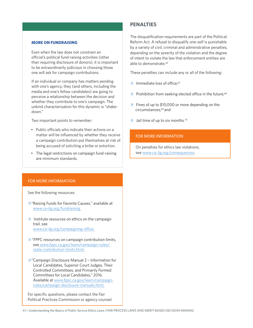#### **MORE ON FUNDRAISING**

Even when the law does not constrain an official's political fund-raising activities (other than requiring disclosure of donors), it is important to be extraordinarily judicious in choosing those one will ask for campaign contributions.

If an individual or company has matters pending with one's agency, they (and others, including the media and one's fellow candidates) are going to perceive a relationship between the decision and whether they contribute to one's campaign. The unkind characterization for this dynamic is "shakedown."

Two important points to remember:

- Public officials who indicate their actions on a matter will be influenced by whether they receive a campaign contribution put themselves at risk of being accused of soliciting a bribe or extortion.
- The legal restrictions on campaign fund-raising are minimum standards.

### **PENALTIES**

The disqualification requirements are part of the Political Reform Act. A refusal to disqualify one-self is punishable by a variety of civil, criminal and administrative penalties, depending on the severity of the violation and the degree of intent to violate the law that enforcement entities are able to demonstrate 66

These penalties can include any or all of the following:

- >> Immediate loss of office;<sup>67</sup>
- $\lambda$  Prohibition from seeking elected office in the future;<sup>68</sup>
- » Fines of up to \$10,000 or more depending on the circumstances;69 and
- $\lambda$  Jail time of up to six months.<sup>70</sup>

#### FOR MORE INFORMATION

On penalties for ethics law violations, see www.ca-ilg.org/consequences.

#### FOR MORE INFORMATION

See the following resources:

- » "Raising Funds for Favorite Causes," available at www.ca-ilg.org/fundraising.
- » Institute resources on ethics on the campaign trail, see www.ca-ilg.org/campaigning-office.
- » "FPPC resources on campaign contribution limits, see www.fppc.ca.gov/learn/campaign-rules/ state-contribution-limits.html.
- »"Campaign Disclosure Manual 2 Information for Local Candidates, Superior Court Judges, Their Controlled Committees, and Primarily Formed Committees for Local Candidates," 2016. Available at www.fppc.ca.gov/learn/campaignrules/campaign-disclosure-manuals.html.

For specific questions, please contact the Fair Political Practices Commission or agency counsel.

80 | Understanding the Basics of Public Service Ethics Laws | FAIR PROCESS LAWS AND MERIT-BASED DECISION-MAKING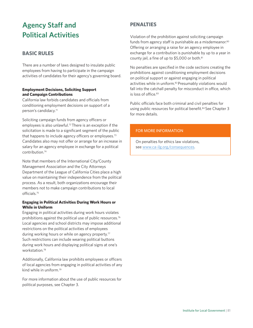# **Agency Staff and Political Activities**

# **BASIC RULES**

There are a number of laws designed to insulate public employees from having to participate in the campaign activities of candidates for their agency's governing board.

#### **Employment Decisions, Soliciting Support and Campaign Contributions**

California law forbids candidates and officials from conditioning employment decisions on support of a person's candidacy.71

Soliciting campaign funds from agency officers or employees is also unlawful.<sup>72</sup> There is an exception if the solicitation is made to a significant segment of the public that happens to include agency officers or employees.<sup>73</sup> Candidates also may not offer or arrange for an increase in salary for an agency employee in exchange for a political contribution.74

Note that members of the International City/County Management Association and the City Attorneys Department of the League of California Cities place a high value on maintaining their independence from the political process. As a result, both organizations encourage their members not to make campaign contributions to local officials.75

#### **Engaging in Political Activities During Work Hours or While in Uniform**

Engaging in political activities during work hours violates prohibitions against the political use of public resources.<sup>76</sup> Local agencies and school districts may impose additional restrictions on the political activities of employees during working hours or while on agency property.<sup>77</sup> Such restrictions can include wearing political buttons during work hours and displaying political signs at one's workstation.78

Additionally, California law prohibits employees or officers of local agencies from engaging in political activities of any kind while in uniform  $79$ 

For more information about the use of public resources for political purposes, see Chapter 3.

# **PENALTIES**

Violation of the prohibition against soliciting campaign funds from agency staff is punishable as a misdemeanor.<sup>80</sup> Offering or arranging a raise for an agency employee in exchange for a contribution is punishable by up to a year in county jail, a fine of up to \$5,000 or both.<sup>81</sup>

No penalties are specified in the code sections creating the prohibitions against conditioning employment decisions on political support or against engaging in political activities while in uniform.82 Presumably violations would fall into the catchall penalty for misconduct in office, which is loss of office.<sup>83</sup>

Public officials face both criminal and civil penalties for using public resources for political benefit.<sup>84</sup> See Chapter 3 for more details.

### FOR MORE INFORMATION

On penalties for ethics law violations, see www.ca-ilg.org/consequences.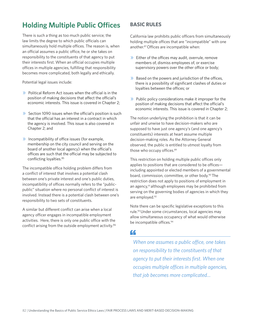# **Holding Multiple Public Offices**

There is such a thing as too much public service; the law limits the degree to which public officials can simultaneously hold multiple offices. The reason is, when an official assumes a public office, he or she takes on responsibility to the constituents of that agency to put their interests first. When an official occupies multiple offices in multiple agencies, fulfilling that responsibility becomes more complicated, both legally and ethically.

Potential legal issues include:

- » Political Reform Act issues when the official is in the position of making decisions that affect the official's economic interests. This issue is covered in Chapter 2;
- » Section 1090 issues when the official's position is such that the official has an interest in a contract in which the agency is involved. This issue is also covered in Chapter 2; and
- » Incompatibility of office issues (for example, membership on the city council and serving on the board of another local agency) when the official's offices are such that the official may be subjected to conflicting loyalties.<sup>85</sup>

The incompatible office holding problem differs from a conflict of interest that involves a potential clash between one's private interest and one's public duties, incompatibility of offices normally refers to the "publicpublic" situation where no personal conflict of interest is involved. Instead there is a potential clash between one's responsibility to two sets of constituents.

A similar but different conflict can arise when a local agency officer engages in incompatible employment activities. Here, there is only one public office with the conflict arising from the outside employment activity.<sup>86</sup>

# **BASIC RULES**

California law prohibits public officers from simultaneously holding multiple offices that are "incompatible" with one another.87 Offices are incompatible when:

- » Either of the offices may audit, overrule, remove members of, dismiss employees of, or exercise supervisory powers over the other office or body;
- » Based on the powers and jurisdiction of the offices, there is a possibility of significant clashes of duties or loyalties between the offices; or
- » Public policy considerations make it improper for the position of making decisions that affect the official's economic interests. This issue is covered in Chapter 2;

The notion underlying the prohibition is that it can be unfair and unwise to have decision-makers who are supposed to have just one agency's (and one agency's constituents) interests at heart assume multiple decision-making roles. As the Attorney General observed, the public is entitled to utmost loyalty from those who occupy offices.89

This restriction on holding multiple public offices only applies to positions that are considered to be offices including appointed or elected members of a governmental board, commission, committee, or other body.<sup>90</sup> The restriction does not apply to positions of employment in an agency,<sup>91</sup> although employees may be prohibited from serving on the governing bodies of agencies in which they are employed.<sup>92</sup>

Note there can be specific legislative exceptions to this rule.93 Under some circumstances, local agencies may allow simultaneous occupancy of what would otherwise be incompatible offices.<sup>94</sup>

### "

*When one assumes a public office, one takes on responsibility to the constituents of that agency to put their interests first. When one occupies multiple offices in multiple agencies, that job becomes more complicated…*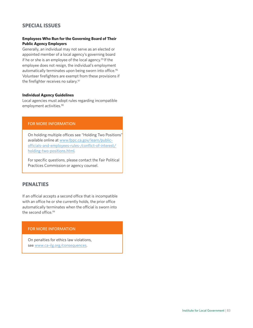# **SPECIAL ISSUES**

#### **Employees Who Run for the Governing Board of Their Public Agency Employers**

Generally, an individual may not serve as an elected or appointed member of a local agency's governing board if he or she is an employee of the local agency.95 If the employee does not resign, the individual's employment automatically terminates upon being sworn into office.<sup>96</sup> Volunteer firefighters are exempt from these provisions if the firefighter receives no salary.<sup>97</sup>

#### **Individual Agency Guidelines**

Local agencies must adopt rules regarding incompatible employment activities.<sup>98</sup>

#### FOR MORE INFORMATION

On holding multiple offices see "Holding Two Positions" available online at www.fppc.ca.gov/learn/publicofficials-and-employees-rules-/conflict-of-interest/ holding-two-positions.html.

For specific questions, please contact the Fair Political Practices Commission or agency counsel.

#### **PENALTIES**

If an official accepts a second office that is incompatible with an office he or she currently holds, the prior office automatically terminates when the official is sworn into the second office.99

#### FOR MORE INFORMATION

On penalties for ethics law violations, see www.ca-ilg.org/consequences.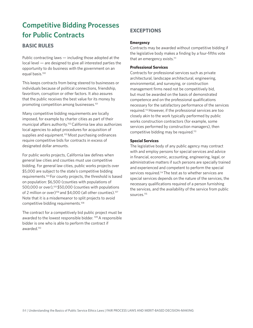# **Competitive Bidding Processes for Public Contracts**

### **BASIC RULES**

Public contracting laws — including those adopted at the local level — are designed to give all interested parties the opportunity to do business with the government on an equal basis.100

This keeps contracts from being steered to businesses or individuals because of political connections, friendship, favoritism, corruption or other factors. It also assures that the public receives the best value for its money by promoting competition among businesses.<sup>101</sup>

Many competitive bidding requirements are locally imposed, for example by charter cities as part of their municipal affairs authority.102 California law also authorizes local agencies to adopt procedures for acquisition of supplies and equipment.<sup>103</sup> Most purchasing ordinances require competitive bids for contracts in excess of designated dollar amounts.

For public works projects, California law defines when general law cities and counties must use competitive bidding. For general law cities, public works projects over \$5,000 are subject to the state's competitive bidding requirements.104 For county projects, the threshold is based on population: \$6,500 (counties with populations of 500,000 or over),<sup>105</sup> \$50,000 (counties with populations of 2 million or over)<sup>106</sup> and \$4,000 (all other counties).<sup>107</sup> Note that it is a misdemeanor to split projects to avoid competitive bidding requirements.108

The contract for a competitively bid public project must be awarded to the lowest responsible bidder. 109 A responsible bidder is one who is able to perform the contract if awarded.110

# **EXCEPTIONS**

#### **Emergency**

Contracts may be awarded without competitive bidding if the legislative body makes a finding by a four-fifths vote that an emergency exists.<sup>111</sup>

#### **Professional Services**

Contracts for professional services such as private architectural, landscape architectural, engineering, environmental, and surveying, or construction management firms need not be competitively bid, but must be awarded on the basis of demonstrated competence and on the professional qualifications necessary for the satisfactory performance of the services required.112 However, if the professional services are too closely akin to the work typically performed by public works construction contractors (for example, some services performed by construction managers), then competitive bidding may be required.113

#### **Special Services**

The legislative body of any public agency may contract with and employ persons for special services and advice in financial, economic, accounting, engineering, legal, or administrative matters if such persons are specially trained and experienced and competent to perform the special services required.<sup>114</sup> The test as to whether services are special services depends on the nature of the services, the necessary qualifications required of a person furnishing the services, and the availability of the service from public sources.115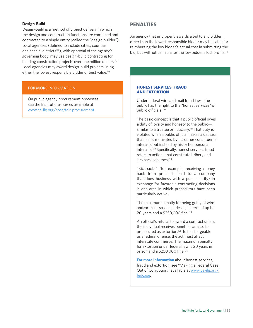#### **Design-Build**

Design-build is a method of project delivery in which the design and construction functions are combined and contracted to a single entity (called the "design builder"). Local agencies (defined to include cities, counties and special districts<sup>116</sup>), with approval of the agency's governing body, may use design-build contracting for building construction projects over one million dollars.<sup>117</sup> Local agencies may award design-build projects using either the lowest responsible bidder or best value.118

#### FOR MORE INFORMATION

On public agency procurement processes, see the Institute resources available at www.ca-ilg.org/post/fair-procurement.

#### **PENALTIES**

An agency that improperly awards a bid to any bidder other than the lowest responsible bidder may be liable for reimbursing the low bidder's actual cost in submitting the bid, but will not be liable for the low bidder's lost profits.<sup>119</sup>

#### **HONEST SERVICES, FRAUD AND EXTORTION**

Under federal wire and mail fraud laws, the public has the right to the "honest services" of public officials.120

The basic concept is that a public official owes a duty of loyalty and honesty to the public similar to a trustee or fiduciary.<sup>121</sup> That duty is violated when a public official makes a decision that is not motivated by his or her constituents' interests but instead by his or her personal interests.122 Specifically, honest services fraud refers to actions that constitute bribery and kickback schemes.123

"Kickbacks" (for example, receiving money back from proceeds paid to a company that does business with a public entity) in exchange for favorable contracting decisions is one area in which prosecutors have been particularly active.

The maximum penalty for being guilty of wire and/or mail fraud includes a jail term of up to 20 years and a \$250,000 fine.124

An official's refusal to award a contract unless the individual receives benefits can also be prosecuted as extortion.125 To be chargeable as a federal offense, the act must affect interstate commerce. The maximum penalty for extortion under federal law is 20 years in prison and a \$250,000 fine.126

**For more information** about honest services, fraud and extortion, see "Making a Federal Case Out of Corruption," available at www.ca-ilg.org/ fedcase.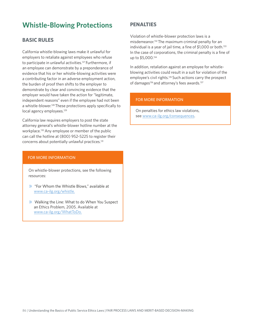# **Whistle-Blowing Protections**

### **BASIC RULES**

California whistle-blowing laws make it unlawful for employers to retaliate against employees who refuse to participate in unlawful activities.127 Furthermore, if an employee can demonstrate by a preponderance of evidence that his or her whistle-blowing activities were a contributing factor in an adverse employment action, the burden of proof then shifts to the employer to demonstrate by clear and convincing evidence that the employer would have taken the action for "legitimate, independent reasons" even if the employee had not been a whistle-blower.<sup>128</sup> These protections apply specifically to local agency employees.<sup>129</sup>

California law requires employers to post the state attorney general's whistle-blower hotline number at the workplace.130 Any employee or member of the public can call the hotline at (800) 952-5225 to register their concerns about potentially unlawful practices.131

#### FOR MORE INFORMATION

On whistle-blower protections, see the following resources:

- » "For Whom the Whistle Blows," available at www.ca-ilg.org/whistle.
- » Walking the Line: What to do When You Suspect an Ethics Problem, 2005. Available at www.ca-ilg.org/WhatToDo.

### **PENALTIES**

Violation of whistle-blower protection laws is a misdemeanor.132 The maximum criminal penalty for an individual is a year of jail time, a fine of \$1,000 or both.<sup>133</sup> In the case of corporations, the criminal penalty is a fine of up to \$5,000.134

In addition, retaliation against an employee for whistleblowing activities could result in a suit for violation of the employee's civil rights.135 Such actions carry the prospect of damages<sup>136</sup> and attorney's fees awards.<sup>137</sup>

#### FOR MORE INFORMATION

On penalties for ethics law violations, see www.ca-ilg.org/consequences.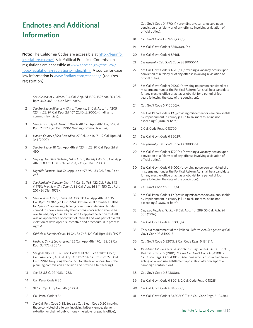# **Endnotes and Additional Information**

**Note:** The California Codes are accessible at http://leginfo. legislature.ca.gov/. Fair Political Practices Commission regulations are accessible atwww.fppc.ca.gov/the-law/ fppc-regulations/regulations-index.html. A source for case law information is www.findlaw.com/cacases/ (requires registration).

- 1 *See Nussbaum v. Weeks*, 214 Cal. App. 3d 1589, 1597-98, 263 Cal. Rptr. 360, 365-66 (4th Dist. 1989).
- 2 *See Breakzone Billiards v. City of Torrance*, 81 Cal. App. 4th 1205, 1234 n.23, 97 Cal. Rptr. 2d 467 (2d Dist. 2000) (finding no common law bias).
- 3 *See Clark v. City of Hermosa Beach*, 48 Cal. App. 4th 1152, 56 Cal. Rptr. 2d 223 (2d Dist. 1996) (finding common law bias).
- 4 *Haas v. County of San Bernadino*, 27 Cal. 4th 1017, 119 Cal. Rptr. 2d. 341 (2002).
- 5 *See Breakzone*, 81 Cal. App. 4th at 1234 n.23, 97 Cal. Rptr. 2d at 490.
- 6 *See, e.g.*, *Nightlife Partners, Ltd. v. City of Beverly Hills*, 108 Cal. App. 4th 81, 89, 133 Cal. Rptr. 2d 234, 241 (2d Dist. 2003).
- 7 *Nightlife Partners*, 108 Cal.App.4th at 97-98, 133 Cal. Rptr. 2d at 248.
- 8 *See Fairfield v. Superior Court*, 14 Cal. 3d 768, 122 Cal. Rptr. 543 (1975); *Mennig v. City Council*, 86 Cal. App. 3d 341, 150 Cal. Rptr. 207 (2d Dist. 1978).
- 9 *See Cohan v. City of Thousand Oaks*, 30 Cal. App. 4th 547, 35 Cal. Rptr. 2d 782 (2d Dist. 1994) (where local ordinance called for "person" appealing planning commission decision to city council to show cause why the commission's action should be overturned, city council's decision to appeal the action to itself was an appearance of conflict of interest and was part of overall violation of developer's substantive and procedural due process rights).
- 10 *Fairfield v. Superior Court*, 14 Cal. 3d 768, 122 Cal. Rptr. 543 (1975).
- 11 *Nasha v. City of Los Angeles*, 125 Cal. App. 4th 470, 482, 22 Cal. Rptr. 3d 772 (2004).
- 12 *See generally* Cal. Civ. Proc. Code § 1094.5. *See Clark v. City of Hermosa Beach*, 48 Cal. App. 4th 1152, 56 Cal. Rptr. 2d 223 (2d Dist. 1996) (requiring the council to rehear an appeal from the planning commission's decision and provide a fair hearing).
- 13 *See* 42 U.S.C. §§ 1983, 1988.
- 14 Cal. Penal Code § 86.
- 15 91 Cal. Op. Att'y Gen. 46 (2008).
- 16 Cal. Penal Code § 86.
- 17 *See* Cal. Pen. Code § 88. *See also* Cal. Elect. Code § 20 (making those convicted of a felony involving bribery, embezzlement, extortion or theft of public money ineligible for public office);

Cal. Gov't Code § 1770(h) (providing a vacancy occurs upon conviction of a felony or of any offense involving a violation of official duties).

- 18 Cal. Gov't Code § 87460(a), (b).
- 19 *See* Cal. Gov't Code § 87460(c), (d).
- 20 *See* Cal. Gov't Code § 87461.
- 21 *See generally* Cal. Gov't Code §§ 91000-14.
- 22 *See* Cal. Gov't Code § 1770(h) (providing a vacancy occurs upon conviction of a felony or of any offense involving a violation of official duties).
- 23 *See* Cal. Gov't Code § 91002 (providing no person convicted of a misdemeanor under the Political Reform Act shall be a candidate for any elective office or act as a lobbyist for a period of four years following the date of the conviction).
- 24 Cal. Gov't Code § 91000(b).
- 25 *See* Cal. Penal Code § 19 (providing misdemeanors are punishable by imprisonment in county jail up to six months, a fine not exceeding \$1,000, or both).
- 26 2 Cal. Code Regs. § 18700.
- 27 *See* Cal. Gov't Code § 82029.
- 28 *See generally* Cal. Gov't Code §§ 91000-14.
- 29 *See* Cal. Gov't Code § 1770(h) (providing a vacancy occurs upon conviction of a felony or of any offense involving a violation of official duties).
- 30 *See* Cal. Gov't Code § 91002 (providing no person convicted of a misdemeanor under the Political Reform Act shall be a candidate for any elective office or act as a lobbyist for a period of four years following the date of the conviction).
- 31 Cal. Gov't Code § 91000(b).
- 32 *See* Cal. Penal Code § 19 (providing misdemeanors are punishable by imprisonment in county jail up to six months, a fine not exceeding \$1,000, or both).
- 33 *See, e.g.*, *People v. Honig*, 48 Cal. App. 4th 289, 55 Cal. Rptr. 2d 555 (1996).
- 34 *See* Cal. Gov't Code § 91003(b).
- 35 This is a requirement of the Political Reform Act. *See generally* Cal. Gov't Code §§ 84100-511.
- 36 Cal. Gov't Code § 82015; 2 Cal. Code Regs. § 18421.1.
- 37 *Woodland Hills Residents Association v. City Council*, 26 Cal. 3d 938, 164 Cal. Rptr. 255 (1980). *But see* Cal. Gov't Code § 84308; 2 Cal. Code Regs. §§ 18438.1-.8 (defining who is disqualified from acting on a land use entitlement application after receipt of a campaign contribution).
- 38 Cal. Gov't Code § 84308(c).
- 39 *See* Cal. Gov't Code § 82015; 2 Cal. Code Regs. § 18215.
- 40 *See* Cal. Gov't Code § 84308(b).
- 41 *See* Cal. Gov't Code § 84308(a)(3); 2 Cal. Code Regs. § 18438.1.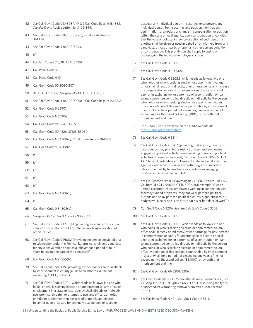- 42 *See* Cal. Gov't Code § 84308(a)(4); 2 Cal. Code Regs. § 18438.1. *See also* Davis Advice Letter No. A-02-344.
- 43 *See* Cal. Gov't Code § 84308(b), (c); 2 Cal. Code Regs. § 18438.4.
- 44 *See* Cal. Gov't Code § 84308(a)(2).
- 45 *Id*.
- 46 Cal.Pen. Code §518; 18 U.S.C. § 1951.
- 47 Cal. Penal Code § 521.
- 48 Cal. Penal Code § 19.
- 49 Cal. Gov't Code §§ 3060-3074.
- 50 18 U.S.C. § 1951(a). *See generally* 18 U.S.C. § 3571(b).
- 51 *See* Cal. Gov't Code § 84308(a)(5); 2 Cal. Code Regs. § 18438.2.
- 52 Cal. Gov't Code § 65901.
- 53 Cal. Gov't Code § 65906.
- 54 Cal. Gov't Code §§ 66411-413.5.
- 55 Cal. Gov't Code §§ 4526, 37103, 53060.
- 56 Cal. Gov't Code § 84308(d); 2 Cal. Code Regs. § 18438.8.
- 57 Cal. Gov't Code § 84308(c).
- 58 *Id*.
- 59 *Id*.
- 60 *Id*.
- 61 *Id*.
- 62 *Id*.
- 63 Cal. Gov't Code § 84308(b).
- 64 *Id*.
- 65 Cal. Gov't Code § 84308(d).
- 66 *See generally* Cal. Gov't Code §§ 91000-14.
- 67 *See* Cal. Gov't Code § 1770(h) (providing a vacancy occurs upon conviction of a felony or of any offense involving a violation of official duties).
- 68 *See* Cal. Gov't Code § 91002 (providing no person convicted of a misdemeanor under the Political Reform Act shall be a candidate for any elective office or act as a lobbyist for a period of four years following the date of the conviction).
- 69 Cal. Gov't Code § 91000(b).
- 70 *See* Cal. Penal Code § 19 (providing misdemeanors are punishable by imprisonment in county jail up to six months, a fine not exceeding \$1,000, or both).
- 71 *See* Cal. Gov't Code § 3204, which reads as follows: No one who holds, or who is seeking election or appointment to, any office or employment in a state or local agency shall, directly or indirectly, use, promise, threaten or attempt to use, any office, authority, or influence, whether then possessed or merely anticipated, to confer upon or secure for any individual person, or to aid or

obstruct any individual person in securing, or to prevent any individual person from securing, any position, nomination, confirmation, promotion, or change in compensation or position, within the state or local agency, upon consideration or condition that the vote or political influence or action of such person or another shall be given or used in behalf of, or withheld from, any candidate, officer, or party, or upon any other corrupt condition or consideration. This prohibition shall apply to urging or discouraging the individual employee's action.

- 72 *See* Cal. Gov't Code § 3205.
- 73 *See* Cal. Gov't Code § 3205(c).
- 74 *See* Cal. Gov't Code § 3205.5, which reads as follows: No one who holds, or who is seeking election or appointment to, any office shall, directly or indirectly, offer or arrange for any increase in compensation or salary for an employee of a state or local agency in exchange for, or a promise of, a contribution or loan to any committee controlled directly or indirectly by the person who holds, or who is seeking election or appointment to, an office. A violation of this section is punishable by imprisonment in a county jail for a period not exceeding one year, a fine not exceeding five thousand dollars (\$5,000), or by both that imprisonment and fine.
- 75 The ICMA Code is available on the ICMA website at: http:// icma.org/codeofethics.
- 76 *See* Cal. Gov't Code § 8314.
- 77 *See* Cal. Gov't Code § 3207 (providing that any city, county or local agency may prohibit or restrict officers and employees engaging in political activity during working hours and political activities on agency premises); Cal. Educ. Code § 7055; 5 U.S.C. §§ 7321-26 (prohibiting employees of state and local executive agencies who work in connection with programs financed in whole or in part by federal loans or grants from engaging in political activities while on duty).
- 78 *See Cal. Teachers Ass'n v. Governing Bd.*, 45 Cal.App.4th 1383, 53 Cal.Rptr.2d 474 (1996); 5 C.F.R. § 734.306 example 16 (with limited exception, those employees working in connection with federally funded programs "may not wear partisan political buttons or display partisan political pictures, signs, stickers, or badges while he or she is on duty or at his or her place of work.").
- 79 Cal. Gov't Code § 3206. *See also* Cal. Gov't Code § 3302.
- 80 *See* Cal. Gov't Code § 3205
- 81 *See* Cal. Gov't Code § 3205.5, which reads as follows: No one who holds, or who is seeking election or appointment to, any office shall, directly or indirectly, offer or arrange for any increase in compensation or salary for an employee of a state or local agency in exchange for, or a promise of, a contribution or loan to any committee controlled directly or indirectly by the person who holds, or who is seeking election or appointment to, an office. A violation of this section is punishable by imprisonment in a county jail for a period not exceeding one year, a fine not exceeding five thousand dollars (\$5,000), or by both that imprisonment and fine.
- 82 *See* Cal. Gov't Code §§ 3204, 3206.
- 83 *See* Gov't Code §§ 3060-75. *See also Steiner v. Superior Court*, 50 Cal.App.4th 1771, Cal. Rptr.2d 668 (1996) (discussing the types of misconduct warranting removal from office under section 3060).
- 84 *See* Cal. Penal Code § 424; Cal. Gov't Code § 8314.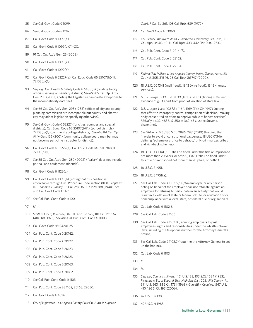- 85 *See* Cal. Gov't Code § 1099.
- 86 *See* Cal. Gov't Code § 1126.
- 87 Cal. Gov't Code § 1099(a).
- 88 Cal. Gov't Code § 1099(a)(1)-(3).
- 89 91 Cal. Op. Att'y Gen. 25 (2008)
- 90 Cal. Gov't Code § 1099(a).
- 91 Cal. Gov't Code § 1099(c).
- 92 Cal. Gov't Code § 53227(a); Cal. Educ. Code §§ 35107(b)(1), 72103(b)(1).
- 93 *See, e.g.*, Cal. Health & Safety Code § 6480(b) (relating to city officials serving on sanitary districts) *See also* 85 Cal. Op. Att'y Gen. 239 (2002) (noting the Legislature can create exceptions to the incompatibility doctrine).
- 94 *See* 66 Cal. Op. Att'y Gen. 293 (1983) (offices of city and county planning commission are incompatible but county and charter city may adopt legislation specifying otherwise).
- 95 *See* Cal. Gov't Code § 53227 (for cities, counties and special districts); Cal. Educ. Code §§ 35107(b)(1) (school districts), 72103(b)(1) (community college districts). *See also* 84 Cal. Op. Att'y Gen. 126 (2001) (community college board member may not become part-time instructor for district).
- 96 Cal. Gov't Code § 53227(a); Cal. Educ. Code §§ 35107(b)(1), 72103(b)(1).
- 97 *See* 85 Cal. Op. Att'y Gen. 230 (2002) ("salary" does not include per-call and equipment stipends).
- 98 Cal. Gov't Code § 1126(c).
- 99 Cal. Gov't Code § 1099(b) (noting that this position is enforceable through Civil Procedure Code section 803). *People ex rel. Chapman v. Rapsey*, 16 Cal. 2d 636, 107 P.2d 388 (1940). *See also* Cal. Gov't Code § 1126.
- 100 *See* Cal. Pub. Cont. Code § 100.
- 101 *Id*.
- 102 *Smith v. City of Riverside*, 34 Cal. App. 3d 529, 110 Cal. Rptr. 67 (4th Dist. 1973). *See also* Cal. Pub. Cont. Code § 1100.7.
- 103 Cal. Gov't Code §§ 54201-25.
- 104 Cal. Pub. Cont. Code § 20162.
- 105 Cal. Pub. Cont. Code § 20122.
- 106 Cal. Pub. Cont. Code § 20123.
- 107 Cal. Pub. Cont. Code § 20121.
- 108 Cal. Pub. Cont. Code § 20163.
- 109 Cal. Pub. Cont. Code § 20162.
- 110 *See* Cal. Pub. Cont. Code § 1103.
- 111 Cal. Pub. Cont. Code §§ 1102, 20168, 22050.
- 112 Cal. Gov't Code § 4526.
- 113 *City of Inglewood-Los Angeles County Civic Ctr. Auth. v. Superior*

*Court*, 7 Cal. 3d 861, 103 Cal. Rptr. 689 (1972).

- 114 Cal. Gov't Code § 53060.
- 115 *Cal. School Employees Ass'n v. Sunnyvale Elementary Sch. Dist.*, 36 Cal. App. 3d 46, 60, 111 Cal. Rptr. 433, 442 (1st Dist. 1973).
- 116 Cal. Pub. Cont. Code § 22161(f).
- 117 Cal. Pub. Cont. Code § 22162.
- 118 Cal. Pub. Cont. Code § 22164.
- 119 *Kajima/Ray Wilson v. Los Angeles County Metro. Transp. Auth.*, 23 Cal. 4th 305, 315-16, 96 Cal. Rptr. 2d 747 (2000).
- 120 18 U.S.C. §§ 1341 (mail fraud), 1343 (wire fraud), 1346 (honest services).
- 121 *U.S. v. Sawyer*, 239 F.3d 31, 39 (1st Cir. 2001) (finding sufficient evidence of guilt apart from proof of violation of state law).
- 122 *U.S. v. Lopez-Lukis*, 102 F.3d 1164, 1169 (11th Cir. 1997) (noting that effort to improperly control composition of decision- making body constituted an effort to deprive public of honest services); *McNally v. U.S.*, 483 U.S. 350 at 362-63 (Justice Stevens, dissenting).
- 123 *See Skilling v. U.S.*, 130 S.Ct. 2896, 2931(2010) (holding that in order to avoid unconstitutional vagueness, 18 USC §1346, defining "scheme or artifice to defraud," only criminalizes bribes and kick-back schemes).
- 124 18 U.S.C. §§ 1341 (". . . shall be fined under this title or imprisoned not more than 20 years, or both."), 1343 ("shall be fined under this title or imprisoned not more than 20 years, or both.").
- 125 18 U.S.C. § 1951.
- 126 18 U.S.C. § 1951(a).
- 127 *See* Cal. Lab. Code § 1102.5(c) ("An employer, or any person acting on behalf of the employer, shall not retaliate against an employee for refusing to participate in an activity that would result in a violation of state or federal statute, or a violation of or noncompliance with a local, state, or federal rule or regulation.").
- 128 Cal. Lab. Code § 1102.6.
- 129 *See* Cal. Lab. Code § 1106.
- 130 *See* Cal. Lab. Code § 1102.8 (requiring employers to post employees' rights and responsibilities under the whistle- blower laws, including the telephone number for the Attorney General's hotline).
- 131 *See* Cal. Lab. Code § 1102.7 (requiring the Attorney General to set up the hotline).
- 132 Cal. Lab. Code § 1103.
- 133 *Id*.
- 134 *Id*.
- 135 *See, e.g., Connick v. Myers*, 461 U.S. 138, 103 S.Ct. 1684 (1983); *Pickering v. Bd. of Educ. of Twp. High Sch. Dist. 205, Will County, Ill.*, 391 U.S. 563, 88 S.Ct. 1731 (1968); *Garcetti v. Ceballos*, 547 U.S. 410, 126 S. Ct. 1951(2006).
- 136 42 U.S.C. § 1983.
- 137 42 U.S.C. § 1988.